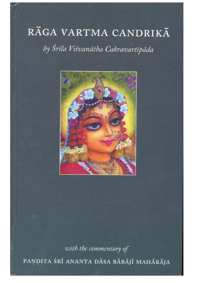## RĀGA VARTMA CANDRIKĀ by Śrīla Viśvanātha Cakravartīpāda



with the commentary of PAŅDITA ŚRĪ ANANTA DĀSA BĀBĀJĪ MAHĀRĀJA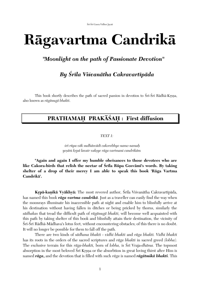Śrī-Śrī Gaura Vidhur Jayati

# **Rägavartma Candrikä**

### *"Moonlight on the path of Passionate Devotion"*

### *By Çréla Viçvanätha Cakravartépäda*

This book shortly describes the path of sacred passion in devotion to Śrī-Śrī Rādhā-Krṣṇa, also known as *rägänugä bhakti*.

## **PRATHAMAH PRAKĀŚAḤ : First diffusion**

#### *TEXT 1:*

 *çré rüpa väk sudhäsvädé cakorebhyo namo namaù yeñäà kåpä lavair vakñye räga vartmani candrikäm* 

**"Again and again I offer my humble obeisances to those devotees who are**  like Cakora-birds that relish the nectar of Srila Rūpa Gosvāmī's words. By taking **shelter of a drop of their mercy I am able to speak this book 'Räga Vartma Candrikä'.** 

**Krpā-kaņikā Vyākhyā:** The most revered author, Śrīla Viśvanātha Cakravartīpāda, has named this book *räga vartma candrikä*. Just as a traveller can easily find the way when the moonrays illuminate his inaccessible path at night and enable him to blissfully arrive at his destination without having fallen in ditches or being pricked by thorns, similarly the *sädhakas* that tread the difficult path of *rägänugä bhakti,* will become well acquainted with this path by taking shelter of this book and blissfully attain their destination, the vicinity of Srī-Śrī Rādhā-Mādhava's lotus feet, without encountering obstacles; of this there is no doubt. It will no longer be possible for them to fall off the path*.*

There are two kinds of *sädhana bhakti - vidhi bhakti* and *räga bhakti. Vidhi bhakti*  has its roots in the orders of the sacred scriptures and *räga bhakti* in sacred greed *(lobha).* The exclusive terrain for this *rāga-bhakti*, born of *lobha*, is Śrī Vraja-*dhāma*. The topmost absorption in the most beloved Sri Krsna or the absorbtion in great loving thirst after Him is named *räga***,** and the devotion that is filled with such *räga* is named *rägätmikä bhakti*. This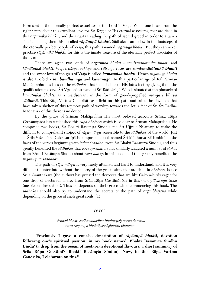is present in the eternally perfect associates of the Lord in Vraja. When one hears from the right saints about this excellent love for Sri Krsna of His eternal associates, that are fixed in this *rägätmikä bhakti*, and thus starts treading the path of sacred greed in order to attain a similar feeling, then this is called *rägänugä bhakti***.** Sädhakas can follow in the footsteps of the eternally perfect people of Vraja; this path is named *rägänugä bhakti*. But they can never practise *rägätmikä bhakti,* for this is the innate treasure of the eternally perfect associates of the Lord.

There are again two kinds of *rägätmikä bhakti - sambandhätmikä bhakti* and *kämätmikä bhakti*. Vraja's *däsya, sakhya* and *vätsalya rasas* are *sambandhätmikä bhakti* and the sweet love of the girls of Vraja is called *kämätmikä bhakti*. Hence *rägänugä bhakti* is also twofold - **sambandhānugā** and **kāmānugā**. In this particular age of Kali Śrīman Mahäprabhu has blessed the *sädhakas* that took shelter of His lotus feet by giving them the qualification to serve Śrī Vrsabhānu-nandinī Śrī Rādhārānī, Who is situated at the pinnacle of *kämätmikä bhakti*, as a maidservant in the form of greed-propelled *maïjaré bhäva sädhanä*. This Räga Vartma Candrikä casts light on this path and takes the devotees that have taken shelter of this topmost path of worship towards the lotus feet of Śrī Śrī Rādhā-Mädhava - of this there is no doubt.

By the grace of Sriman Mahaprabhu His most beloved associate Srimat Rüpa Gosvāmīpāda has established this *rāga-bhajana* which is so dear to Śrīman Mahāprabhu. He composed two books, Śrī Bhakti Rasāmrta Sindhu and Śrī Ujjvala Nīlamani to make the difficult to comprehend subject of *räga-märga* accessible to the *sädhakas* of the world. Just as Śrīla Viśvanātha Cakravartīpāda composed a book named Śrī Mādhurya Kādambinī on the basis of the verses beginning with *'ādau śraddhā'* from Śrī Bhakti Rasāmrta Sindhu, and thus greatly benefited the *sädhakas* that covet *prema*, he has similarly analysed a number of *çlokas* from Bhakti Rasāmrta Sindhu about *rāga mārga* in this book, and thus greatly benefited the *rägänugéya sädhakas*.

The path of *räga märga* is very rarely attained and hard to understand, and it is very difficult to enter into without the mercy of the great saints that are fixed in *bhajana*, hence Srila Granthakāra (the author) has praised the devotees that are like Cakora-birds eager for one drop of nectarean mercy from Srila Rūpa Gosvāmīpāda in this *mangalācaraņa sloka* (auspicious invocation). Thus he depends on their grace while commencing this book. The *sädhakas* should also try to understand the secrets of the path of *räga bhajana* while depending on the grace of such great souls. (1)

#### *TEXT 2:*

#### *çrémad bhakti sudhämbhodher bindur yaù pürva darçitaù tatra rägänugä bhaktiù sankñiptätra vitanyate*

**"Previously I gave a concise description of** *rägänugä bhakti,* **devotion**  following one's spiritual passion, in my book named 'Bhakti Rasāmrta Sindhu **Bindu' (a drop from the ocean of nectarean devotional flavours, a short summary of**  Śrīla Rūpa Gosvāmī's Bhakti Rasāmṛta Sindhu). Now, in this Rāga Vartma **Candrikä, I elaborate on this."**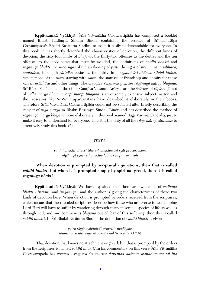**Krpā-kanikā Vyākhyā:** Śrīla Viśvanātha Cakravartīpāda has composed a booklet named Bhakti Rasāmrta Sindhu Bindu, containing the essence of Śrīmat Rūpa Gosvāmīpāda's Bhakti Rasāmrta Sindhu, to make it easily understandable for everyone. In this book he has shortly described the characteristics of devotion, the different kinds of devotion, the sixty-four limbs of *bhajana*, the thirty-two offenses to the deities and the ten offenses to the holy name that must be avoided, the definitions of *vaidhi bhakti* and *rägänugä bhakti*, the nine signs of the awakening of *préti*, the signs of *prema, rasa, vibhäva, anubhäva*, the eigth *sättvika* ecstasies, the thirty-three *vyabhicäré-bhävas, sthäyi bhäva*, explanations of the *rasas* starting with *santa*, the statuses of friendship and enmity for these *rasas, rasäbhäsa* and other things. The Gauòéya Vaiñëavas practise *rägänugä märga bhajana*. Śrī Rūpa, Sanātana and the other Gaudīya Vaisnava Ācāryas are the *ācāryas* of *rāgānugā*, not of *vidhi märga bhajana*. *räga marga bhajana is* an extremely extensive subject matter, and the Gosvāmīs like Śrī-Śrī Rūpa-Sanātana have described it elaborately in their books. Therefore Śrīla Viśvanātha Cakravartīpāda could not be satiated after briefly describing the subject of *rāga mārga* in Bhakti Rasāmrta Sindhu Bindu and has described the method of *rägänugä märga bhajana* more elaborately in this book named Räga Vartma Candrikä, just to make it easy to understand for everyone. Thus it is the duty of all the *räga-märga sädhakas* to attentively study this book. (2)

#### *TEXT 3:*

#### *vaidhi bhaktir bhavet çästraà bhaktau cet syät pravartakam rägänugä syac ced bhaktau lobha eva pravartakaù*

#### **"When devotion is prompted by scriptural injunctions, then that is called**  *vaidhi bhakti***, but when it is prompted simply by spiritual greed, then it is called**  *rägänugä bhakti***."**

**Krpā-kaņikā Vyākhyā:** We have explained that there are two kinds of *sādhana bhakti* - '*vaidhé*' and '*rägänugä*', and the author is giving the characteristics of these two kinds of devotion here. When devotion is prompted by orders received from the scriptures, which means that the revealed scriptures describe how those who are averse to worshipping Lord Hari will have to suffer by wandering through many miserable species of life as well as through hell, and one commences *bhajana* out of fear of this suffering, then this is called *vaidhī bhakti*. In Śrī Bhakti Rasāmrta Sindhu the definition of *vaidhī bhakti* is given -

> $y$ atra rāgānavāptatvāt pravrttir upajāyate *çäsanenaiva çästrasya sä vaidhé bhaktir ucyate* (1.2.6)

"That devotion that knows no attachment or greed, but that is prompted by the orders from the scriptures is named *vaidhī bhakti*."In his commentary on this verse Śrīla Viśvanātha Cakravartépäda has written - *rägo'tra çré mürter darçanäd daçama skandhéya tat tal lélä*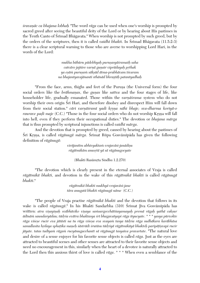*śravanāc ca bhajana lobhah* "The word *rāga* can be used when one's worship is prompted by sacred greed after seeing the beautiful deity of the Lord or by hearing about His pastimes in the Tenth Canto of Śrīmad Bhāgavata." When worship is not prompted by such greed, but by the orders of the scriptures, then it is called *vaidhi bhakti*. In Srimad Bhagavata (11.5.2-3) there is a clear scriptural warning to those who are averse to worshipping Lord Hari, in the words of the Lord:

> *mukha bähüru pädebhyaù puruñasyäçramaiù saha catväro jajïire varëä guëair viprädayaù påthak ya eñäà puruñaà säkñäd ätma-prabhävam éçvaram na bhajantyavajänanti sthänäd bhrañöäù patantyadhaù*

"From the face, arms, thighs and feet of the Purusa (the Universal form) the four social orders like the *brāhmanas*, the *gunas* like *sattva* and the four stages of life, like householder life, gradually emanated. Those within the *varnā sirama* system who do not worship their own origin Srī Hari, and therefore disobey and disrespect Him will fall down from their social station." *cāri varnāśramī yadi krsna nāhi bhaje; sva-dharma koriyā-o* raurave padi maje (C.C.) "Those in the four social orders who do not worship Krsna will fall into hell, even if they perform their occupational duties." The devotion or *bhajana märga* that is thus prompted by scriptural injunctions is called *vaidhé märga*.

And the devotion that is prompted by greed, caused by hearing about the pastimes of Śrī Krsņa, is called *rāgānugā mārga*. Śrīmat Rūpa Gosvāmīpāda has given the following definition of *rägänugä*:

> $virājantīm abhivyaktan vrajavāsi-janādisu$ *rägätmikäm anusåtä yä sä rägänugocyate*

> > (Bhakti Rasāmrta Sindhu 1.2.270)

"The devotion which is clearly present in the eternal associates of Vraja is called *rägätmikä bhakti*, and devotion in the wake of this *rägätmikä bhakti* is called *rägänugä bhakti*."

> *rägätmikä bhakti mukhyä vrajaväsi-jane tära anugatä bhakti rägänugä näme* (C.C.)

"The people of Vraja practise *rägätmikä bhakti* and the devotion that follows in its wake is called *rāgānugā*." In his Bhakti Sandarbha (310) Śrīmat Jīva Gosvāmīpāda has written: atra visayinah svābhāviko visaya samsargecchātiśayamayah premā rāgah yathā caksur *ädénäà saundaryädau; tädåça evätra bhaktasya çré bhagavatyapi räga ityucyate*. *\* \* \* yasya pürvokte räga viçeñe rucir eva jätästi na tu räga viçeña eva svayaà tasya tädåça räga sudhäkara karäbhäsa*  samullasita hrdaya sphatika maņeh śāstrādi śrutāsu tādrśyā rāgātmikāyā bhakteh paripātiṣvapi rucir *jäyate. tatas tadéyaà rägaà rucyänugacchanté sä rägänugä tasyaiva pravartate*. "The natural love and desire of a sense enjoyer for his favorite sense objects is called *räga*. Just as the eyes are attracted to beautiful scenes and other senses are attracted to their favorite sense objects and need no encouragement in this, similarly when the heart of a devotee is naturally attracted to the Lord then this anxious thirst of love is called *räga*. \* \* \* When even a semblance of the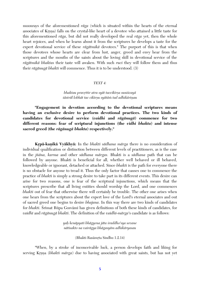moonrays of the aforementioned *räga* (which is situated within the hearts of the eternal associates of Krsna) falls on the crystal-like heart of a devotee who attained a little taste for this aforementioned *räga*, but did not really developed the real *räga* yet, then the whole heart rejoices, and when he learns about it from the scriptures he develops a taste for the expert devotional service of these *rägätmikä* devotees." The purport of this is that when those devotees whose hearts are clear from lust, anger, greed and envy hear from the scriptures and the mouths of the saints about the loving skill in devotional service of the *rägätmikä bhaktas* their taste will awaken. With such *ruci* they will follow them and thus their *rägänugä bhakti* will commence. Thus it is to be understood. (3)

#### *TEXT 4:*

#### *bhaktau pravrttir atra syāt taccikīrṣa suniścayā*  $s$ āstrāl lobhāt tac cikīrsu syātām tad adhikārinau

**"Engagement in devotion according to the devotional scriptures means having an exclusive desire to perform devotional practices. The two kinds of candidates for devotional service (***vaidhi* **and** *rägänugä***) commence for two different reasons: fear of scriptural injunctions (the** *vidhi bhakta***) and intense sacred greed (the** *rägänugä bhakta***) respectively."**

**Krpā-kaņikā Vyākhyā:** In the *bhakti sādhana mārga* there is no consideration of individual qualification or distinction between different levels of practitioners, as is the case in the *jïäna, karma* and other *sädhana märgas.* Bhakti is a *sädhana* path that can be followed by anyone. Bhakti is beneficial for all, whether well behaved or ill behaved, knowledgeable or ignorant, detached or attached. Since *bhakti* is the path for everyone there is no obstacle for anyone to tread it. Thus the only factor that causes one to commence the practice of *bhakti* is simply a strong desire to take part in its different events. This desire can arise for two reasons, one is fear of the scriptural injunctions, which means that the scriptures prescribe that all living entities should worship the Lord, and one commences *bhakti* out of fear that otherwise there will certainly be trouble. The other one arises when one hears from the scriptures about the expert love of the Lord's eternal associates and out of sacred greed one begins to desire *bhajana*. In this way there are two kinds of candidates for *bhakti*. Śrīmat Rūpa Gosvāmī has given definitions of both these kinds of candidates, for *vaidhé* and *rägänugä bhakti*. The definition of the *vaidhé-märga'*s candidate is as follows:

> *yaù kenäpyati bhägyena jäta çraddho'sya sevane nätisakto na vairägya bhägasyäm adhikäryasau*

> > (Bhakti Rasāmrta Sindhu 1.2.14)

"When, by a stroke of inconceivable luck, a person develops faith and liking for serving Krsna (*bhakti mārga*) due to having associated with great saints, but has not yet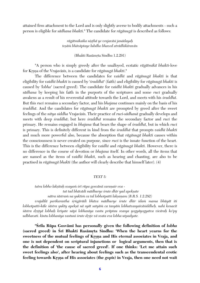attained firm attachment to the Lord and is only slightly averse to bodily attachments - such a person is eligible for *sädhana bhakti*." The candidate for *rägänugä* is described as follows:

> *rägätmikaika niñöhä ye vrajaväsi janädayaù teñäà bhäväptaye lubdho bhaved aträdhikäravän*

> > (Bhakti Rasāmrta Sindhu 1.2.291)

"A person who is simply greedy after the unalloyed, ecstatic *rägätmikä bhakti*-love for Krsna of the Vrajavāsīs, is a candidate for *rāgānugā bhakti*."

The difference between the candidates for *vaidhé* and *rägänugä bhakti* is that eligibility for *vaidhé bhakti* is caused by '*çraddhä'* (faith) and eligibility for *rägänugä bhakti* is caused by *'lobha'* (sacred greed). The candidate for *vaidhé bhakti* gradually advances in his *sädhana* by keeping his faith in the purports of the scriptures and some *ruci* gradually awakens as a result of his reverential attitude towards the Lord, and meets with his *śraddhā*. But this *ruci* remains a secondary factor, and his *bhajana* continues mainly on the basis of his *çraddhä*. And the candidates for *rägänugä bhakti* are prompted by greed after the sweet feelings of the *nitya siddha* Vrajavāsīs. Their practice of *ruci-sādhanā* gradually develops and meets with deep *çraddhä*; but here *çraddhä* remains the secondary factor and *ruci* the primary. He remains engaged in *bhajana* that bears the shape of *çraddhä*, but in which *ruci* is primary. This is definitely different in kind from the *çraddhä* that prompts *vaidhé bhakti* and much more powerful also, because the absorption that *rägänugä bhakti* causes within the consciousness is never created on purpose, since *ruci* is the innate function of the heart. This is the difference between eligibility for *vaidhé* and *rägänugä bhakti*. However, there is no difference in the course of devotion or *bhajana* itself. In other words, all the items that are named as the items of *vaidhé bhakti*, such as hearing and chanting, are also to be practised in *rägänugä bhakti* (the author will clearly describe that himself later). (4)

#### *TEXT 5:*

*tatra lobho lakñitaù svayaà çré rüpa gosvämé caraëair eva tat tad bhävädi mädhurye çrute dhér yad apekñate nätra çästraà na yuktià ca tal lobhotpatti lakñaëam (B.R.S. 1.2.292)*

*vrajalélä parikarastha çåìgärädi bhäva mädhurye çrute dhér idaà mama bhüyät iti lobhotpatti-käle çästra yukty apekñä nä syät satyäà ca tasyäà lobhatvasyaiväsiddheù. nahi kenacit çästra dåñöyä lobhaù kriyate näpi lobhanéya vastu präptau svasya yogyäyogyatva vicäraù ko'py udbhavati. kintu lobhanéya vastuni çrute dåñöe vä svata eva lobha utpadyate.*

**"Çréla Rüpa Gosvämé has personally given the following definition of** *lobha* (sacred greed) in Srī Bhakti Rasāmrta Sindhu: 'When the heart yearns for the sweetness of the mutual feelings of Krsna and His eternal associates in Vraja, and **one is not dependent on scriptural injunctions or logical arguments, then that is the definition of 'the cause of sacred greed'. If one thinks: 'Let me attain such sweet feelings also', after hearing about feelings such as the transcendental erotic**  feeling towards Krsna of His associates (the *gopis*) in Vraja, then one need not wait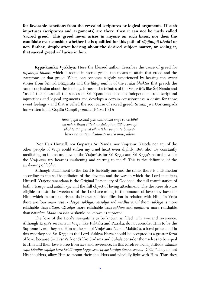**for favorable sanctions from the revealed scriptures or logical arguments. If such impetuses (scriptures and arguments) are there, then it can not be justly called 'sacred greed'. This greed never arises in anyone on such bases, nor does the candidate ever consider whether he is qualified for this path of** *rägänugä bhakti* **or not. Rather, simply after hearing about the desired subject matter, or seeing it, that sacred greed will arise in him.** 

**Krpā-kanikā Vyākhyā:** Here the blessed author describes the cause of greed for *rägänugä bhakti*, which is rooted in sacred greed, the means to attain that greed and the symptoms of that greed. When one becomes slightly experienced by hearing the sweet stories from Śrīmad Bhāgavata and the *līlā-granthas* of the *rasika bhaktas* that preach the same conclusion about the feelings, forms and attributes of the Vrajaväsis like Śri Nanda and Yasoda that please all the senses of Sri Krsna one becomes independent from scriptural injunctions and logical arguments and develops a certain consciousness, a desire for those sweet feelings - and that is called the root cause of sacred greed. Srimat Jiva Gosvämipäda has written in his Gopäla Campü-*grantha* (Pürva 1.81):

> harir gopa-ksaunī-pati mithunam anye ca vividhā *na naù krüraà cittaà mådulayitum éçä lavam api aho! teñäà premä vilasati harau yas tu balavän harer vä yas teñu drutayati sa eva pratipadam*

"Nor Hari Himself, nor Goparāja Śrī Nanda, nor Vrajeśvarī Yaśodā nor any of the other people of Vraja could soften my cruel heart even slightly. But, aho! By constantly meditating on the natural love of the Vrajaväsis for Śri Krsna and Śri Krsna's natural love for the Vrajaväsis my heart is awakening and starting to melt!" This is the definition of the awakening of *lobha*.

Although attachment to the Lord is basically one and the same, there is a distinction according to the self-identifation of the devotee and the way in which the Lord manifests Himself. Vrajendranandana is the Original Personality of Godhead, the full manifestation of both *aiçvarya* and *mädhurya* and the full object of loving attachment. The devotees also are eligible to taste the sweetness of the Lord according to the amount of love they have for Him, which in turn nourishes their own self-identification in relation with Him. In Vraja there are four main *rasas - däsya, sakhya, vätsalya* and *madhura*. Of them, *sakhya* is more relishable than *däsya, vätsalya* more relishable than *sakhya* and *madhura* more relishable than *vätsalya. Madhura bhäva* should be known as supreme.

The love of the Lord's servants is to be known as filled with awe and reverence. Although Krsna's servants in Vraja, like Raktaka and Patraka, do not consider Him to be the Supreme Lord, they see Him as the son of Vrajeçvara Nanda Mahäräja, a local prince and in this way they see Srī Krsna as the Lord. Sakhya bhāva should be accepted as a greater form of love, because Śrī Krsna's friends like Śrīdāma and Subala consider themselves to be equal to Him and their love is free from awe and reverence. In this carefree loving attitude: *kändhe cade kāndhe cadāya kore krīdā raņa; krsņe seve krsņe korāya āpana sevana* (C.C.) "They mount His shoulders, allow Him to mount their shoulders and playfully fight with Him. Thus they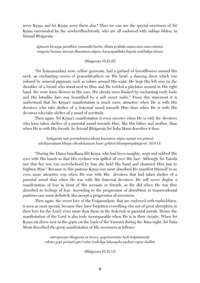serve Krsna and let Krsna serve them also." Thus we can see the special sweetness of Sri Krsna surrounded by the cowherdboyfriends, who are all endowed with *sakhya bhāva*, in Śrīmad Bhāgavata:

 $\dot{s}$ yāmam hiranya paridhim vanamālā barha, dhātu prabāla natavesam anuvratāmse *vinyasta hastam itareëa dhunänam abjaà, karëotpalälaka kapola mukhäbja häsam*

(Bhägavata 10.23.22)

"Śrī Śyāmasundara wore yellow garments, had a garland of forestflowers around His neck, an enchanting crown of peacockfeathers on His head, a dancing dress which was colored by mineral pigments such as rubies around His waist, He kept His left arm on the shoulder of a friend who stood next to Him and He twirled a playlotus around in His right hand. He wore lotus flowers in His ears, His cheeks were flanked by enchanting curly locks and His lotuslike face was beautified by a soft sweet smile." From this statement it is understood that Śrī Krsna's manifestation is much more attractive when He is with His devotees who take shelter of a fraternal mood towards Him than when He is with His devotees who take shelter of a mood of servitude.

Then again, Sri Krsna's manifestation is even sweeter when He is with the devotees who have taken shelter of a parental mood towards Him, like His father and mother, than when He is with His friends. In Śrīmad Bhāgavata Śrī Śuka Muni describes it thus:

*kåtägasaà taà prarudantam akñiëé kañantam aïjan mañiëé sva päëinä udvékñamäëaà bhaya vihvalekñaëaà haste gåhétvä bhiñayantyabägurat (*10.9.11)

"During the Dāma-bandhana *līlā* Krsna, who had been naughty, wept and rubbed His eyes with His hands so that His eyeliner was spilled all over His face. Although Srī Yasodā saw that her son was overwhelmed by fear she held His hand and chastised Him just to frighten Him." Because in this pastime Krsna was most absorbed He manifest Himself in an even more attractive way when He was with His devotees that had taken shelter of a parental mood than when He was with His fraternal devotees. He will never display a manifestation of fear in front of His servants or friends, as He did when He was thus absorbed in feelings of fear. According to the progression of absorbtion in transcendental pastimes one must definitely also accept a progression of sweetness.

Then again, the sweet love of the Vrajasundaris, that are endowed with *mahā-bhāva*, is seen as most special, because they have forgotten everything else out of great absorption in their love for the Lord, even more than those in the fraternal or parental moods. Hence the manifestation of the Lord is also truly incomparable when He is in their vicinity. When Sri Krsna sat down next to the *gopis* on the bank of the Yamuna during the Rasa-night, Śrī Śuka Muni described the great manifestation of His sweetness as follows:

> tatropavișto bhagavān sa īśvaro; yogeśvarāntar hrdi kalpitāsanah *cakäsa gopé pariñad gato'rcitas trailokya lakñmyeka padaà vapur dadhat*

> > (Bhägavata 10.32.14)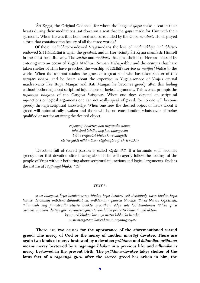"Śrī Krsna, the Original Godhead, for whom the kings of *yogis* make a seat in their hearts during their meditations, sat down on a seat that the *gopés* made for Him with their garments. When He was thus honoured and surrounded by the Gopa-*sundarés* He displayed a form that contained the beauty of all the three worlds."

Of these *mahābhāva*-endowed Vrajasundarīs the love of *mādanākhya mahābhāva*endowed Śrī Rādhārānī is again the greatest, and in Her vicinity Śrī Krsna manifests Himself in the most beautiful way. The *sakhés* and *maïjarés* that take shelter of Her are blessed by entering into an ocean of Yugala Mādhurī. Śrīman Mahāprabhu and the *ācāryas* that have taken shelter of Him have preached the worship of Rädhä's service or *maïjaré bhäva* to the world. When the aspirant attains the grace of a great soul who has taken shelter of this *maïjaré bhäva*, and he hears about the expertise in Yugala-service of Vraja's eternal maidservants like Rüpa Maïjaré and Rati Maïjaré he becomes greedy after this feeling without bothering about scriptural injunctions or logical arguments. This is what prompts the rāgānugā bhajana of the Gaudīya Vaisnavas. When one does depend on scriptural injunctions or logical arguments one can not really speak of greed, for no one will become greedy through scriptural knowledge. When one sees the desired object or hears about it greed will automatically awaken and there will be no consideration whatsoever of being qualified or not for attaining the desired object.

> *rägamayé bhaktira hoy rägätmikä näma; tähä çuni lubdha hoy kon bhägyavän lobhe vrajaväsi-bhäve kore anugati;*  $s\bar{a}$ stra-yukti nāhi māne - rāgānugāra prakrti (C.C.)

"Devotion full of sacred passion is called *rägätmikä*. If a fortunate soul becomes greedy after that devotion after hearing about it he will eagerly follow the feelings of the people of Vraja without bothering about scriptural injunctions and logical arguments. Such is the nature of *rägänugä bhakti*." (5)

#### *TEXT 6:*

*sa ca bhagavat kåpä hetuko'nurägé bhakta kåpä hetukaç ceti dvividhaù. tatra bhakta kåpä hetuko dvividhah prāktana ādhunikas ca. prāktanah - paurva bhavika tādrsa bhakta krpotthah,*  $\bar{a}$ dhunikaḥ etaj janmāvadhi tādṛśa bhakta kṛpotthaḥ. ādye sati lobhānantaraṁ tādrśa guru caranāśrayanam. dvitīye guru caranāśrayānantaram lobha pravrttir bhavati. yad uktam:  *kåñëa tad bhakta käruëya mätra lobhaika hetukä*

 *puñöi märgatayä kaiçcid iyaà rägänugocyate*

**"There are two causes for the appearance of the aforementioned sacred greed: The mercy of God or the mercy of another** *anurägé* **devotee. There are again two kinds of mercy bestowed by a devotee:** *präktana* **and** *ädhunika***.** *präktana* **means mercy bestowed by a** *rägänugä bhakta* **in a previous life, and** *ädhunika* **is mercy bestowed in the present birth. The** *präktana***-devotee takes shelter of the lotus feet of a** *rägänugä guru* **after the sacred greed has arisen in him, the**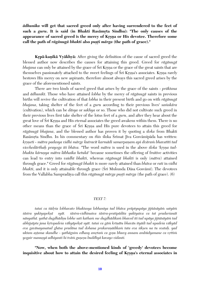*ädhunika* **will get that sacred greed only after having surrendered to the feet of**  such a *guru*. It is said (in Bhakti Rasāmrta Sindhu): "The only causes of the appearance of sacred greed is the mercy of Krsna or His devotee. Therefore some call the path of *rāgānugā bhakti* also *pusti mārga* (the path of grace)."

**Krpā-kanikā Vyākhyā:** After giving the definition of the cause of sacred greed the blessed author now describes the causes for attaining this greed. Greed for *rägänugä bhajana* can only be attained by the grace of Sri Krsna or the grace of the great saints that are themselves passionately attached to the sweet feelings of Śrī Krsna's associates. Krsna rarely bestows His mercy on new aspirants, therefore almost always this sacred greed arises by the grace of the aforementioned saints.

There are two kinds of sacred greed that arises by the grace of the saints - *präktana* and *ädhuniké*. Those who have attained *lobha* by the mercy of *rägänugä* saints in previous births will revive the cultivation of that *lobha* in their present birth and go on with *rägänugä bhajana*, taking shelter of the feet of a *guru* according to their previous lives' samskara (cultivation), which can be *däsya* or *sakhya* or so. Those who did not cultivate such greed in their previous lives first take shelter of the lotus feet of a *guru*, and after they hear about the great love of Sri Krsna and His eternal associates the greed awakens within them. There is no other means than the grace of Sri Krsna and His pure devotees to attain this greed for *rägänugä bhajana*, and the blessed author has proven it by quoting a *çloka* from Bhakti Rasāmrta Sindhu. In his commentary on *this* sloka Śrīmat Jīva Gosvāmīpāda has written: *kåñëeti - mätra padasya vidhi märge kutracit karmädi samarpaëam api dväraà bhavatéti tad vicchedārthah prayoga iti bhāva.* "The word *mātra* is used in the above *sloka 'krsna tadbhakta kāruņya mātra lābhaika hetukā'* because sometimes the offering of fruitive activities can lead to entry into *vaidhé bhakti*, whereas *rägänugä bhakti* is only (*mätra*) attained through grace." Greed for *rägänugä bhakti* is more rarely attained than *bhäva* or *rati* in *vidhi bhakti*, and it is only attainable through grace (Śrī Mukunda Dāsa Gosvāmī). The devotees from the Vallabha Sampradāya call this *rāgānugā mārga puṣṭi mārga* (the path of grace). (6)

#### *TEXT 7:*

*tataç ca tädåça lobhavato bhaktasya lobhanéya tad bhäva präptyupäya jijïäsäyäà satyäà*  $\delta$ āstra yuktyapekṣā syāt.  $\delta$ āstra-vidhinaiva  $\delta$ āstra-pratipādita yuktyaiva ca tat pradarśanāt *nänyathä. yathä dugdhädiñu lobhe sati kathaà me dugdhädikaà bhaved iti tad upäya jijïäsäyäà tad*  abhijsāpta jana krtopadeśa vākyāpeksā syāt. tataś ca gām krīnātu bhavān ityādi tad upadeśa vākyād eva gavānayanatad ghāsa pradāna tad dohana prakaraņādikam tata eva sikṣen na tu svataḥ. yad uktam aștama skandhe - yathāgnim edhasy amrtam ca goșu bhuvy annam ambūdyamane ca vrttim *yogair manuñyä adhiyanti hi tväà guëeñu buddhyä kavayo vidanti.*

**"Now, when both the above-mentioned kinds of 'greedy' devotees become**  inquisitive about how to attain the desired feeling of Krsna's eternal associates in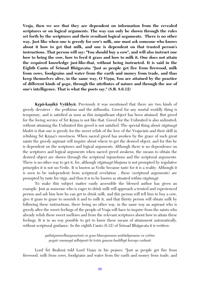**Vraja, then we see that they are dependent on information from the revealed scriptures or on logical arguments. The way can only be shown through the rules set forth by the scriptures and their resultant logical arguments. There is no other way. Just like when one is greedy for cow's milk, one must ask someone who knows about it how to get that milk, and one is dependent on that trusted person's instructions. That person will say: "You should buy a cow", and will also instruct one how to bring the cow, how to feed it grass and how to milk it. One does not attain the required knowledge just-like-that, without being instructed. It is said in the**  Eighth Canto of Srimad Bhagavata: "Just as people get fire from firewood, milk **from cows, foodgrains and water from the earth and money from trade, and thus**  keep themselves alive, in the same way, O Vișnu, You are attained by the practice **of different kinds of** *yoga***, through the attributes of nature and through the use of one's intelligence. That is what the poets say." (S.B. 8.6.12)**

**Krpā-kaņikā Vyākhyā:** Previously it was mentioned that there are two kinds of greedy devotees - the *präktana* and the *ädhunika*. Greed for any mortal worldly thing is temporary, and is satisfied as soon as this insignificant object has been attained. But greed for the loving service of Sri Krsna is not like that. Greed for the Unlimited is also unlimited; without attaining the Unlimited this greed is not satisfied. The special thing about *rägänugä bhakti* is that one is greedy for the sweet relish of the love of the Vrajaväsis and their skill in relishing Srī Krsna's sweetness. When sacred greed has awoken by the grace of such great saints the greedy aspirant will inquire about where to get the desired object, and for this he is dependent on the scriptures and logical arguments. Although there is no dependence on the scriptures and logical arguments when sacred greed awakens, the means to obtain the desired object are shown through the scriptural injunctions and the scriptural arguments. There is no other way to get it, for, although *rägänugä bhajana* is not prompted by regulative principles it is not un-Vedic. It is known as Vedic because taste for it is a reality. Although it is seen to be independent from scriptural revelation , these (scriptural arguments) are prompted by taste for *räga*, and thus it is to be known as situated within *rägänugä*.

To make this subject matter easily accessible the blessed author has given an example. Just as someone who is eager to drink milk will approach a trusted and experienced person and ask him how he can get to drink milk, and this person will tell him to buy a cow, give it grass to graze to nourish it and to milk it, and that thirsty person will obtain milk by following these instructions, there being no other way, in the same way an aspirant who is greedy after the sweet feelings of the people of Vraja will have to inquire from the saints who already relish these sweet mellows and from the relevant scriptures about how to attain these feelings. It is in no way possible to get to know these means of attainment automatically, without scriptural guidance. In the eighth Canto  $(6.12)$  of Srimad Bhagavata it is written:

> *yathägnimedhasyamåtaà ca goñu bhuvyannam ambüdyamane ca våttim yogair manuñyä adhiyanti hi tväà guëeñu buddhyä kavayo vadanti*

Lord Srī Brahmā told Lord Vișņu in his praises: "Just as people get fire from firewood, milk from cows, foodgrains and water from the earth and money from trade, and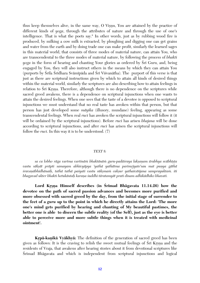thus keep themselves alive, in the same way, O Visnu, You are attained by the practice of different kinds of *yoga*, through the attributes of nature and through the use of one's intelligence. That is what the poets say." In other words, just as by rubbing wood fire is produced, by milking a cow milk is extracted, by ploughing and digging one can get grains and water from the earth and by doing trade one can make profit, similarly the learned sages in this material world, that consists of three modes of material nature, can attain You, who are transcendental to the three modes of material nature, by following the process of *bhakti yoga* in the form of hearing and chanting Your glories as ordered by Sri Guru, and, being engaged by You, they will also instruct others in the means by which they can attain You (purports by Śrīla Śrīdhara Svāmīpāda and Śrī Viśvanātha). The purport of this verse is that just as there are scriptural instructions given by which to attain all kinds of desired things within the material world, similarly the scriptures are also describing how to attain feelings in relation to Srī Krsna. Therefore, although there is no dependence on the scriptures while sacred greed awakens, there is a dependence on scriptural injunctions when one wants to attain the desired feelings. When one sees that the taste of a devotee is opposed to scriptural injunctions we must understand that no real taste has awoken within that person, but that person has just developed some *mäyika* (illusory, mundane) feeling, appearing as some transcendental feelings. When real *ruci* has awoken the scriptural injunctions will follow it (it will be ordained by the scriptural injunctions). Before *ruci* has arisen *bhajana* will be done according to scriptural injunctions, and after *ruci* has arisen the scriptural injunctions will follow the *ruci*. In this way it is to be understood. (7)

#### *TEXT 8:*

*sa ca lobho räga vartma vartinäà bhaktänäà guru-padäçraya lakñaëam ärabhya sväbhéñöa*  vastu sākṣāt prāpti samayam abhivyāpya 'yathā yathātma parimṛjyate'sau mat puṇya gāthā *çravaëäbhidhänaiù, tathä tathä paçyati vastu sükñmaà cakñur yathaiväïjana samprayuktaà. iti bhagavad ukter bhakti hetukäntaù karaëa çuddhi täratamyät prati dinam adhikädhiko bhavati.*

Lord Krsna Himself describes (in Srimad Bhāgavata 11.14.26) how the **devotee on the path of sacred passion advances and becomes more purified and more obsessed with sacred greed by the day, from the initial stage of surrender to the feet of a** *guru* **up to the point in which he directly attains the Lord: 'The more one's mind gets purified by hearing and chanting of My beautiful pastimes, the better one is able to discern the subtle reality (of the Self), just as the eye is better able to perceive more and more subtle things when it is treated with medicinal ointment'.**

**Krpā-kanikā Vyākhyā:** The definition of the generation of sacred greed has been given as follows: It is the craving to relish the sweet mutual feelings of Sri Krsna and the residents of Vraja, that awakens after hearing stories about it from devotional scriptures like Srimad Bhāgavata and which is independent from scriptural injunctions and logical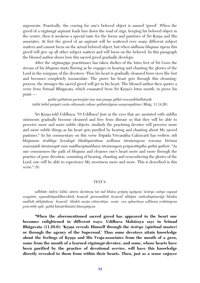arguments. Practically, the craving for one's beloved object is named 'greed'. When the greed of a *rägänugä* aspirant leads him down the road of *räga*, keeping his beloved object in the centre, then it awakens a special taste for the forms and pastimes of  $\overline{S}$ rī Krsna and His associates. At first the greed of an aspirant will be scattered over many different subject matters and cannot focus on the actual beloved object, but when *sädhana bhajana* ripens this greed will give up all other subject matters and will focus on the beloved. In this paragraph the blessed author shows how this sacred greed gradually develops.

After the *rāgānugīya* practitioner has taken shelter of the lotus feet of Śrī Guru the stream of his *bhajana* starts flowing as he engages in hearing and chanting the glories of the Lord in the company of the devotees. Thus his heart is gradually cleansed from vices like lust and becomes completely immaculate. The purer his heart gets through this cleansingprocess, the stronger the sacred greed will get in his heart. The blessed author then quotes a verse from Śrīmad Bhāgavata, which emanated from Śrī Krsna's lotus mouth, to prove his point –

*yathä yathätmä parimåjate'sau mat puëya gäthä çravaëäbhidhänaiù tathä tathä paçyati vastu sükñmaà cakñur yathaiväñjana samprayuktam* (Bhäg. 11.14.26)

Çré Kåñëa told Uddhava: "O Uddhava! Just as the eyes that are anointed with *siddha* ointments gradually become cleansed and free from disease so that they will be able to perceive more and more subtle objects, similarly the practising devotee will perceive more and more subtle things as his heart gets purified by hearing and chanting about My sacred pastimes." In his commentary on this verse Śrīpāda Visvanātha Cakravartī has written: *ādi* bhajanam ārabhya kevalayā bhaktyaivātma *śodhana tāratamyena śravaņa kīrtana smaraëädi täratamyät man mädhuryänubhava täratamyaà präpnotétyäha yathä yatheti*. "As one commences the path of *bhajana* and cleanses one's heart more and more through the practice of pure devotion, consisting of hearing, chanting and remembering the glories of the Lord, one will be able to experience My sweetness more and more. This is described in this verse." $(8)$ 

#### *TEXT 9:*

udbhūte tādrśe lobhe śāstra darśiteṣu tat tad bhāva prāpty upāyeṣu 'ācārya caitya vapuṣā *svagatià vyanaktétyuddhavokteù keñucid gurumukhät keñucid abhijïa mahodayänurägé bhakta mukhāt abhijñātesu kesucid bhakti mrsta cittavrttisu svata eva sphuritesu sollāsam evātiśayena pravåttiù syät. yathä kämärthinäà kämopäyeñu.*

**"When the aforementioned sacred greed has appeared in the heart one**  becomes enlightened in different ways. Uddhava Mahāśaya says in Srīmad **Bhägavata (11.29.6): 'Krsna reveals Himself through the**  $\bar{a}c\bar{a}rya$  **(spiritual master) or through the agency of the Supersoul.' Thus some devotees attain knowledge**  about the feelings of Krsna and His Vraja-associates from the mouth of a *guru*, **some from the mouth of a learned** *rägänugä-***devotee, and some, whose hearts have been purified by the practice of devotional service, will have this knowledge directly revealed to them from within their hearts. Then, just as a sense enjoyer**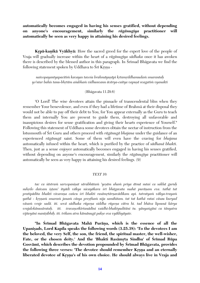**automatically becomes engaged in having his senses gratified, without depending on anyone's encouragement, similarly the** *rägänugéya* **practitioner will automatically be seen as very happy in attaining his desired feelings.**

**Krpā-kanikā Vyākhyā:** How the sacred greed for the expert love of the people of Vraja will gradually increase within the heart of a *rägänugéya sädhaka* once it has awoken there is described by the blessed author in this paragraph. In Srimad Bhāgavata we find the following statement spoken by Uddhava to Srī Krsna -

*naivopayantyapacitià kavayas taveça brahmäyuñäpi kåtamåddhamudaà smarantaù yo'ntar bahis tanu-bhåtäm açubhaà vidhunvann äcärya-caitya vapuñä svagatià vyanakti*

#### (Bhägavata 11.29.6)

'O Lord! The wise devotees attain the pinnacle of transcendental bliss when they remember Your benevolence, and even if they had a lifetime of Brahmä at their disposal they would not be able to pay off their debt to You, for You appear externally as the Guru to teach them and internally You are present to guide them, destroying all unfavorable and inauspicious desires for sense gratification and giving their hearts experience of Yourself." Following this statement of Uddhava some devotees obtain the nectar of instruction from the lotusmouth of Sri Guru and others proceed with *rāgānugā bhajana* under the guidance of an experienced *rägänugä* saint. Some of them will even have the craving for *bhajana* automatically infused within the heart, which is purified by the practice of *sädhanä bhakti*. Then, just as a sense enjoyer automatically becomes engaged in having his senses gratified, without depending on anyone's encouragement, similarly the *rāgānugīya* practitioner will automatically be seen as very happy in attaining his desired feelings. (9)

#### *TEXT 10:*

*tac ca çästraà sarvopaniñat särabhütaà 'yeñäm ahaà priya ätmä sutaç ca sakhä guruù* suhrdo daivam iștam' ityādi vākya nicayākara śrī bhāgavata mahā purāņam eva. tathā tat *pratipädita bhakti vivaraëa caïcu çré bhakti rasämåtärëavädikam api. tatratyaà väkya-trayaà yathä - kåñëaà smaraà janaà cäsya preñöhaà nija saméhitam. tat tat kathä rataç cäsau kuryad väsaà vraje sadä. iti. sevä sädhaka rüpeëa siddha rüpeëa cätra hi. tad bhäva lipsunä kärya vrajalokānusāratah. iti. śravanotkīrtanādīni vaidhi-bhaktyuditāni tu. yānyangāni ca tānyatra vijïeyäni manéñibhiù. iti. trikam atra kämänugä pakñe eva vyäkhyäyate.*

**"In Çrémad Bhägavata Mahä Puräëa, which is the essence of all the**  Upanisads, Lord Kapila speaks the following words (3.25.38): 'To the devotees I am **the beloved, the very Self, the son, the friend, the spiritual master, the well-wisher,**  Fate, or the chosen deity.' And the 'Bhakti Rasāmrta Sindhu' of Śrīmad Rūpa Gosvāmī, which describes the devotion propounded by Śrīmad Bhāgavata, provides the following three verses: 'The devotee should remember Krsna and an eternally liberated devotee of Krsna's of his own choice. He should always live in Vraja and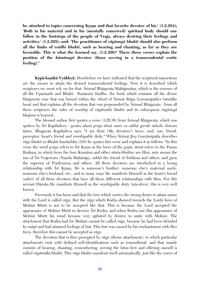be attached to topics concerning Krsna and that favorite devotee of his.' (1.2.294); **'Both in his material and in his (mentally conceived) spiritual body should one follow in the footsteps of the people of Vraja, always desiring their feelings and activities.' (1.2.295); and: 'The practitioner of** *rägänugä bhakti* **should also perform all the limbs of** *vaidhi bhakti***, such as hearing and chanting, as far as they are favorable. This is what the learned say. (1.2.296)" These three verses explain the position of the** *kämänugä* **devotee (those serving in a transcendental erotic feeling)."**

**Krpā-kanikā Vyākhyā:** Herebefore we have indicated that the scriptural injunctions are the means to attain the desired transcendental feelings. Now it is described which scriptures we must rely on for that. Srimad Bhagavata Mahapurana, which is the essence of all the Upanisads and Bhakti Rasāmrta Sindhu, the book which contains all the divine *bhāgavata rasa* that was bound within the whorl of Srīmat Rūpa Gosvāmīpāda's lotuslike heart and that explains all the devotion that was propounded by Srimad Bhāgavata - from all these scriptures the rules of worship of *rägätmikä bhakti* and its subsequent *rägänugä bhajana* is learned.

The blessed author first quotes a verse (3.25.38) from Śrīmad Bhāgavata, which was spoken by Śrī Kapiladeva - *yeṣām aham priya ātmā sutaś ca sakhā guruh suhrdo daivam istam*. Bhagavān Kapiladeva says: "I am their (My devotees') lover, soul, son, friend, preceptor, heart's friend and worshipable deity." When Śrīmat Jīva Gosvāmīpāda describes *räga bhakti* in Bhakti Sandarbha (310) he quotes this verse and explains it as follows: "In this verse the word *priya* refers to Śrī Krsna as the lover of the *gopīs, ātmā* refers to the Param Brahma, in which form the four Kumäras and other *çänta-bhaktas* see Him, *suta* means the son of Śrī Vrajeśvara (Nanda Mahārāja), *sakhā* the friend of Śrīdāma and others, and *guru* the superior of Pradyumna and others. All these devotees are interlocked in a loving relationship with Sri Krsna. He is someone's brother, someone else's maternal uncle, someone else's husband, etc., and in many ways He manifests Himself as the heart's friend (*suhrt*) of all these devotees that have all these different relationships with Him. For His servant Dāruka He manifests Himself as the worshipable deity (*ista-deva*), this is very well known.

Previously it has been said that the love which carries the strong desire to attain union with the Lord is called *räga*. But the *räga* which Rudra showed towards the Lords form of Mohiné Mürti is not to be accepted like that. This is because the Lord accepted the appearance of Mohini Mürti to deceive Sri Rudra, and when Rudra saw this appearance of Mohini Mürti his mind became very agitated by desires to unite with Mohini. The attachment that Rudra had for Mohini cannot be called *rāga*, because he had been deluded by *mäyä* and had attained feelings of lust. This lust was caused by his enchantment with Her form, therefore this cannot be accepted as *räga*.

The devotion that is thus prompted by *räga* (divine attachment), in which particular attachments exist with defined self-identifications such as consorthood, and that mainly consists of hearing, chanting, remembering, serving the lotus feet and offering oneself is called *rägätmikä bhakti*. This *räga bhakti* manifests itself automatically, just like the waves of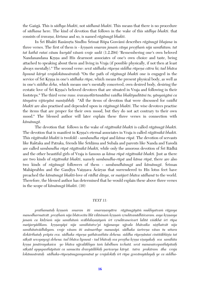the Gaìgä. This is *sädhya bhakti*, not *sädhanä bhakti*. This means that there is no procedure of *sädhana* here. The kind of devotion that follows in the wake of this *sädhya bhakti*. that consists of *çravaëa, kértana* and so, is named *rägänugä bhakti*.

In Šrī Bhakti Rasāmrta Sindhu Šrīmat Rūpa Gosvāmī describes *rāgānugā bhajana* in three verses. The first of them is - *kr§nam smaran janam cāsya pre§tham nija samīhitam. tat tat kathä rataç cäsau kuryäd väsaà vraje sadä* (1.2.294) 'Remembering one's own beloved Nandanandana Krsna and His dearmost associates of one's own choice and taste, being attached to speaking about them and living in Vraja (if possible physically, if not then at least always mentally)." The second verse: *sevā sādhaka rūpena siddha rūpena cātra hi; tad bhāva lipsunä käryä vrajalokänusärataù* "On the path of *rägänugä bhakti* one is engaged in the service of Sri Krsna in one's *sādhaka rūpa*, which means the present physical body, as well as in one's *siddha deha*, which means one's mentally conceived, own desired body, desiring the ecstatic love of Sri Krsna's beloved devotees that are situated in Vraja and following in their footsteps." The third verse runs: *śravanotkīrtanādīni vaidha bhaktyuditāni tu; yānyangāni ca tänyatra vijïeyäni manéñibhiù* "All the items of devotion that were discussed for *vaidhé bhakti* are also practised and depended upon in *rägänugä bhakti*. The wise devotees practise the items that are proper for their own mood, but they do not act contrary to their own mood." The blessed author will later explain these three verses in connection with *kämänugä*.

The devotion that follows in the wake of *rägätmikä bhakti* is called *rägänugä bhakti*. The devotion that is manifest in Kåñëa's eternal associates in Vraja is called *rägätmikä bhakti*. This *rägätmikä bhakti* is twofold - *sambandha rüpä* and *käma rüpä*. The devotion of servants like Raktaka and Patraka, friends like Srīdāma and Subala and parents like Nanda and Yaśodā are called *sambandha rüpä rägätmikä bhakti,* while only the amorous devotion of Çré Rädhä and the other beautiful girls of Vraja is famous as *käma rüpä rägätmikä bhakti*. Just as there are two kinds of *rägätmikä bhakti*, namely *sambandha-rüpä* and *käma rüpä*, there are also two kinds of *rāgānugā* followers of them - *sambandhānugā* and *kāmānugā*. Śrīman Mahāprabhu and the Gaudīya Vaiṣṇava Ācāryas that surrendered to His lotus feet have preached the *kämänugä bhakti-*love of *rädhä däsya*, or *maïjaré bhäva sädhanä* to the world. Therefore, the blessed author has determined that he would explain these above three verses in the scope of *kämänugä bhakti*. (10)

#### *TEXT 11:*

*prathamataù kåñëaà smaran iti smaraëasyätra rägänugäyäà mukhyatvaà rägasya manodharmatvät. preñöhaà nija bhävocita lélä viläsinaà kåñëaà våndävanädhéçvaram. asya kåñëasya janaà ca kédåçaà nija saméhitaà sväbhilañaëéyaà çré våndävaneçvaré lalitä viçäkhä çré rüpa*  mañjaryādikam. krsņasyāpi nija samīhitatve'pi tajjanasya ujjvala bhāvaika nisthatvāt nija samīhitatvādhikyam. vraje vāsam iti asāmarthye manasāpi. sādhaka *śarīrena vāsas tu uttara çlokärthataù präpta eva. sädhaka rüpeëa yathävasthita dehena. siddha rüpeëäntaç cintitäbhéñöa tat säkñät sevopayogi dehena. tad bhäva lipsunä - tad bhävaù sva preñöha kåñëa viñayakaù sva saméhita kåñëa janäçrayakaçca yo bhäva ujjvaläkhyas taà labdhum icchatä. sevä manasaivopasthäpitaiù säkñäd apyupasthäpitaiç ca samucita dravyädibhiù paricarya käryä. tatra prakäram äha vraja lokänusärataù sädhaka-rüpeëänugamyamänä ye vrajalokäù çré rüpa gosvämyädayaù ye ca siddha-*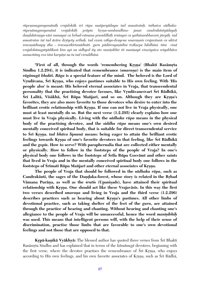*rüpeëanugamyamänäù vrajalokäù çré rüpa maïjaryädayas tad anusärataù. tathaiva sädhakarüpeëänugamyamänä vrajalokäù präpta kåñëa-sambandhino janaç candrakäntyädayaù daëòakäraëya-väsi munayaç ca båhad-vämana prasiddhäù çrutayaç ca yathäsambhavaà jïeyäù. tad anusäratas tat tad äcära dåñöyety arthaù. tad evaà väkya-dvayena smaraëaà vrajaväsaà ca uktvä śravanādīnapy āha - śravanotkīrtanādīnīti. guru pādāśrayanādīni tvāksepa labdhāni. tāni vinā vrajalokānugatyādikam kim api na sidhyed ity ato manī sibhir iti manī sayā vimr syaiva svī yabhāva* samucitāny eva tāni karyāni na tu tad viruddhāni.

"First of all, through the words 'remembering Krsna' (Bhakti Rasāmrta Sindhu 1.2.294), it is indicated that remembrance (*smarana*) is the main item of *rägänugä bhakti***.** *Räga* **is a special feature of the mind. The beloved is the Lord of**  Vrndāvana, Śrī Krsna, who enjoys pastimes suitable to His own feeling. With 'His **people also' is meant: His beloved eternal associates in Vraja, that transcendental personality that the practising devotee favours, like Vrndävanesvari Śri Rādhikā,**  $\hat{\mathbf{S}}$ rī Lalitā, Viśākhā, Śrī Rūpa Mañjarī, and so on. Although they are Krsna's **favorites, they are also more favorite to those devotees who desire to enter into the**  brilliant erotic relationship with Krsna. If one can not live in Vraja physically, one **must at least mentally do so. But the next verse (1.2.295) clearly explains how one must live in Vraja physically. Living with the** *sädhaka rüpa* **means in the physical body of the practising devotee, and the** *siddha rüpa* **means one's own desired mentally conceived spiritual body, that is suitable for direct transcendental service**  to Śrī Krsna. *tad bhāva lipsunā* means: being eager to attain the brilliant erotic feelings towards Krsna of one's favorite devotees in that feeling, like Śrī Rādhikā **and the** *gopés***. How to serve? With paraphernalia that are collected either mentally or physically. How to follow in the footsteps of the people of Vraja? In one's**  physical body one follows in the footsteps of Srila Rūpa Gosvāmi and other saints **that lived in Vraja and in the mentally conceived spiritual body one follows in the footsteps of Srimati Rüpa Mañjari and other eternal associates of Krsna.** 

**The people of Vraja that should be followed in the** *sädhaka rüpa***, such as**  Candrakānti, the sages of the Dandaka-forest, whose story is related in the Brhad Vāmana Purāņa, as well as the *śrutis* (Upaniṣads), have attained their spiritual relationship with Krsna. One should act like these Vrajaväsis. In this way the first two verses described *smarana* and living in Vraja and the third verse (1.2.296) describes practices such as hearing about Krsna's pastimes. All other limbs of **devotional practice, such as taking shelter of the feet of the** *guru***, are attained through the practice of hearing and chanting. Without hearing and chanting one's allegiance to the people of Vraja will be unsuccessful, hence the word** *manéñibhiù* **was used. This means that intelligent persons will, with the help of their sense of discrimination, practise those limbs that are favorable to one's own devotional feelings and not those that are opposed to that.**

**Krpā-kaņikā Vyākhyā:** The blessed author has quoted three verses from Šrī Bhakti Rasāmrta Sindhu and has explained that in terms of the *kāmānugā* devotees, beginning with the first verse, where the devotee practises the remembrance of Sri Kisna, who enjoys according to His own feelings, and his own favorite associates of Krsna, such as Śrī Rādhā,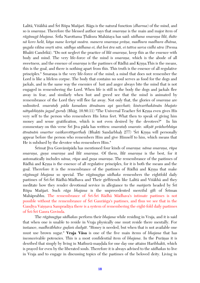Lalitā, Visākhā and Śrī Rūpa Mañjarī. Rāga is the natural function (*dharma*) of the mind, and so is *smarana*. Therefore the blessed author says that *smarana* is the main and major item of *rāgānugā bhajana.* Šrīla Narottama Thākura Mahāśaya has said: *sādhana smarana līlā, ihāte* nā koro helā, kāya mane koriyā susāra. manera smaraņa prāņa, madhura madhura dhāma, *yugala viläsa småti sära. sädhya sädhana ei, ihä boi ära näi, ei tattva sarva vidhi sära* (Prema Bhakti Candrikā). "Do not neglect the practice of *lilā smarana*, keep this as the essence with body and mind. The very life-force of the mind is *smarana*, which is the abode of all sweetness, and the essence of *smarana* is the pastimes of Rādhā and Krsna.This is the means, this is the goal, and there is nothing apart from this. This truth is the essence of all regulative principles." Smarana is the very life-force of the mind; a mind that does not remember the Lord is like a lifeless corpse. The body that contains no soul serves as food for the dogs and jackals, and in the same way the enemies of lust and anger always bite the mind that is not engaged in remembering the Lord. When life is still in the body the dogs and jackals flee away in fear, and similarly when lust and greed see that the mind is animated by remembrance of the Lord they will flee far away. Not only that, the glories of *smarana* are unlimited. *smarataù päda kamalam ätmänam api yacchati; kintvarthakämän bhajato nātyabhīstān jagad guruh* (Bhāg. 10.80.11) "The Universal Teacher Śrī Krsna even gives His very self to the person who remembers His lotus feet. What then to speak of giving him money and sense gratification, which is not even desired by the devotees?" In his commentary on this verse Śrī Jīva pāda has written: *smaratah smarate. sāksāt prādurbhūya ātmānām smartur vasīkarotītyarthah* (Bhakti Sandarbhaḥ 277) 'Śrī Kṛṣṇa will personally appear before the person who remembers Him and give Himself to him, which means that He is subdued by the devotee who remembers Him."

Srīmat Jīva Gosvāmīpāda has mentioned four kinds of *smaraņa: nāma smaraņa, rūpa smarana, guna smarana* and *līlā smarana*. Of them, *līlā smarana* is the best, for it automatically includes *nāma, rūpa* and *guna smarana*. The remembrance of the pastimes of Rādhā and Krsna is the essence of all regulative principles, for it is both the means and the goal. Therefore it is the remembrance of the pastimes of Rādhā and Krsna that make *rägänugä bhajana* so special. The *rägänugéya sädhaka* remembers the eightfold daily pastimes of Śrī-Śrī Rādhā-Mādhava and Their girlfriends like Lalitā and Visākhā and they meditate how they render devotional service in allegiance to the *mantaris* headed by Sri Rūpa Mañjarī. Such *rāga bhajana* is the unprecedented merciful gift of Srīman Mahāprabhu. The remembrance of Śrī-Śrī Rādhā Mādhava's intimate pastimes is not possible without the remembrance of  $\overline{\text{Sri}}$  Gaurānga's pastimes, and thus we see that in the Gaudīya Vaișnava Sampradāya there is a system of remembering the eight-fold daily pastimes of Srī-Šrī Gaura Govinda.

The *rägänugéya sädhakas* perform their *bhajana* while residing in Vraja, and it is said that when one is unable to reside in Vraja physically one must reside there mentally. For instance, *madhvābhāve guḍam dadyāt*. "Honey is needed, but when that is not available one must use brown sugar." **Vraja Väsa** is one of the five main items of *bhajana* that has inconceivable potencies. This is a most confidential item of *bhajana*. In the Puranas it is desribed that simply by living in Mathurā-maṇḍala for one day one attains Haribhakti, which is prayed for even by the liberated souls. Therefore it is always advised to the *sädhakas* to live in Vraja and to engage in discussing topics of the pastimes of the beloved deity. Living in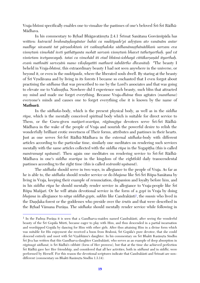Vraja-bhūmi specifically enables one to visualize the pastimes of one's beloved Śrī-Śrī Rādhā-Mädhava.

In his commentary to Brhad Bhāgavatāmrta 2.4.1 Śrīmat Sanātana Gosvāmīpāda has written: kutracid brahmāndasyāntar bahis ca muktipade'pi adrstam ato vanānām antar *madhye nivasatä tat pärñadoktaà çré vaikuëöhaloka sädhanänuñöhänädikaà sarvam eva vismåtaà vimohäd iveti yathätyanta mohät sarvaà vismåtaà bhavet tathetyarthaù. yad vä* vismrtam ivetyanvayah, tatas ca vimohād iti etad bhūmi-sobhayā cittākarsanād ityarthah. *evaà mathnäti sarveñäà mano viloòayatéti mathurä çabdärtho dhvanitaù* "The beauty I beheld in Vraja-*bhümi*, this extraordinary beauty I had not seen anywhere in the universe, or beyond it, or even in the *muktipada*, where the liberated souls dwell. By staring at the beauty of Sri Vrndävana and by living in its forests I became so enchanted that I even forgot about practising the *sädhana* that was prescribed to me by the Lord's associates and that was going to elevate me to Vaikuntha. Nowhere did I experience such beauty, such bliss that attracted my mind and made me forget everything. Because Vraja-*dhäma* thus agitates (*manthana*) everyone's minds and causes one to forget everything else it is known by the name of **Mathurä**.

In the *sädhaka*-body, which is the present physical body, as well as in the *siddha rüpa*, which is the mentally conceived spiritual body which is suitable for direct service to Them, or the Guru-given *mañjarī-svarūpa, rāgānugīya* devotees serve Śrī-Śrī Rādhā-Mädhava in the wake of the people of Vraja and nourish the powerful desire to relish the wonderfully brilliant erotic sweetness of Their forms, attributes and pastimes in their hearts. Just as one serves Śrī-Śrī Rādhā-Mādhava in the external *sādhaka*-body with different articles according to the particular time, similarly one meditates on rendering such services mentally with the same articles collected with the *siddha rūpa* in the Yogapītha (this is called *mantramayī upāsanā*). Then again one meditates on rendering service to Śrī-Śrī Rādhā-Mädhava in one's *siddha svarüpa* in the kingdom of the eightfold daily transcendental pastimes according to the right time (this is called *svärasiké upäsanä*).

The *sädhaka* should serve in two ways, in allegiance to the people of Vraja. As far as he is able to, the *sādhaka* should render service or do *bhajana* like Śrī-Śrī Rūpa-Sanātana by living in Vraja, keeping their example of renunciation, dispassion and loyalty before him, and in his *siddha rūpa* he should mentally render service in allegiance to Vraja-people like Śrī Rūpa Mañjarī. Or he will attain devotional service in the form of a *gop* in Vraja by doing *bhajana* in allegiance to *nitya siddhā-gopīs, sakhīs* like Candrakānti<sup>1</sup>, the *munis* who lived in the Dandaka-forest or the goddesses who preside over the *srutis* and that were described in the Brhad Vämana Purāņa. The *sādhaka* should mentally render service while following in

 $\overline{a}$ 

 $1$  In the Padma Purāņa it is seen that a Gandharva-maiden named Candrakānti, after seeing the wonderful beauty of the Çré Gopäla Mürti, became eager to play with Him, and thus descended in a partial incarnation and worshipped Gopäla by dancing for Him with other girls. After thus attaining Him in a divine form which was suitable for His enjoyment she received a boon from Brahmā, Śrī Gopāla's pure devotee, that she could descend entirely and meet with Śrī Vrsabhānu's daughter. In his commentary on Śrī Bhakti Rasāmrta Sindhu Śrī Jīva has written that this Gandharva-daughter Candrakānti, who serves as an example of deep absorption in *rägänugä sädhanä*, is Çré Rädhä's *vibhüti* (form of Her prowess), but that at the time she achieved perfection Çré Rädhä gave her Her friendship, and considered that all her activities, both in *sädhanä* and in *siddhi*, were performed by Herself. For this reason the devotional scriptures indicate that Candrakānti and Śrīmatī are nondifferent (commentary on Bhakti Rasāmrta Sindhu 1.3.14).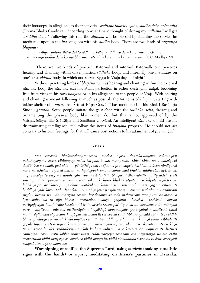their footsteps, in allegiance to their activities. *sädhane bhävibo yähä, siddha dehe päbo tähä* (Prema Bhakti Candrikä) "According to what I have thought of during my *sädhana* I will get a *siddha deha*." Following this rule the *sädhaka* will be blessed by attaining the service he meditated upon in the *lélä*-kingdom with his *siddha*-body. There are two kinds of *rägänugä bhajana* -

'bāhya' 'antara' ihāra dui to sādhana; bāhya - sādhaka dehe kore śravana kīrtana *mane - nija siddha deha koriyā bhāvana; rātri dine kore vraje krsnera sevana* (C.C. Madhya 22)

"There are two kinds of practice: External and internal. Externally one practises hearing and chanting within one's physical *sädhaka*-body, and internally one meditates on one's own *siddha*-body, in which one serves Krsna in Vraja day and night."

Without practising limbs of *bhajana* such as hearing and chanting within the external *sädhaka* body the *sädhaka* can not attain perfection in either destroying *mäyä*, becoming free from vices in his own *bhajana* or in his allegiance to the people of Vraja. With hearing and chanting is meant following as much as possible the 64 items of *bhajana*, starting with taking shelter of a *guru*, that Śrīmat Rūpa Gosvāmī has mentioned in his Bhakti Rasāmrta Sindhu *grantha*. Some people imitate the *gopé deha* with the *sädhaka deha*, dressing and ornamenting the physical body like women do, but this is not approved of by the Vaisnavācāryas like Šrī Rūpa and Sanātana Gosvāmī. An intelligent *sādhaka* should use his discriminating intelligence and follow the items of *bhajana* properly. He should not act contrary to his own feelings, for that will cause obstructions to his attainment of *prema*. (11)

#### *TEXT 12:*

*täni cärcana bhaktävahaìgropäsanä mudrä nyäsa dvärakä-dhyäna rukmiëyädi püjädinyägama çästra vihitänyapi naiva käryäëi. bhakti märge'smin kiïcit kiïcit aìga vaikalye'pi doñäbhäva çravaëät. yad uktam - yänästhäya naro räjan na pramadyeta karhicit. dhävan nimilya vä* netre na skhalen na pated iha. iti. na hyangopakrame dhvamso mad bhakter uddhavāņv api. iti ca. angi vaikalye tv asty eva dosah. yān śravanotkīrtanādīn bhagavad dharmānāśritya ity ukteh. śruti *småti puräëädi païcarätra vidhià vinä. aikantiké harer bhaktir utpätayaiva kalpate. ityukteç ca. lobhasya pravartakatve'pi nija bhäva pratikülänyuktäni sarväëi çästra vihitänäà tyägänaucityam iti buddhyä yadi karoti tadä dvärakä-pure mahiñé jana parijanatvaà präpnoti. yad uktam - riraàsäà suñöhu kurvan yo vidhi-märgeëa sevate. kevalenaiva sa tadä mahiñétvam iyät pure. kevalenaiva*  krtsnenaiva na tu nija bhāva pratikūlān mahisī pūjādīn kāṁścit kāṁścid aṁśān parityajyetyarthaḥ."nirṇīte kevalam iti triliṅgatveke krtsnayoḥ" ity amarah. kevalena vidhi-mārgena *pure mahiñétvaà miçreëa mathuräyäm iti vyäkhyä nopapadyate. pure yathä mahiñétvaà tathä mathuräyäà kià rüpatvam. kubjä parikaratvam iti cet kevala vaidhé-bhakti phaläd api miçra vaidhé*bhakti phalasya apakarṣaḥ khalu anyāya eva. rāmāniruddha pradyumna rukmiṇyā sahito vibhuḥ. iti *gopäla täpané çruti dåñöyä rukmiëé pariëayo mathuräyäm ity ato rukmiëé parikaratvam iti vyäkhyä tu na sarva laukiké. rädhä-kåñëopäsakaù kathaà kubjäà vä rukmiëéà vä präpnoti iti dvitéyaç cänyäyaù. vastu tastu lobha pravartitaà vidhi-märgeëa sevanam eva rägamärga ucyate vidhi pravartitaà vidhi-märgeëa sevanaà ca vidhi-märga iti. vidhi vinäbhütaà sevanaà tu çruti småtyädi väkyäd utpäta präpakam eva.*

**Worshipping oneself as the Supreme Lord, using** *mudräs* **(making ritualistic**  signs with the hands) or *nyāsa*, meditating on Krsņa's pastimes in Dvārakā,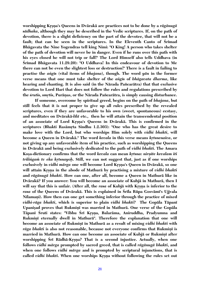**worshipping Kåñëa's Queens in Dvärakä are practices not to be done by a** *rägänugä sädhaka***, although they may be described in the Vedic scriptures. If, on the path of devotion, there is a slight deficiency on the part of the devotee, that will not be a**  fault; that can be seen in the scriptures. In the Eleventh Canto of Srimad **Bhägavata the Nine Yogendras tell king Nimi: "O King! A person who takes shelter of the path of devotion will never be in danger. Even if he runs over this path with his eyes closed he will not trip or fall!" The Lord Himself also tells Uddhava (in Çrémad Bhägavata 11.29.20): "O Uddhava! In this endeavour of devotion to Me there can not be even the slightest loss or destruction!" There is a fault in failing to practise the** *aìgés* **(vital items of** *bhajana***), though. The word** *yän* **in the former verse means that one must take shelter of the** *aìgés* **of** *bhägavata dharma***, like hearing and chanting. It is also said (in the Närada Païcarätra) that that exclusive devotion to Lord Hari that does not follow the rules and regulations prescribed by**  the *srutis*, *smrtis*, Purānas, or the Nārada Pañcarātra, is simply causing disturbance.

**If someone, overcome by spiritual greed, begins on the path of** *bhajana***, but still feels that it is not proper to give up all rules prescribed by the revealed scriptures, even if they are unfavorable to his own (sweet, spontaneous) ecstasy, and meditates on Dvärakä-***lélä* **etc., then he will attain the transcendental position**  of an associate of Lord Krsna's Queens in Dvārakā. This is confirmed in the scriptures (Bhakti Rasāmrta Sindhu 1.2.303): "One who has the great desire to **make love with the Lord, but who worships Him solely with** *vidhi bhakti***, will become a Queen in Dvārakā." The word** *kevala* **in this verse means** *krtsnenaiva***, or not giving up any unfavorable item of his practice, such as worshipping the Queens in Dvärakä and being exclusively dedicated to the path of** *vidhi bhakti***. The Amara**  Kosa-dictionary confirms that the word *kevala* can mean *krtsna: nirnite kevalam iti trilingam tv eka krtsnayoh*. Still, we can not suggest that, just as if one worships exclusively in *vidhi mārga* one will become Lord Krsna's Queen in Dvārakā, so one will attain Krsna in the abode of Mathurā by practising a mixture of *vidhi bhakti* **and** *rägänugä bhakti***. How can one, after all, become a Queen in Mathurä like in Dvärakä? If you answer: You will become an associate of Kubjä in Mathurä, then I**  will say that this is unfair. (After all, the *rasa* of Kubjā with Krsna is inferior to the *rasa* **of the Queens of Dvärakä. This is explained in Çréla Rüpa Gosvämé's Ujjvala**  Nilamani). How then can one get something inferior through the practice of mixed *vidhi-räga bhakti***, which is superior to plain** *vidhi bhakti***? The Gopäla Täpané** Upanisad proves that Rukmini was married in Mathurā. One verse of the Gopāla **Täpané Çruti states: "Vibhu Çré Kåñëa, Balaräma, Aniruddha, Pradyumna and**  Rukmini eternally dwell in Mathurā". Therefore the explanation that one will **become an associate of Rukminī in Mathurā as a result of mixing** *vidhi bhakti* **with** *rāga bhakti* is also not reasonable, because not everyone confirms that Rukmiņī is **married in Mathurā. How can one become an associate of Kubjā or Rukmiņī after** worshipping Srī Rādhā-Krṣṇa? That is a second injustice. Actually, when one **follows** *vidhi märga* **prompted by sacred greed, that is called** *rägänugä bhakti***, and when one follows** *vidhi märga* **and is prompted by scriptural injunctions, that is**  called *vidhi bhakti*. When one worships Krsna without following the rules set out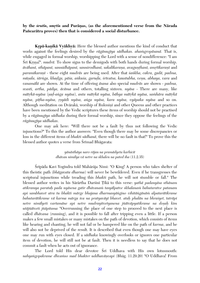by the *srutis, smrtis* and Purāṇas, (as the aforementioned verse from the Nārada **Païcarätra proves) then that is considered a social disturbance.**

**Krpā-kanikā Vyākhyā:** Here the blessed author mentions the kind of conduct that works against the feelings desired by the *rägänugéya sädhakas. ahaàgropäsanä.* That is, while engaged in formal worship, worshipping the Lord with a sense of nondifference: "I am Srī Krsna!". *mudrā*. To show signs to the demigods with both hands during formal worship. *ävähané, sthäpané, sannidhäpané, sannirodhané, sakalékaraëa, avaguëöhané, amåtékaraëé* and *paramīkaranī* - these eight *mudrās* are being used. After that *sankha, cakra, gadā, padma, mūṣala, śārṅga, khaḍga, pāśa, aṅkuśa, garuḍa, śrīvatsa, kaustubha, veṇu, abhaya, vara* and *vanamälä* are shown. At the time of offering *äsana* also special *mudräs* are shown - *padma, svasti, artha, pädya, äcäma* and others, totalling sixteen. *nyäsa* - There are many, like *mātrkā-nyāsa (sad-anga nyāsa), anta mātrkā nyāsa, bāhya mātrkā nyāsa, samhāra mātrkā nyäsa, péöha-nyäsa, åñyädi nyäsa, aìga nyäsa, kara nyäsa, vyäpaka nyäsa* and so on. Although meditation on Dvārakā, worship of Rukminī and other Queens and other practices have been mentioned by the Vedic scriptures these items of worship should not be practised by a *rägänugéya sädhaka* during their formal worship, since they oppose the feelings of the *rägänugéya sädhakas*.

One may ask here: "Will there not be a fault by thus not following the Vedic injunctions?" To this the author answers: "Even though there may be some discrepancies or loss in the different items of *bhakti sädhanä*, there will be no fault in that!" To prove this the blessed author quotes a verse from Śrīmad Bhāgavata:

> *yänästhäya naro räjan na pramädyeta karhicit dhävan nimilya vä netre na skhalen na pated iha* (11.2.35)

Srīpāda Kavi Yogīndra told Mahārāja Nimi: "O King! A person who takes shelter of this theistic path (*bhägavata dharma*) will never be bewildered. Even if he transgresses the scriptural injunctions while treading this *bhakti* path, he will not stumble or fall." The blessed author writes in his Särärtha Darçiné Öékä to this verse: *yathä padanyäsa sthänam atikramya parataù pada nyäsena gatir dhävanaà tasyälpatve skhalanaà bahutaratve patanam api sambhavet atra tu bhakti märge bhajana dharmasyäìgino vihitäìgänäà alpatarätikrame bahutarätikrame vä karma märga iva na pratyaväyé bhavet. ataù phalän na bhraçyet, taträpi netre nimélyeti vartamäne api netre mudrayitvetyanena jïätväpyatikrame na doñaù kim utäjïätveti jïäpitama* "Overrunning the place of one step to proceed to the next place is called *dhävana* (running), and it is possible to fall after tripping even a little. If a person makes a few small mistakes or many mistakes on the path of devotion, which consists of items like hearing and chanting, he will not fail or be hampered like on the path of *karma*, and he will also not be deprived of the result. It is described that even though one may have eyes one may run with eyes closed. If a *sädhaka* knowingly overlooks or ignores one particular item of devotion, he will still not be at fault. Then it is needless to say that he does not commit a fault when he acts out of ignorance.

The Lord told His dear devotee S<sub>ri</sub> Uddhava with His own lotusmouth: nahyangopakrame dhvamso mad bhakter uddhavāņvapi (Bhāg. 11.29.20) "O Uddhava! From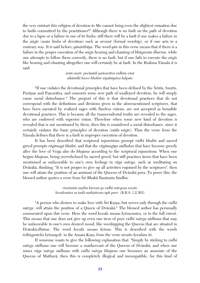the very outstart this religion of devotion to Me cannot bring even the slightest ruination due to faults committed by the practitioner!" Although there is no fault on the path of devotion due to a lapse or a failure in one of its limbs, still there will be a fault if one makes a failure in the *aìgés* (main limbs of devotion) such as *arcanä* (formal worship), or if one acts in a contrary way. It is said before; *yänästhäya.* The word *yän* in this verse means that if there is a failure in the proper execution of the *aìgés* hearing and chanting of *bhägavata dharma*, while one attempts to follow them correctly, there is no fault, but if one fails to execute the *aìgés* like hearing and chanting altogether one will certainly be at fault. In the Brahma Yämala it is said:

> *çruti småti puräëädi païcarätra vidhià vinä aikäntiké harer bhaktir utpätäyaiva kalpate*

"If one violates the devotional principles that have been defined by the Srūtis, Smrtis, Purāņas and Pascarātra, and concocts some new path of unalloyed devotion, he will simply cause social disturbance." The purport of this is that devotional practices that do not correspond with the definitions and divisions given in the aforementioned scriptures, that have been narrated by realized sages with flawless visions, are not accepted as bonafide devotional practices. This is because all the transcendental truths are revealed to the sages, who are endowed with superior vision. Therefore when some new kind of devotion is revealed that is not mentioned by them, then this is considered a social disturbance, since it certainly violates the basic principles of devotion (*müla aìgés*). Thus the verse from the Yämala defines that there is a fault in improper execution of devotion.

It has been described that scriptural injunctions prompt *vidhi bhakti* and sacred greed prompts *rägänugä bhakti*, and that the *rägänugéya sädhakas* that have become greedy after the love of Vraja also do *bhajana* according to the scriptural injunctions. When one begins *bhajana*, being overwhelmed by sacred greed, but still practises items that have been mentioned as unfavorable to one's own feelings in *räga märga*, such as meditating on Dvärakä, thinking: "It is not proper to give up all activities enjoined by the scriptures", then one will attain the position of an assistant of the Queens of Dvärakä pura. To prove this, the blessed author quotes a verse from Srī Bhakti Rasāmrta Sindhu:

> *riraàsäà suñöhu kurvan yo vidhi märgeëa sevate kevalenaiva sa tadä mahiñétvam iyät pure* (B.R.S. 1.2.303)

"A person who desires to make love with Sri Krsna, but serves only through the *vidhi märga*, will attain the position of a Queen of Dvärakä." The blessed author has personally commented upon this verse. Here the word *kevala* means *krtsnenaiva*, or to the full extent. This means that one does not give up even one item of pure *vidhi märga sädhana* that may be unfavorable to one's own desired mood, like worshipping the Queens that are situated in Dvārakā-*dhāma*. The word *kevala* means *krtsna*. This is described with the words *trilinganteka krtsnayoh* in the Amara Kosa, from the verse *nirnīte kevalam iti*.

If someone wants to give the following explanation that: "Simply by sticking to *vidhi märga sädhana* one will become a maidservant of the Queens of Dvärakä, and when one mixes *räga märga sädhana* with *vidhi märga bhajana* one becomes an associate of the Queens of Mathurä, then this is completely illogical and incompatible, for this kind of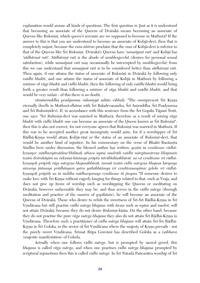explanation would arouse all kinds of questions. The first question is: Just as it is understood that becoming an associate of the Queens of Dvärakä means becoming an associate of Queens like Rukmini, which queen's servants are we supposed to become in Mathura? If the answer to this is that you are understood to become an associate of Kubja-devi, then that is completely unjust, because the *rasa-çästras* proclaim that the *rasa* of Kubjä-*devé* is inferior to that of the Queens like Śrī Rukminī. Dvārakā's Queens have 'samañjasā rati' and Kubjā has 'sādhāranī rati'. Sādhāranī rati is the abode of sambhogecchā (desires for personal sexual satisfaction), while *samaïjasä rati* may occasionally be interrupted by *sambhogecchä*; from this we can understand that *samasjasā rati* is to be considered better than *sādhāranī rati*. Then again, if one attains the status of associate of Rukmini in Dvärakä by following only *vaidhi bhakti*, and one attains the status of associate of Kubjä in Mathurä by following a mixture of *räga bhakti* and *vidhi bhakti*, then the following of only *vaidhi bhakti* would bring forth a greater result than following a mixture of *räga bhakti* and *vaidhi bhakti*, and that would be very unfair - of this there is no doubt.

*rāmāniruddha pradyumna rukmiņyā sahito vibhuḥ*: "The omnipresent Śrī Krsna eternally dwells in Mathurā-*dhāma* with Śrī Baladevacandra, Śrī Aniruddha, Śrī Pradyumna and Śrī Rukminīdevī. If, in accordance with this sentence from the Śrī Gopāla Tāpanī Śruti, one says: "Śrī Rukminī-devī was married in Mathurā, therefore as a result of mixing *rāga bhakti* with *vidhi bhakti* one can become an associate of the Queen known as Srī Rukminī", then this is also not correct, for not everyone agrees that Rukmini was married in Mathurā. If this was to be accepted another great incongruity would arise, for if a worshipper of Sri Rādhā-Krsna would attain Kubjā-rānī or the status of an associate of Rukminī-devī, that would be another kind of injustice. In his commentary on the verse of Bhakti Rasamita Sindhu here under discussion, the blessed author has written: *yesām tu vrndāvane rādhā*krsnayor mādhuryāsvādane'bhilāsah athaca nyāsa mudrādi vaidhī mārgānusārena bhajanam tesāṁ dvārakāyāṁ na rukminī-kāntasya prāptis tatrābhilāsābhāvāt. na vā vrndāvane śrī rādhā*kåñëayoù präptiù räga märgeëa bhajanäbhävät. tasmät teñäà vidhi märgeëa bhajana käryasya*  aiśvarya jñānasya prādhānyam yatra yathābhūtasya śrī vrndāvanasyāmśe goloke śrī rādhā*kåñëayoù präptiù na tu çuddha mädhuryamaye våndävane iti jïeyam* "If someone desires to make love with Śrī Krsna without eagerly longing for things related to that, such as Vraja, and does not give up items of worship such as worshipping the Queens or meditating on Dvärakä, however unfavorable they may be, and thus serves in the *vidhi märga* (through meditation and practice of the *mantra* of *gopikanta*), he will become an associate of the Queens of Dvārakā. Those who desire to relish the sweetness of Srī-Šrī Rādhā-Krșņa in Šrī Våndävana but still practise *vidhi märga bhajana* with items such as *nyäsa* and *mudrä*, will not attain Dvārakā, because they do not desire Rukmini-kānta. On the other hand, because they do not practise the pure *rāga mārga bhajana* they also do not attain Śrī Rādhā-Krsna in Vrndāvana. Therefore such a practitioner of *vidhi mārga bhajana* will attain Śrī-Śrī Rādhā-Krsna in Śrī Goloka, in the sector of Śrī Vrndāvana where the majesty of Krsna prevails - not the purely sweet Vrndāvana. Srīmat Rūpa Gosvāmī has described Goloka as a *vaibhava* (majestic manifestation) of Gokula.

Actually when one follows *vidhi märga*, but is prompted by sacred greed, this *bhajana* is called *räga märga*, and when one practises *vidhi märga bhajana* prompted by scriptural injunctions then this is called *vidhi mārga*. In Śrī Nārada Pañcarātra worship of Śrī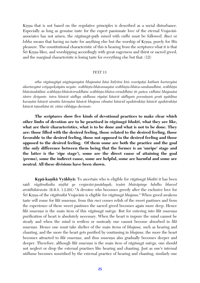Krsna that is not based on the regulative principles is described as a social disturbance. Especially as long as genuine taste for the expert passionate love of the eternal Vrajavasiassociates has not arisen, the *rägänugä*-path mixed with *vidhi* must be followed. *Ruci* or *lobha* means that having no taste for anything else but the worship of Krsna, purely for His pleasure. The constitutional characteristic of this is hearing from the scriptures what it is that Srī Krsna likes, and worshipping accordingly with great eagerness and thirst or sacred greed, and the marginal characteristic is losing taste for everything else but that. (12)

#### *TEXT 13:*

*atha rägänugäyä aìgänyanyäni bhajanäni käni kédåçéni kià svarüpäëi kathaà kartavyäni akartavyäni vetyapekñäyäm ucyate. sväbhéñöa-bhävamayäni sväbhéñöa-bhäva-sambandhéni, sväbhéñöa bhävänuküläni sväbhéñöa-bhäväviruddhäni sväbhéñöa-bhäva-viruddhäni iti païca vidhäni bhajanäni çästre dåçyante. tatra känicit sädhya sädhana rüpäëi känicit sädhyaà premäëaà prati upädäna*  karaņāni kānicit nimitta kāraņāni kānicit bhajana cihnāni kānicid upakārakāņi kānicit apakārakāņi kānicit tațasthāni iti. etāni vibhājya darśante.

**The scriptures show five kinds of devotional practices to make clear which other limbs of devotion are to be practised in** *rägänugä bhakti***, what they are like, what are their characteristics, what is to be done and what is not to be done. They are: those filled with the desired feeling, those related to the desired feeling, those favorable to the desired feeling, those not opposed to the desired feeling and those opposed to the desired feeling. Of them some are both the practice and the goal (the only difference between them being that the former is an 'unripe' stage and the latter is the 'ripe stage'), some are the direct cause of attaining the goal (***prema***), some the indirect cause, some are helpful, some are harmful and some are neutral. All these divisions have been shown.**

**Kåpä-kaëikä Vyäkhyä:** To ascertain who is eligible for *rägänugä bhakti* it has been said: rāgātmikaika niṣṭhā ye vrajavāsi-janādayaḥ; teṣāṁ bhāvāptaye lubdho bhaved *aträdhikäravän* (B.R.S. 1.2.291) "A devotee who becomes greedy after the exclusive love for Çré Kåñëa of the *rägätmikä* Vrajaväsés is eligible for *rägänugä bhajana*." When greed awakens taste will come for *lila smarana*, from this *ruci* comes relish of the sweet pastimes and from the experience of these sweet pastimes the sacred greed becomes again more deep. Hence *līlā smaraņa* is the main item of this *rāgānugā mārga*. But for entering into *līlā smaraņa* purification of heart is absolutely necessary. When the heart is impure the mind cannot be steady and when the mind is restless or unsteady one cannot become absorbed in *lélä smarana*. Hence one must take shelter of the main items of *bhajana*, such as hearing and chanting, and the more the heart gets purified by continuing in *bhajana*, the more the heart becomes attracted to *lila smarana*, and thus *smarana* also gradually becomes deeper and deeper. Therefore, although *lilā smarana* is the main item of *rāgānugā mārga*, one should not neglect or drop the external practises like hearing and chanting. Just as one's internal *sädhana* becomes nourished by the external practice of hearing and chanting, similarly one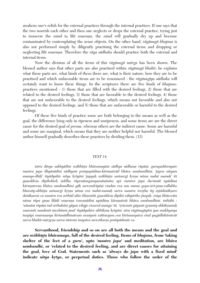awakens one's relish for the external practices through the internal practices. If one says that the two nourish each other and then one neglects or drops the external practice, trying just to immerse the mind in *lila smarana*, the mind will gradually dry up and become contaminated by contemplating the sense objects. On the other hand, *rägänugä bhajana* is also not performed simply by diligently practising the external items and dropping or neglecting *lilā smarana*. Therefore the *rāga sādhaka* should practice both the external and internal items.

Now the division of all the items of this *rägänugä märga* has been shown. The blessed author says that other parts are also practised within *rägänugä bhakti*, he explains what these parts are, what kinds of them there are, what is their nature, how they are to be practised and which unfavorable items are to be renounced - the *rägänugéya sädhaka* will certainly want to know these things. In the scriptures there are five kinds of *bhajana*practices mentioned - 1) those that are filled with the desired feelings, 2) those that are related to the desired feelings, 3) those that are favorable to the desired feelings, 4) those that are not unfavorable to the desired feelings, which means not favorable and also not opposed to the desired feelings, and 5) those that are unfavorable or harmful to the desired feelings.

Of these five kinds of practice some are both belonging to the means as well as the goal, the difference lying only in ripeness and unripeness, and some items are are the direct cause for the desired goal of *prema*, whereas others are the indirect cause. Some are harmful and some are marginal, which means that they are neither helpful nor harmful. The blessed author himself gradually describes these practices by dividing them. (13)

#### *TEXT 14:*

*tatra däsya sakhyädéni sväbhéñöa bhävamayäni sädhya sädhana rüpäëi. gurupadäçrayato*  mantra japa dhyānādīni sādhyam pratyupādāna-kāranatvād bhāva sambandhīni. 'japen nityam *ananya-dhéù' ityädyukte nitya kåtyäni 'japyaù sväbhéñöa saàsargé kåñëa näma mahä manuù' iti gaëoddeça dépikokteù siddha rüpenänugamyamänänäm api mantra japa darçanät upädäna käraëatvena bhäva sambandhéni gäù sarvendriyäëi vindan eva san mama gopa-stré-jana-vallabho bhavaty-abhéñöa saàsargi kåñëa näma eva mahä-manuù sarva mantra çreñöha ity añöädaçäkñaro daçäkñaraç ca mantra eva arthäd ukto bhavatéti gaëoddeça dépikä väkyärtho jïeyaù. svéya bhävocita*  nāma rūpa guna līlādi smarana *śravanādīni upādāna kāranatvāt bhāva sambandhīni, tathāhi -'nämäni rüpäëi tad arthakäni gäyan vilajjo vicared asaìga' iti. 'çåìvanti gäyanti gåëanty abhékñnaçaù smaranti nandanti tavehitaà janä' ityädyukter abhékñna kåtyäni. atra rägänugäyäà yan mukhyasya tasyäpi smaraëasya kértanädhénatvam avaçyaà vaktavyam eva kértanasyaiva etad yugädhikäratvät*  sarva bhakti-mārgesu sarva *śāstrais tasyaiva sarvotkarsa pratipādanāc ca.* 

**Servanthood, friendship and so on are all both the means and the goal and are** *sväbhéñöa bhävamaya***, full of the desired feeling. Items of** *bhajana***, from 'taking shelter of the feet of a** *guru***', upto '***mantra japa***' and meditation, are** *bhäva sambandhé***, or 'related to the desired feeling, and are direct causes for attaining the goal, love of God. Statements such as 'always do** *japa* **with a fixed mind'**  indicate *nitya krtya*, or perpetual duties. Those who follow the order of the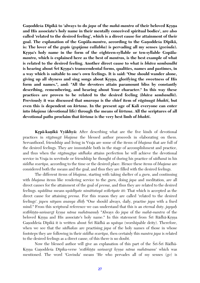Ganoddesa Dipika<sup>t</sup> to 'always to do *japa* of the *mahā-mantra* of their beloved Krsna **and His associate's holy name in their mentally conceived spiritual bodies', are also called 'related to the desired feeling', which is a direct cause for attainment of their goal. The explanation of the Gopäla-***mantra***, according to the Gaëoddeça Dépikä,**  is: The lover of the *gopts* (*goptiana vallabha*) is pervading all my senses (*govinda*). Krsna's holy name in the form of the eighteen-syllable or ten-syllable Gopala*mantra,* **which is explained here as the best of** *mantras,* **is the best example of what is related to the desired feeling. Another direct cause to what is** *bhäva sambandhé* is hearing about Srī Krsna's transcendental forms, qualities, names and pastimes, in **a way which is suitable to one's own feelings. It is said: "One should wander alone,**  giving up all shyness and sing songs about Krsna, glorifying the sweetness of His **form and names.", and: "All the devotees attain paramount bliss by constantly describing, remembering, and hearing about Your character." In this way these practices are proven to be related to the desired feeling (***bhäva sambandhé***). Previously it was discussed that** *smarana* **is the chief item of** *rāgānugā bhakti***, but even this is dependent on** *kértana***. In the present age of Kali everyone can enter**  into *bhajana* (devotional life) through the means of *kirtana*. All the scriptures of all **devotional paths proclaim that** *kértana* **is the very best limb of** *bhakti***.** 

**Krpā-kanikā Vyākhyā:** After describing what are the five kinds of devotional practices in *rägänugä bhajana* the blessed author proceeds in elaborating on them. Servanthood, friendship and living in Vraja are some of the items of *bhajana* that are full of the desired feelings. They are immutable both in the stage of accomplishment and practice, and thus when the *rāgānugīya sādhaka* attains perfection he will achieve the devotional service in Vraja in servitude or friendship he thought of during his practice of *sädhanä* in his *siddha svarüpa*, according to the time or the desired place. Hence these items of *bhajana* are considered both the means and the goal, and thus they are filled with the desired feelings.

The different items of *bhajana*, starting with taking shelter of a *guru*, and continuing with *bhajana* items like rendering service to the *guru*, doing *japa* and meditation, are all direct causes for the attainment of the goal of *prema*, and thus they are related to the desired feelings. *upädäna* means *upädéyate nimittatayä svékréyate iti*: That which is accepted as the direct cause for attaining *prema*. For this reason they are called 'related to the desired feelings'. *japen nityam ananya dhéù* "One should always, daily, practise *japa* with a fixed mind." From this scriptural reference we can understand that this is an eternal duty. *japyaù svābhīsta-samsargī krsņa nāma mahāmanuḥ* "Always do *japa* of the *mahā-mantra* of the beloved Krsna and His associate's holy name." In this statement from Sri Rädhä-Krsna Ganoddesa Dīpikā it is written about Śrī Rādhā as *upāsya* (worshipable deity). Therefore, when we see that the *sädhakas* are practising *japa* of the holy names of those in whose footsteps they are following in their *siddha svarüpa*, then certainly this *mantra japa* is related to the desired feelings as a direct cause, of this there is no doubt.

Now the blessed author will give an explanation of this part of the Sri-Sri Radha-Krsna Ganoddesa Dipika-verse 'svabhista samsargi krsna näma mahāmanu' which was mentioned. The word 'Govinda' means 'He who pervades all of my senses (*go*) is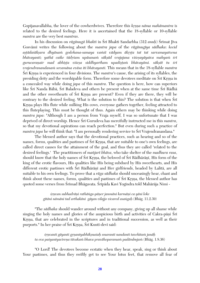Gopijanavallabha, the lover of the cowherdwives. Therefore this *krsna nāma mahāmantra* is related to the desired feelings. Here it is ascertained that the 18-syllable or 10-syllable *mantra* are the very best *mantras*.

In his discussion on *rāgānugā bhakti* in Śrī Bhakti Sandarbha (312 *anuh*) Śrīmat Jīva Gosvāmī writes the following about the *mantra japa* of the *rāgānugīya sādhaka*: *kecid* astādaśākṣara dhyānaṁ godohana-samaya vaṁśī vādyam ākṛṣṭa tat tat sarvamayatvena bhāvayanti; yathā caike tādrśam upāsanam sāksād vrajajana viśesayāyaiva mahyam śrī gurucaranair mad abhīșta viśesa siddhyartham upadistam bhāvayāmi. sākṣāt tu śrī *vrajendranandanaà sevamäna eväsa iti bhävayanti.* This means that in the 18-syllable *mantra* Śrī Krsna is experienced in four divisions. The *mantra*'s cause, the arising of its syllables, the presiding deity and the worshipable form. Therefore some devotees meditate on Srī Krsna in a concealed way while doing *japa* of this *mantra*. The question is here, how can superiors like Śrī Nanda Bābā, Śrī Baladeva and others be present when at the same time Śrī Rādhā and the other sweethearts of Sri Krsna are present? Even if they are there, they will be contrary to the desired feeling. What is the solution to this? The solution is that when Sri Krsna plays His flute while milking His cows, everyone gathers together, feeling attracted to this fluteplaying. This must be thought of thus. Again others may be thinking while doing *mantra japa*: "Although I am a person from Vraja myself, I was so unfortunate that I was deprived of direct worship. Hence Sri Gurudeva has mercifully instructed me in this *mantra*, so that my devotional aspirations can reach perfection." But even during such a practice of *mantra japa* he will think that: "I am personally rendering service to Sri Vrajendranandana."

The blessed author says that the devotional practices, such as hearing and so of the names, forms, qualities and pastimes of  $\overline{S}r\overline{i}$  Krsna, that are suitable to one's own feelings, are called direct causes for the attainment of the goal, and thus they are called 'related to the desired feelings.' The practitioners of *maïjaré bhäva*, who take shelter of the *madhura rasa*, should know that the holy names of Śrī Krsna, the beloved of Śrī Rādhārāņī, His form of the king of the erotic flavours, His qualities like His being subdued by His sweethearts, and His different erotic pastimes with Śrī Rādhārānī and Her girlfriends, headed by Lalitā, are all suitable to his own feelings. To prove that a *räga sädhaka* should unceasingly hear, chant and think about these names, forms, qualities and pastimes of Sri Krsna, the blessed author has quoted some verses from Śrīmad Bhāgavata. Śrīpāda Kavi Yogīndra told Mahārāja Nimi -

> *çåëvan subhadräëi rathäìga-päëer janmäni karmäëi ca yäni loke gétäni nämäni tad arthakäni gäyan vilajjo vicared asaìgaù* (Bhäg. 11.2.39)

"The *sädhaka* should wander around without any company, giving up all shame while singing the holy names and glories of the auspicious birth and activities of Cakra-pani Sri Krsna, that are celebrated in the scriptures and in traditional succession, as well as their purports." In her praise of Srī Krsna, Srī Kuntī-devī said:

*çåëvanti gäyanti gåëantyabhékñnaçaù smaranti nandanti tavehitaà janäù ta eva paçyantyacireëa tävakaà bhava pravähoparamaà padämbujaà* (Bhäg. 1.8.36)

"O Lord! The devotees become ecstatic when they hear, speak, sing or think about Your pastimes, and thus they swiftly get to see Your lotus feet, that remove all fear of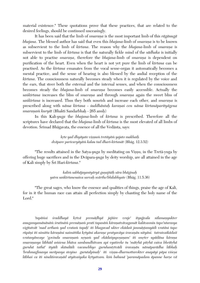material existence." These quotations prove that these practices, that are related to the desired feelings, should be continued unceasingly.

It has been said that the limb of *smarana* is the most important limb of this *rāgānugā bhajana*. The blessed author has said that even this *bhajana*-limb of *smarana* is to be known as subservient to the limb of *kirtana*. The reason why the *bhajana*-limb of *smarana* is subservient to the limb of *kértana* is that the naturally fickle mind of the *sädhaka* is initially not able to practise *smarana*, therefore the *bhajana*-limb of *smarana* is dependent on purification of the heart. Even when the heart is not yet pure the limb of *kértana* can be practised. As the *kértana* emanates from the vocal sense-organ it automatically becomes a mental practice, and the sense of hearing is also blessed by the audial reception of the *kīrtana*. The consciousness naturally becomes steady when it is regulated by the voice and the ears, that steer both the external and the internal senses, and when the consciousness becomes steady the *bhajana*-limb of *smarana* becomes easily accessible. Actually the *sankurtana* increases the bliss of *smarana* and through *smarana* again the sweet bliss of *sankurtana* is increased. Thus they both nourish and increase each other, and *smarana* is prescribed along with *näma kértana* - *çuddhäntaù karaëaç cen näma kértanäparityägena smaraëaà kuryät* (Bhakti Sandarbhaù - 265 anuù)

In this Kali-*yuga* the *bhajana*-limb of *kértana* is prescribed. Therefore all the scriptures have declared that the *bhajana*-limb of *kértana* is the most elevated of all limbs of devotion. Śrīmad Bhāgavata, the essence of all the Vedānta, says:

> *kåte yad dhyäyate viñëuà tretäyäà yajato makhaiù dväpare paricaryäyäà kalau tad dhari-kértanät* (Bhäg. 12.3.52)

"The results attained in the Satya-*yuga* by meditating on Viñëu, in the Tretä-yuga by offering huge sacrifices and in the Dväpara-*yuga* by deity worship, are all attained in the age of Kali simply by Çré Hari*-kértana*."

> *kalià sabhäjayantyäryä guëajïäù sära bhäginaù yatra saìkértanenaiva sarvaù svärtho'bhilabhyate* (Bhäg. 11.5.36)

"The great sages, who know the essence and qualities of things, praise the age of Kali, for in it the human race can attain all perfection simply by chanting the holy name of the Lord."

'tapāmsi *śraddhayā krtvā premāḍhyā jajñire vraje' ityujjvala nīlamaṇyukter anugamyamänänäà çruténäà premäëaà prati tapasäà käraëatvävagamät kalävasmin tapo'ntarasya*   $v$ igītatvāt 'mad artham yad vratam tapah' iti bhagavad ukter ekādaśī janmāstamyādi vratāni tapo rūpāņi iti nimitta kāraņāni naimittika krtyāni akaraņe pratyavāya śravaņān nityāni. tatraivaikādaśī *vratasyānvaye 'govinda smaranam nrnam yad ekādaśyuposanam' iti smrter upādāna kārana* smaraņasya lābhād amsena bhāva sambandhitvam api vyatireke tu 'mātrhā pitrhā caiva bhrātrhā guruhā tathā<sup>,</sup> ityādi skāndādi vacanebhyo guruhantŗtvādi śravaņān nāmāparādha lābhaḥ 'brahmaghnasya surāpasya steyino gurutalpinah' iti visnu-dharmottarokter anapāyi pāpa viśesa *lābhaś ca iti nindāśravaṇād atyāvaśyaka kṛtyatvam. kiṁ bahunā 'paramāpadam āpanne harṣe vā*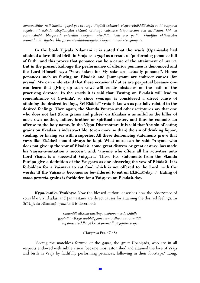*samupasthite. naikädaçéà tyajed yas tu tasya dékñästi vaiñëavé. viñëvarpitäkhiläcäräù sa hi vaiñëava ucyate'. iti skända väkyäbhyäm ekädaçé vratasya vaiñëava lakñaëatvam eva nirdiñöam. kià ca*  vaisnavānām bhagavad anivedita bhojana nisedhāḥ 'vaisnavo yadi bhuñjita ekādaśyām *pramädataù' ityatra bhagavan niveditännasyaiva bhojana niñedho'vagamyate.* 

In the book Ujjvala Nīlamani it is stated that the *srutis* (Upanisads) had **attained a love-filled birth in Vraja as a** *gopé* **as a result of 'performing penance full of faith', and this proves that penance can be a cause of the attainment of** *prema***. But in the present Kali-age the performance of ulterior penance is denounced and the Lord Himself says: "Vows taken for My sake are actually penance". Hence penances such as fasting on Ekādasī and Janmāstamī are indirect causes (for** *prema***). We can understand that these occasional duties are perpetual because one can learn that giving up such vows will create obstacles on the path of the**  practising devotee. In the *smrtis* it is said that 'Fasting on Ekādasī will lead to remembrance of Govinda', so since *smarana* is considered a direct cause of attaining the desired feelings, Srī Ekādasī-vrata is known as partially related to the desired feelings. Then again, the Skanda Purāṇa and other scriptures say that one **who does not fast (from grains and pulses) on Ekädaçé is as sinful as the killer of one's own mother, father, brother or spiritual master, and thus he commits an offense to the holy name. In the Visnu Dharmottara it is said that 'the sin of eating grains on Ekädaçé is indestructible, (even more so than) the sin of drinking liquor, stealing, or having sex with a superior. All these denouncing statements prove that vows like Ekädaçé should always be kept. What more can be said: "Anyone who does not give up the vow of Ekädaçé, come great distress or great ecstasy, has made**  his Vaisnava-initiation a success", and: "anyone who offers all his activities unto Lord Vișņu, is a successful Vaișņava." These two statements from the Skanda Purāna give a definition of the Vaisnava as one observing the vow of Ekādasī. It is forbidden for a Vaisnava to eat food which is not offered to the Lord, with the words: 'If the Vaisnava becomes so bewildered to eat on Ekādasi-day..." Eating of *mahā prasāda-grains is forbidden for a Vaisnava on Ekādaśī-day.* 

**Krpā-kanikā Vyākhyā:** Now the blessed author describes how the observance of vows like Śrī Ekādasī and Janmāṣṭamī are direct causes for attaining the desired feelings. In Śrī Ujjvala Nīlamanī-*grantha* it is described:

> *samantät sükñma-darçinyo mahopaniñado'khiläù gopénäà vékñya saubhägyam asamordhvaà suvismitäh tapäàsi çraddhayä kåtvä premäòhyä jajïire vraje*

> > (Haripriyä Pra. 47-48)

"Seeing the matchless fortune of the *gopts*, the great Upanisads, who are in all respects endowed with subtle vision, became most astonished and attained the love of Vraja and birth in Vraja by faithfully performing penances, following in their footsteps." Long,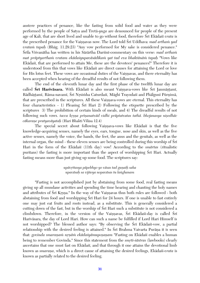austere practices of penance, like the fasting from solid food and water as they were performed by the people of Satya and Tretä-*yuga* are denounced for people of the present age of Kali, that are short lived and unable to go without food, therefore Sri Ekādasi *vrata* is the prescribed penance for the Vaisnavas now. The Lord told Sri Uddhava: *mad artham yad vratam tapah* (Bhag. 11.29.23) "Any vow performed for My sake is considered penance." Śrīla Viśvanātha has written in his Sārārtha Darśinī-commentary on this verse: *mad artham mat präptyarthaà vratam ekädaçyupaväsädikaà yat tad eva bhaktänäà tapaù* "Vows like Ekādasī, that are performed to attain Me, these are the devotees' penances!" Therefore it is understood from this that vows like Ekādasī are direct causes for attaining the Lord or love for His lotus feet. These vows are occasional duties of the Vaisnavas, and there eternality has been accepted when hearing of the dreadful results of not following them.

The end of the eleventh lunar day and the first phase of the twelfth lunar day are called **Srī Harivāsara.** With Ekādasī is also meant Vaiṣṇava-vows like Srī Janmāṣṭamī, Rādhāstamī, Rāma-navamī, Šrī Nrsimha Caturdasī, Māghī Trayodasī and Phālgunī Pūrnimā, that are prescribed in the scriptures. All these Vaisnava-vows are eternal. This eternality has four characteristics - 1) Pleasing  $\overline{S}$ rī Hari 2) Following the etiquette prescribed by the scriptures 3) The prohibition of certain kinds of meals, and 4) The dreadful results of not following such vows. *tacca krsna prinanatvād vidhi prāptatvatas tathā*. *bhojanasya nisedhāc cäkaraëe pratyaväyataù* (Hari Bhakti Viläsa 12.4)

The special secret about following Vaisnava-vows like Ekadasi is that the five knowledge-acquiring senses, namely the eyes, ears, tongue, nose and skin, as well as the five active senses, namely the voice, the hands, the feet, the anus and the genitals, as well as the internal organ, the mind - these eleven senses are being controlled during this worship of Sri Hari in the form of the Ekädaçé (11th day) vow! According to the *smärtas* (ritualistic puritans) the fasting is more important than the aspect of worshipping Sri Hari. Actually fasting means more than just giving up some food. The scriptures say:

> we*āvrttasya pāpebhyo yo vāsas tad gunaih saha upaväsaù sa vijïeya nopaväsas tu laìghanam*

"Fasting is not accomplished just by abstaining from some food, real fasting means giving up all mundane activities and spending the time hearing and chanting the holy names and attributes of Sri Krsna." In the way of the Vaisnavas thus both rules are followed - both abstaining from food and worshipping Sri Hari for 24 hours. If one is unable to fast entirely one may just eat fruits and roots instead, as a substitute. This is generally considered a cutting down of the fast, but in the worship of Śrī Hari such a substitute is not considered a climbdown. Therefore, in the version of the Vaisnavas, Śrī Ekādaśī-day is called Śrī Hariväsara, the day of Lord Hari. How can such a name be fulfilled if Lord Hari Himself is not worshipped? The blessed author says: "By observing the Srī Ekādasī-vow, a partial relationship with the desired feeling is attained." In Śrī Brahma Vaivarta Purāna it is seen that: *govinda smaranam nrnām ekādasyāmuposanam* "Fasting on Ekādasī enables a human being to remember Govinda." Since this statement from the *smrti-sastras* (lawbooks) clearly ascertains that one must fast on Ekādasī, and that through it one attains the devotional limb known as *smarana*, which is a direct cause of attaining the desired feelings, Ekādasī-*vrata* is known as partially related to the desired feeling.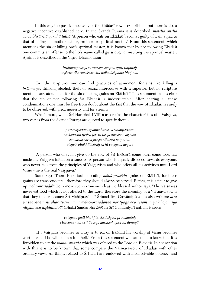In this way the positive necessity of the Ekadast-vow is established, but there is also a negative incentive established here. In the Skanda Purāņa it is described: *mātrhā pitrhā caiva bhrātrhā guruhā tathā* "A person who eats on Ekādasī becomes guilty of a sin equal to that of killing his mother, father, brother or spiritual master." From this statement, which mentions the sin of killing one's spiritual master, it is known that by not following Ekadasi one commits an offense to the holy name called *guru avajïa*, insulting the spiritual master. Again it is described in the Visnu Dharmottara:

> *brahmaghnasya suräpasya steyino guru talpinaù niñkåtir dharma çästroktä naikädaçyanna bhojinaù*

"In the scriptures one can find practices of atonement for sins like killing a *brāhmaņa*, drinking alcohol, theft or sexual intercourse with a superior, but no scripture mentions any atonement for the sin of eating grains on Ekadasi<sup>r</sup>. This statement makes clear that the sin of not following Sri Ekadasi is indestructable. After hearing all these condemnations one must be free from doubt about the fact that the vow of Ekadasi is surely to be observed, with great necessity and for eternity.

What's more, when Śrī Haribhakti Vilāsa ascertains the characteristics of a Vaisnava, two verses from the Skanda Purāna are quoted to specify them -

> *paramäpadam äpanne harñe vä samupasthite naikädaçéà tyajed yas tu tasya dékñästi vaiñëavé samätmä sarva jéveñu nijäcärä aviplutaù viñëvärpitäkhiläcäraù sa hi vaiñëava ucyate*

"A person who does not give up the vow of Śrī Ekādaśī, come bliss, come woe, has made his Vaisnava-initiation a success. A person who is equally disposed towards everyone, who never falls from the principles of Vaisnavism and who offers all his activities unto Lord Visnu - he is the real **Vaisnava**."

Some say: "There is no fault in eating *māhā-prasāda* grains on Ekādasī, for these grains are transcendental, therefore they should always be served. Rather, it is a fault to give up *mahā-prasāda*!" To remove such erroneous ideas the blessed author says: "The Vaisnavas never eat food which is not offered to the Lord, therefore the meaning of a Vaisnava-vow is that they then renounce Śrī Mahāprasāda." Śrīmad Jīva Gosvāmīpāda has also written: *atra* vaisņavāņām nirāhāratvam nāma mahā-prasādānna parityāga eva tesām anya bhojanasya *nityam eva nişiddhatvāt* (Bhakti Sandarbha 299) In Śrī Gautamīya Tantra it is seen:

> *vaiñëavo yadi bhuïjéta ekädaçyäà pramädataù viñëvarcanaà våthä tasya narakaà ghoram äpnuyät*

"If a Vaișnava becomes so crazy as to eat on Ekādasī his worship of Vișnu becomes worthless and he will attain a foul hell." From this statement we can come to know that it is forbidden to eat the *mahā-prasāda* which was offered to the Lord on Ekādaśī. In connection with this it is to be known that some compare the Vaisnava-vow of Ekadasi with other ordinary vows. All things related to Sri Hari are endowed with inconceivable potency, and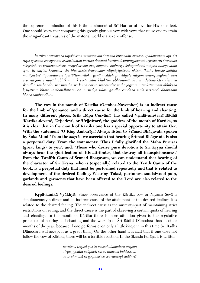the supreme culmination of this is the attainment of Sri Hari or of love for His lotus feet. One should know that comparing this greatly glorious vow with vows that cause one to attain the insignificant treasures of the material world is a severe offense.

kārtika vratasya ca tapo'*niśena nimittatvam śravana kīrtanādy am*śena upādānatvam api. śrī *rüpa gosvämé caraëänäm asakåd uktau kärtika devateti kärtika devétyürjjadevéti urjjeçvaréti çravaëäd viçeñataù çré våndävaneçvaré präpakatvam avagamyate. 'ambaréña çukaproktaà nityaà bhägavataà çåëu' iti småteù kramena çré bhägavata çravaëäder nityakåtyatvam uktam. 'kathä imäste kathitä mahéyasäm' ityanantaraà 'yastüttama-çloka guëänuvädaù prastüyate nityam amaìgalaghnaù tam eva nityaà çåëuyäd abhékñnaà kåñëe'maläà bhaktim abhépsamänaù'. iti dvädaçokter daçama skandha sambandhi sva preñöha çré kåñëa carita çravaëäder yathäyogyaà nityakåtyatvam abhékñna kåtyatvaà bhäva sambandhitvaà ca. nirmälya tulasé gandha candana mälä vasanädi dhäraëäni bhäva sambandhéni.*

**The vow in the month of Kärtika (October-November) is an indirect cause for the limb of 'penance' and a direct cause for the limb of hearing and chanting.**  In many different places, Śrīla Rūpa Gosvāmī has called Vrndāvanesvarī Rādhā 'Kārtika-devatā', 'Ūrjjādevī', or 'Ūrjjeśvarī', the goddess of the month of Kārtika, so **it is clear that in the month of Kärtika one has a special opportunity to attain Her.**  With the statement "O King Ambarisa! Always listen to Śrimad Bhāgavata spoken by Suka Muni!" from the *smrtis*, we ascertain that hearing Srimad Bhāgavata is also a perpetual duty. From the statements: "Thus I fully glorified the Maha Purusas (great kings) to you", and: "Those who desire pure devotion to Śrī Krsņa should **always hear the glorification of His attributes, that destroy all inauspiciousness."**  from the Twelfth Canto of Srimad Bhagavata, we can understand that hearing of the character of Sri Krsna, who is (especially) related to the Tenth Canto of the **book, is a perpetual duty that must be performed repeatedly and that is related to**  development of the desired feeling. Wearing Tulasi, perfumes, sandalwood pulp, **garlands and garments that have been offered to the Lord are also related to the desired feelings.**

**Krpā-kanikā Vyākhyā:** Since observance of the Kārtika vow or Niyama Sevā is simultaneously a direct and an indirect cause of the attainment of the desired feelings it is related to the desired feeling. The indirect cause is the austerity-part of maintaining strict restrictions on eating, and the direct cause is the part of observing a certain quota of hearing and chanting. In the month of Kärtika there is more attention given to the regulative principles of hearing and chanting and the worship of Śrī Rādhā-Dāmodara than in other months of the year, because if one performs even only a little *bhajana* in this time Srī Rādhā Dämodara will accept it as a great thing. On the other hand it is said that if one does not follow the vow of Kārtika, there will be a terrible reaction. In the Skanda Purāņa it is written:

> *avratena kñiped yas tu mäsaà dämodara priyam*  $t$ *iryag yonim avāpnoti sarva dharma bahiṣkṛtaḥ sa brahmahä sa goghnaç ca svarëasteyé sadänåté*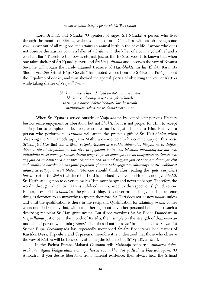#### *na karoti muni-çreñöha yo naraù kärtike vratam*

"Lord Brahmā told Nārada: "O greatest of sages, Śrī Nārada! A person who lives through the month of Kärtika, which is dear to Lord Dämodara, without observing some vow, is cast out of all religions and attains an animal birth in the next life. Anyone who does not observe the Kārtika vow is a killer of a *brāhmana*, the killer of a cow, a gold-thief and a constant liar." Therefore this vow is eternal, just as the Ekädaçi-vow. It is known that when one takes shelter of Sri Krsna's playground Sri Vraja-*dhāma* and observes the vow of Niyama Sevā he will obtain the rarely attained treasure of Hari-*bhakti*. In his Bhakti Rasāmrta Sindhu-*grantha* Śrīmat Rūpa Gosvāmī has quoted verses from the Śrī Padma Purāna about the Ürjä-limb of *bhakti*, and thus showed the special glories of observing the vow of Kärtika while taking shelter of Vraja-*dhäma* -

> *bhuktià muktià harir dadyäd arcito'nyatra sevinäm bhaktià ca dadätyeva yato vaçyakaré hareù sä tvaïjasä harer bhaktir labhyate kärtike naraiù mathuräyäà sakåd api çré dämodarajapünät*

"When Sri Krsna is served outside of Vraja-*dhāma* by complacent persons He may bestow sense enjoyment or liberation, but not *bhakti*, for it is not proper for Him to accept subjugation to complacent devotees, who have no loving attachment to Him. But even a person who performs no *sädhana* will attain the precious gift of Çré Hari-*bhakti* when observing the Çré Dämodara-püjä in Mathurä even once." In his commentary on this verse Śrīmat Jīva Gosvāmī has written: *vasyakarītavam atra sukha-dānenaiva jñeyam na tu duhka*dānena, ato bhaktyadāne na tad atra prayojakam kintu tena laksitam paramotkrstatvam eva. *tathävidhä ca sä näyogye sahasä dätuà yogyeti yävad agyogyatä tävad bhagavatä na déyata eva. yogyatä ca sarvänya sva hita nirapekñatvam eva. tasmäd yogyatäyäm eva satyäà dätavyatve'pi yadi mathurä kärtikayoù saìgame püjanaà ghaöate tadä yogyatävirahitenäpi vastu prabhävät sahasaiva präpyata eveti bhävaù "*No one should think after reading the *'yato vaçyakaré hareù'*-part of the *çloka* that since the Lord is subdued by devotion He does not give *bhakti*. Srī Hari's subjugation to devotion makes Him most happy and never unhappy. Therefore the words 'through which S<sub>ri</sub> Hari is subdued' is not used to disrespect or slight devotion. Rather, it establishes *bhakti* as the greatest thing. It is never proper to give such a supreme thing as devotion to an unworthy recipient, therefore S<sub>I</sub> Hari does not bestow *bhakti* unless and until the qualification is there in the recipient. Qualification for attaining *prema* comes when one desires only that, without bothering about any other personal benefits. To such a deserving recipient Śrī Hari gives *prema*. But if one worships Śrī-Śrī Rādhā-Dāmodara in Vraja*-dhäma* just once in the month of Kärtika, then, simply on the strength of that, even an unqualified person will attain *prema*." The blessed author says: "In his books like Stavamälä Srīmat Rūpa Gosvāmīpāda has repeatedly mentioned Srī-Srī Rādhārāņī's holy names of Kārtika Devī, Urjā-devī and Urjeśvarī, therefore it is understood that those who observe the vow of Kārtika will be blessed by attaining the lotus feet of Srī Vrndāvanesvarī.

In the Padma Purāna Maharsi Gautama tells Mahārāja Ambarīsa: *ambarīsa śukaproktaà nityaà bhägavataà çåëu. paöhasva svamukhenäpi yadécchasi bhava-kñayam*: "O Ambarisa! If you desire liberation from material existence, then always hear the Srimad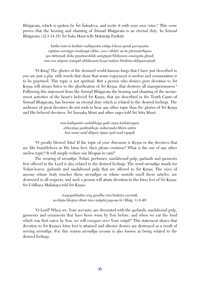Bhāgavata, which is spoken by  $\tilde{S}r\tilde{i}$  Sukadeva, and recite it with your own voice." This verse proves that the hearing and chanting of Srimad Bhagavata is an eternal duty. In Srimad Bhāgavata (12.3.14-15) Śrī Śuka Muni tells Mahārāja Parīkṣit:

> *kathä imäs te kathitä mahéyasäà vitäya lokeñu yaçaù pareyuñäm vijïäna vairägya vivakñayä vibho, vaco vibütér na tu päramärthyam yas tüttamaù çloka guëänuvädaù saàgéyate'bhékñnam amaìgala-ghnaù tam eva nityaà çåëuyäd abhékñnaà kåñëe'malaà bhaktim abhépsamänaù*

"O King! The glories of the demised world-famous kings that I have just described to you are just a play with words that show that sense enjoyment is useless and renunciation is to be practised. This topic is not spiritual. But a person who desires pure devotion to  $\overline{\text{Sri}}$ Krsna will always listen to the glorification of Śrī Krsna, that destroys all inauspiciousness." Following this statement from the Śrīmad Bhāgavata the hearing and chanting of the nectarsweet activities of the heart's beloved Sri Krsna, that are described in the Tenth Canto of  $\overline{\text{S}}$ rīmad Bhāgavata, has become an eternal duty which is related to the desired feelings. The audience of great devotees do not wish to hear any other topic than the glories of  $\overline{\text{Sri}}$  Krsna and His beloved devotees. Śrī Śaunaka Muni and other sages told Śrī Sūta Muni:

> *taà kathyatäà mahäbhäga yadi viñëu kathäçrayam athaväsya padämbhoja makaranda lihäà satäm kim anair asad äläpair äyuño yad asad vyayaù*

"O greatly blessed Sūta! If the topic of your discourse is Krsna or the devotees that are like bumblebees at His lotus feet, then please continue! What is the use of any other useless topic? It will simply reduce our lifespan in vain!"

The wearing of *nirmālya*, Tulasī, perfumes, sandalwood pulp, garlands and garments first offered to the Lord is also related to the desired feelings. The word *nirmälya* stands for Tulasi-leaves, garlands and sandalwood pulp that are offered to Sri Krsna. The vices of anyone whose body touches these *nirmälyas* or whose nostrils smell these articles, are destroyed in all respects, and such a person will attain devotion to the lotus feet of Srī Krsna. Śrī Uddhava Mahāśaya told Śrī Krsna:

> *tvayopabhukta srag gandha väso'laìkära carcitäù ucchiñöa bhojino däsäs tava mäyäà jayema hi* (Bhäg. 11.6.46)

"O Lord! When we, Your servants, are decorated with the garlands, sandalwood pulp, garments and ornaments that have been worn by You before, and when we eat the food which was first eaten by You, we will conquer over Your *mäyä*!" This statement shows that devotion to Śrī Krsna's lotus feet is attained and ulterior desires are destroyed as a result of serving *nirmälya*. For this reason *nirmälya sevana* is also known as being related to the desired feelings.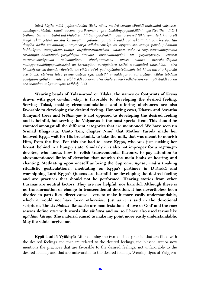*tulasé käñöha-mälä gopécandanädi tilaka näma mudrä caraëa cihnädi dhäraëäni vaiñëava*cihnānyanukūlāni. tulasī sevana parikramaņa praņāmādīnyapyanukūlāni. gavāśvattha dhātrī *brähmaëädi sammänäni tad bhäväviruddhäni upakärakäëi. vaiñëava-sevä tükta samasta lakñaëavaté* jñeyā. uktānyetāni sarvāni kartavyāni. yathaiva posyāt krsnād api sakāśāt tat posakesvāvartita *dugdha dadhi navanétädiñu vrajeçvaryä adhikaiväpekñä çré kåñëaà sva stanya payaù pibantaà bubhukñum apyapahäya tadéya dugdhottäraëärthaà gatatvät. tathaiva räga vartmänugamana*  rasābhijña bhaktānām posyebhyah *śravana kīrtanādibhyo'pi tat posakesvetesu sarvesu paramaiväpekñaëaà naivänucitam. ahaàgropäsana nyäsa mudrä dvärakä-dhyäna mahiñyarcanädényapakärakäëi na kartavyäni. puräëäntara kathä çravaëädéni taöasthäni. atra bhakteù sac cid änanda rüpatvän nirvikäratve'pi yad upädänatvädikaà tat khalu durvitarkyatväd eva bhakti çästreñu tatra prema viläsaù syur bhäväà snehädayas tu ñaö ityädiñu viläsa çabdena vyaïjitaà yathä rasa-çästre vibhävädi çabdena atra khalu sukha bodhärtham eva upädänädi çabda eva prayukta iti kñantavyaà sadbhiù. (14)*

Wearing beads of Tulasi-wood or Tilaka, the names or footprints of Krsna **drawn with** *gopé candana-***clay, is favorable to developing the desired feeling. Serving Tulasi, making circumambulations and offering obeisances are also favorable to developing the desired feeling. Honouring cows, Dhätré- and Açvattha**  (banyan-) trees and *brāhmanas* is not opposed to developing the desired feeling and is helpful, but serving the Vaisnavas is the most special item. This should be **counted amongst all the different categories that are mentioned. We have seen (in Çrémad Bhägavata, Canto Ten, chapter Nine) that Mother Yaçodä made her**  beloved Krsna wait for His breastmilk, to take the milk, that was meant to nourish Him, from the fire. For this she had to leave Krsna, who was just sucking her **breast, behind in a hungry state. Similarly it is also not improper for a** *rägänuga***devotee, who knows how to relish transcendental flavours, to pay attention to abovementioned limbs of devotion that nourish the main limbs of hearing and chanting. Meditating upon oneself as being the Supreme,** *nyäsa***,** *mudrä* **(making**  ritualistic gesticulations), meditating on Krsna's pastimes in Dvārakā and worshipping Lord Krsna's Queens are harmful for developing the desired feeling **and are practices that should not be performed. Hearing stories from other**  Purānas are neutral factors. They are nor helpful, nor harmful. Although there is **no transformation or change in transcendental devotion, it has nevertheless been divided in parts like 'direct cause', etc. to make it more easily understandable, which it would not have been otherwise. Just as it is said in the devotional scriptures 'the six** *bhävas* **like** *sneha* **are manifestations of love of God' and the** *rasa çästras* **define** *rasa* **with words like** *vibhäva* **and so, so I have also used terms like**  *upādāna kārana* (the material cause) to make my point more easily understandable. **May the saints forgive me.**

**Krpā-kanikā Vyākhyā:** After defining the two kinds of practice that are filled with the desired feelings and that are related to the desired feelings, the blessed author now mentions the practices that are favorable to the desired feelings, not unfavorable to the desired feelings and that are unfavorable to the desired feelings. Wearing signs of Vaisnava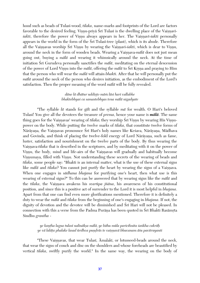hood such as beads of Tulasi-wood, *tilaka*, name-marks and footprints of the Lord are factors favorable to the desired feeling. Visnu-priya Śrī Tulasī is the dwelling place of the Vaisnavī*sakti*, therefore the power of Visnu always appears in her. The Vaisnavi-*sakti* personally appears in the world in the form of the Sri Tulasi-tree (plant), which is its abode. Therefore all the Vaisnavas worship Śrī Viṣṇu by wearing the Vaiṣṇavī-śakti, which is dear to Viṣṇu, around the neck in the form of wooden beads. Wearing a Vaisnava-*mālā* does not just mean going out, buying a *mälä* and wearing it whimsically around the neck. At the time of initiation  $\hat{S}r\hat{i}$  Gurudeva personally sanctifies the  $m\bar{a}l\bar{a}$ , meditating on the eternal descension of the power of Lord Visnu into the *mālā*, offering the *mālā* to Śrī Krsna and praying to Him that the person who will wear the *mälä* will attain *bhakti*. After that he will personally put the *mälä* around the neck of the person who desires initiation, as the embodiment of the Lord's satisfaction. Then the proper meaning of the word *mälä* will be fully revealed.

## *däne lä dhätur uddiñöo mäà läsi hari vallabhe bhaktebhyaç ca samastebhyas tena mälä nigadyate*

"The syllable *lä* stands for gift and the syllable *mä* for wealth. O Hari's beloved Tulasi! You give all the devotees the treasure of *prema*, hence your name is *mälä*. The same thing goes for the Vaisnavas' wearing of *tilaka*; they worship Śrī Viṣṇu by wearing His Viṣṇupower on the body. While putting the twelve marks of *tilaka*, that constitute twelve forms of Nārāyana, the Vaisnavas pronounce Śrī Hari's holy names like Kesava, Nārāyana, Mādhava and Govinda, and think of placing the twelve-fold energy of Lord Nārāyaṇa, such as fame, luster, satisfaction and nourishment on the twelve parts of the body. By thus wearing the Vaisnava-*tilaka* that is described in the scriptures, and by meditating with it on the power of Visnu, the body, mind and life-airs of the Vaisnavas will gradually and habitually become Visnumaya, filled with Visnu. Not understanding these secrets of the wearing of beads and *tilaka*, some people say: "Bhakti is an internal matter, what is the use of these external signs like *mālā* and *tilaka*? You cannot just purify the heart by wearing the signs of a Vaisnava. When one engages in *sädhana bhajana* for purifying one's heart, then what use is this wearing of external signs?" To this can be answered that by wearing signs like the *mälä* and the *tilaka*, the Vaisnava awakens his *svarūpa jñāna*, his awareness of his constitutional position, and since this is a positive act of surrender to the Lord it is most helpful in *bhajana*. Apart from that one can find even more glorifications mentioned. Therefore it is definitely a duty to wear the *mälä* and *tilaka* from the beginning of one's engaging in *bhajana*. If not, the dignity of devotion and the devotee will be diminished and Srī Hari will not be pleased. In connection with this a verse from the Padma Purāņa has been quoted in Śrī Bhakti Rasāmrta Sindhu *grantha* -

*ye kaëöha lagna tulasé nalinäkña mälä, ye bähu müla paricihnita çaìkha cakräù ye vä laläöa phalake lasad ürdhva puëòräs te vaiñëavä bhuvanam äçu pavitrayanti*

"These Vaisnavas, that wear Tulasi,  $\bar{A}$ malaki, or lotusseed-beads around the neck, that wear the signs of conch and disc on the shoulders and whose foreheads are beautified by vertical *tilaka*, swiftly purify the world." In the same way, the wearing on the body of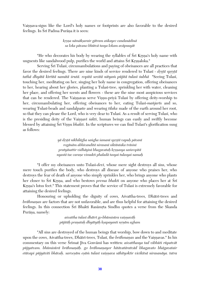Vaisnava-signs like the Lord's holy names or footprints are also favorable to the desired feelings. In Śrī Padma Purāņa it is seen:

> *kåñëa nämäkñarair gätram aìkayec candanädinä sa loka pävano bhütvä tasya lokam aväpnuyät*

"He who decorates his body by wearing the syllables of Sri Krsna's holy name with unguents like sandalwood pulp, purifies the world and attains Śrī Krsnaloka."

Serving Sri Tulasi, circumambulations and paying of obeisances are all practices that favor the desired feelings. There are nine kinds of service rendered to Tulasi - *drstā sprstā tathä dhyätä kértitä namitä çrutä. ropitä sevitä nityaà püjitä tulasé çubhä* "Seeing Tulasé, touching her, meditating on her, singing her holy name in congregation, offering obeisances to her, hearing about her glories, planting a Tulasi-tree, sprinkling her with water, cleaning her place, and offering her scents and flowers - these are the nine most auspicious services that can be rendered. The Vaisnavas serve Visnu-priyā Tulasī by offering deity-worship to her, circumambulating her, offering obeisances to her, eating Tulasi-mañjaris and so, wearing Tulasi-beads and sandalpaste and wearing *tilaka* made of the earth around her root, so that they can please the Lord, who is very dear to Tulasi. As a result of serving Tulasi, who is the presiding deity of the Vaisnavi *sakti*, human beings can easily and swiftly become blessed by attaining Sri Visnu *bhakti*. In the scriptures we can find Tulasi's glorification sung as follows:

> *yä dåñöä nikhilägha saìgha çamané spåñöä vapuù pävané rogänäm abhivanditä nirasané siktäntaka träsiné pratyäsattir vidhäyiné bhagavataù kåñëasya saàropitä nyastä tac caraëe vimukti phaladä tasyai tulasyai namaù*

"I offer my obeisances unto Tulasi-*devi*, whose mere sight destroys all sins, whose mere touch purifies the body, who destroys all disease of anyone who praises her, who destroys the fear of death of anyone who simply sprinkles her, who brings anyone who plants her closer to Sri Krsna, and who bestows *prema bhakti* on anyone who places her at Sri Krsna's lotus feet." This statement proves that the service of Tulasi is extremely favorable for attaining the desired feelings.

Honouring or upholding the dignity of cows, Asvattha-trees, Dhatri-trees and *brāhmanas* are factors that are not unfavorable, and are thus helpful for attaining the desired feelings. In this connection Srī Bhakti Rasāmrta Sindhu quotes a verse from the Skanda Purāna, namely:

> *açvattha tulasé dhätré go-bhümisüra vaiñëaväù püjitäù praëataù dhyätyäù kñapayanti nåëäm agham*

"All sins are destroyed of the human beings that worship, bow down to and meditate upon the cows, Asvattha-trees, Dhātrī-trees, Tulasī, the *brāhmanas* and the Vaisnavas." In his commentary on this verse Śrīmat Jīva Gosvāmī has written: *asvatthasya tad vibhūti rūpatvāt* pūjyatvam. bhūmisūrā brāhmaņāh. go brāhmaņayor hitāvatāratvād bhagavato bhāgavatair *etävapi püjyäviti bhävaù. sarveñäm eñäà tulasé vaiñëava sähityoktir vicikitsä nirasanäya. tatra*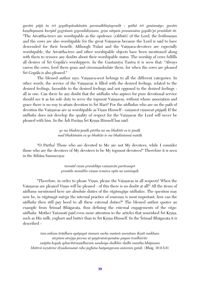*gaväà püjä tu çré gopälopäsakänäà paramäbhéñöapradä - yathä çré gautaméye; gaväà* kaņdūyanam kuryād gogrāsam gopradakṣiṇam. goṣu nityam prasannāsu gopālo'pi prasīdati iti. "The Asvattha-trees are worshipable as the opulence *(vibhūti)* of the Lord, the *brāhmanas* and the cows are also worshipable for the great Vaisnavas because the Lord is said to have descended for their benefit. Although Tulasi and the Vaisnava-devotees are especially worshipable, the Asvattha-tree and other worshipable objects have been mentioned along with them to remove any doubts about their worshipable status. The worship of cows fulfills all desires of Sri Gopala's worshippers. In the Gautamiya Tantra it is seen that: "Always caress the cows, feed them grass and circumambulate them, for when the cows are pleased Śrī Gopāla is also pleased."

The blessed author says: Vaisnava-seva belongs to all the different categories. In other words, the service of the Vaisnavas is filled with the desired feelings, related to the desired feelings, favorable to the desired feelings and not opposed to the desired feelings all in one. Can there be any doubt that the *sädhaka* who aspires for pure devotional service should see it as his sole duty to serve the topmost Vaisnavas, without whose association and grace there is no way to attain devotion to S<sub>T</sub> Hari? For the *sadhakas* who are on the path of devotion the Vaisnavas are as worshipable as Visnu Himself - *vaisnavā visnuvat pūjyāh* If the *sādhaka* does not develop the quality of respect for the Vaisnavas the Lord will never be pleased with him. In the  $\bar{A}$ di Purāṇa Śrī Kŗṣṇa Himself has said:

> *ye me bhakta-janäù pärtha na me bhaktäç ca te janäù mad bhaktänäà ca ye bhaktäs te me bhaktatamä matäù*

"O Pärtha! Those who are devoted to Me are not My devotees, while I consider those who are the devotees of My devotees to be My topmost devotees!" Therefore it is seen in the Itihäsa Samuccaya:

> *tasmäd viñëu prasädäya vaiñëavän paritoñayet prasäda sumukho viñëus tenaiva syän na saàçayaù*

"Therefore, in order to please Visnu, please the Vaisnavas in all respects! When the Vaisnavas are pleased Visnu will be pleased - of this there is no doubt at all!" All the items of *sädhana* mentioned here are absolute duties of the *rägänugéya sädhakas*. The question may now be, in *rāgānugā mārga* the internal practice of *smarana* is most important, how can the *sädhaka* then still pay heed to all these external duties?" The blessed author quotes an example from Srimad Bhagavata, thus defining the external engagements of the *ragasādhaka*. Mother Yasomatī paid even more attention to the articles that nourished Śrī Krsna, such as His milk, yoghurt and butter than to Śrī Krsna Himself. In the Śrīmad Bhāgavata it is described -

*tam aìkam ärüòham apäyayat stanaà sneha snutaà sasmitam ékñaté mukham atåptam utsåjya javena sä yayävutsicyamäne payasi tvadhiçrite saïjäta kopaù sphuritäruëädharaà sandaçya dadbhir dadhi mantha bhäjanam bhittvä måñäçrur dåñadasmanä raho jaghäsa haiyaìgavam antaraà gataù* (Bhäg. 10.9.5-6)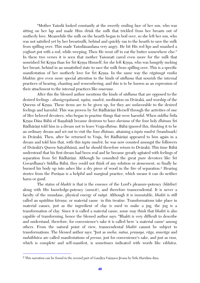"Mother Yasoda looked constantly at the sweetly smiling face of her son, who was sitting on her lap and made Him drink the milk that trickled from her breasts out of motherly love. Meanwhile the milk on the hearth began to boil over, so she left her son, who was not satisfied yet by her breastmilk, behind and quickly ran to the hearth to save the milk from spilling over. This made Yaçodänandana very angry. He bit His red lips and smashed a yoghurt pot with a rod, while weeping. Then He went off to eat the butter somewhere else." In these two verses it is seen that mother Yasomati cared even more for the milk that nourished Śrī Krsna than for Śrī Krsna Himself, for she left Krsna, who was hungrily sucking her breast, behind in an unsatisfied state to save the milk from spilling over. This is a specific manifestation of her motherly love for Sri Krsna. In the same way the *rāgānugā rasika bhaktas* give even more special attention to the kinds of *sädhana* that nourish the internal practices of hearing, chanting and remembering, and this is to be known as an expression of their attachment to the internal practices like *smarana*.

After this the blessed author mentions the kinds of *sädhana* that are opposed to the desired feelings - *ahamgropāsanā, nyāsa, mudrā*, meditation on Dvārakā, and worship of the Queens of Krsna. These items are to be given up, for they are unfavorable to the desired feelings and harmful. This was proven by Srī Rādhārānī Herself through the activities of one of Her beloved devotees, who began to practise things that were harmful. When *siddha* Śrīla Krsna Dāsa Bābā of Ranabādī became desirous to have *darsana* of the four holy *dhāmas* Srī Rādhārānī told him in a dream not to leave Vraja-*dhāma*. Bābā ignored this, thinking it to be an ordinary dream and set out to visit the four *dhämas,* attaining a *tapta mudrä* (brandmark) in Dvārakā. Then, after he returned to Vraja, Śrī Rādhārānī appeared to him again in a dream and told him that, with this *tapta mudrä*, he was now counted amongst the followers of Dvärakä's Queen Satyabhämä, and he should therefore return to Dvärakä. This time Bäbä understood that his first dream had been real and he became greatly agitated with feelings of separation from Śrī Rādhārānī. Although he consulted the great pure devotees like Śrī Govardhana's Siddha Bäbä, they could not think of any solution or atonement, so finally he burned his body up into ashes like a dry piece of wood in the fire of separation.<sup>2</sup> Hearing stories from the Purānas is a helpful and marginal practice, which means it can do neither harm or good.

The status of *bhakti* is that is the essence of the Lord's pleasure-potency (*hlädiné*) along with His knowledge-potency (*samvit*), and therefore transcendental. It is never a faculty of the mundane, physical energy of *mäyä*. Although it is immutable, *bhakti* is still called an *upādāna kārana*, or material cause in this treatise. Transformations take place in material causes, just as the ingredient of clay is used to make a jug, the jug is a transformation of clay. Since it is called a material cause, some may think that *bhakti* is also capable of transforming, hence the blessed author says: "Bhakti is very difficult to describe and understand, therefore, for convenience's sake it is called here 'a material cause' among others. From the natural point of view, transcendental *bhakti* cannot be subject to transformations. The blessed author says: "Just as *sneha, māna, praņaya, rāga, anurāga* and *mahäbhäva* are called manifestations of *prema*, just for convenience's sake, and just as *rasa*, which is complete and self-manifest, is sometimes indicated with words like *vibhäva*,

 $\overline{a}$ 

<sup>&</sup>lt;sup>2</sup> This narration can be found in the second part of Gaudīya Vaisnava Jīvana by Śrīla Haridāsa dāsa.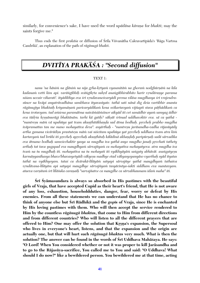similarly, for convenience's sake, I have used the word *upādāna kārana* for *bhakti*; may the saints forgive me."

Thus ends the first *prakāsa* or diffusion of Śrīla Visvanātha Cakravartīpāda's 'Rāga Vartma Candrikä', an explanation of the path of *rägänugä bhakti*.

# *DVITÉYA PRAKÄÇA : "Second diffusion"*

#### TEXT 1:

*nanu 'na hänià na glänià na nija gåha-kåtyaà vyasanitäà na ghoraà nodghürëäà na kila*  kadanam vetti kim api. varāṅgībhiḥ svāṅgīkṛta suhṛd anaṅgābhirabhito harir vṛndāraṇye parama *niçam uccair viharati'. ityädibhya eva çré våndavaneçvaryädi prema viläsa mugdhasya çré vrajendrasünor na kväpi anyaträvadhäna sambhava ityavaséyate. tathä sati nänä dig deça vartibhir ananta rägänugéya bhaktaiù kriyamäëaà paricaryädikaà kena svékartavyaà vijïapti stava päöhädikaà ca*  kena śrotavyam. tad amśena paramātma naivāmśāmśinor aikyād iti cet samādhir ayam samyag ādhir *eva tädåça kåñëänurägi bhaktänäm. tarhi kä gatiù? säkñät çrémad uddhavoktir eva. sä ca yathä -* "mantresu mām vā upahūya yat tvam akuņthitākhaṇḍa sad ātma bodhaḥ. prccheḥ prabho mugdha ivāpramattas tan me mano mohayatīva deva", asyārthah - "mantresu jarāsandha-vadha rājasūyādy *artha gamana vicärädiñu prastuteñu mäà vai niçcitam upahüya yat påccheù uddhava tvam atra kià kartavyaà tad brühi iti påccheù apåcchaù akuëöhitaù kälädinä akhaëòaù paripürëaù sadä särvadika eva ätmano bodhaù samvicchaktir yasya sa mugdha iva yathä anyo mugdho janaù påcchati tathety arthaù tat tava yugapad eva maugdhyaà särvajïyaà ca mohayatéva mohayatyeva. atra mugdha iva tvaà na tu mugdhaù iti. mohayatéva na tu mohayati iti vyäkhyäyäà saìgaty abhävät. asaìgatyeñu karmäëyanéhasya bhavo'bhavasyetyädi väkyeñu madhye etad väkyasyopanyäso vyarthaù syäd ityatas tathä na vyäkhyeyam. tataç ca dvärakä-léläyäà satyapi särvajïye yathä maugdhyaà tathaiva våndävana-léläyäm api satyapi maugdhye särvajïyaà tasyäcintya-çakti siddham eva mantavyam.*  ataeva varnitam śrī *līlāśuka caranaih "sarvajñatve ca maugdhe ca sārvabhaumam idam maha" iti.* 

**Śrī Śyāmasundara is always so absorbed in His pastimes with the beautiful girls of Vraja, that have accepted Cupid as their heart's friend, that He is not aware of any loss, exhaustion, householdduties, danger, fear, worry or defeat by His enemies. From all these statements we can understand that He has no chance to think of anyone else but Çré Rädhikä and the** *gopés* **of Vraja, since He is enchanted by His loving pastimes with them. Who will then accept the service rendered to Him by the countless** *rägänugä bhaktas***, that come to Him from different directions and from different countries? Who will listen to all the different prayers that are**  offered to Him? One may offer the solution that Krsna's expansion, the Supersoul **who lives in everyone's heart, listens, and that the expansion and the origin are actually one, but that will hurt such** *rägänugä bhaktas* **very much. What is then the**  solution? The answer can be found in the words of Sri Uddhava Mahāsaya. He says: **"O Lord! When You considered whether or not it was proper to kill Jaräsandha and to go to the Räjasüya-sacrifice, You called me to You and said: "O Uddhava! What should I do now?" like a bewildered person. You bewildered me at that time, acting**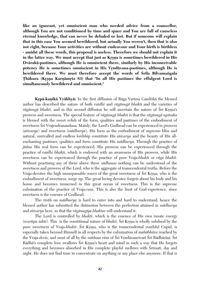**like an ignorant, yet omniscient man who needed advice from a counsellor, although You are not conditioned by time and space and You are full of causeless eternal knowledge, that can never be deluded or lost. But if someone will explain that in this case You seemed bewildered, but actually You weren't, then that is also not right, because Your activities are without endeavour and Your birth is birthless - amidst all these words, this proposal is useless. Therefore we should not explain it**  in the latter way. We must accept that just as Krsna is sometimes bewildered in His **Dvärakä-pastimes, although He is omniscient there, similarly by His inconceivable**  potency He is sometimes omniscient in His Vrndāvana-pastimes, although He is **bewildered there. We must therefore accept the words of Srila Bilvamangala Thākura (Krsņa Karņāmrta 83) that "In all His pastimes the effulgent Lord is simultaneously bewildered and omniscient."** 

**Kåpä-kaëikä Vyäkhyä:** In the first diffusion of Räga Vartma Candrikä the blessed author has described the nature of both *vaidhé* and *rägänugä bhakti* and the varieties of *rāgānugā bhakti*, and in this second diffusion he will ascertain the nature of Śrī Krsna's prowess and sweetness. The special feature of *rägänugä bhakti* is that the *rägänugä upäsaka* is blessed with the sweet relish of the form, qualities and pastimes of the embodiment of sweetness Srī Vrajendranandana. Mainly, the Lord's Godhead can be experienced in prowess (*aiçvarya*) and sweetness (*mädhurya*). His form as the embodiment of supreme bliss and natural, unrivalled and endless lordship constitute His *aiçvarya* and the beauty of His allenchanting pastimes, qualities and form constitute His *mädhurya*. Through the practice of *jïäna* His real form can be experienced, His prowess can be experienced through the practice of *vaidhi bhakti*, which is endowed with an awareness of His prowess, while His sweetness can be experienced through the practice of pure Vraja-*bhakti* or *räga bhakti*. Without practising any of these above three *sädhanas* nothing can be understood of the sweetness and prowess of the Lord, who is the aggregate of transcendental truths. Before the Vraja-devotee the high unsurpassable waves of the great sweetness of Sri Krsna, who is the embodiment of sweetness, surge up. The great loving devotee forgets about his body and his home and becomes immersed in this great ocean of sweetness. This is the supreme culmination of the practice of Vraja-*rasa*. This is also the limit of God-experience, since sweetness is the essence of Godhead.

The truth on *mädhurya* is hard to enter into and hard to understand, hence the blessed author has submitted the distinction between the perfection attained in *mädhurya* and *aiçvarya* here, so that the *rägänugéya bhaktas* will understand it.

The Lord is controlled by *bhakti*, which is the essence of His own innate energy (*svarūpa šakti*). This is the constitional nature of *bhakti*. Šrī Krsna is wholly subdued by the pure sweetness of Vraja-*bhakti*. Śrī Krsna, who is the transcendental youthful Cupid, is especially taken beyond Himself in all respects by the culmination of *mahäbhäva* reached by the Vraja-*devīs*, and most of all by the *mādana rāsa* of Śrī Vŗndāvaneśvarī Śrī Rādhārānī. Śrī Rādhā's complete love swallows Srī Krsna's heart and mind in such a way that He forgets everything and becomes absorbed in His complete playful mellows with Srimati, day and night. He does not find time to concentrate on anything or any place else anymore. If that is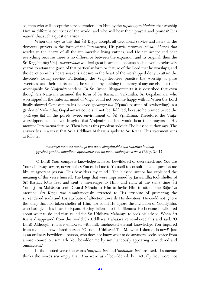so, then who will accept the service rendered to Him by the *rägänugéya bhaktas* that worship Him in different countries of the world, and who will hear their prayers and praises? It is natural that such a question arises.

When one says to this that Sri Krsna accepts all devotional service and hears all the devotees' prayers in the form of the Param<del>atma</del>, His partial prowess *(amsa-vibhava)* that resides in the hearts of all the innumerable living entities, and He can accept and hear everything because there is no difference between the expansion and its original, then the Çré Kåñëänurägé Vraja-*rasopäsakas* will feel great heartache, because each devotee exclusively yearns to attain the grace of that particular form or feature of the Lord that he worships, and the devotion in his heart awakens a desire in the heart of the worshipped deity to attain the devotee's loving service. Particularly the Vraja-devotees practise the worship of pure sweetness and their hearts cannot be satisfied by attaining the mercy of anyone else but their worshipable Srī Vrajendranandana. In Srī Brhad Bhāgavatāmrta it is described that even though Śrī Nārāyaṇa assumed the form of Śrī Krsna in Vaikuntha, Śrī Gopakumāra, who worshipped in the fraternal mood of Vraja, could not become happy with it. When the Lord finally showed Gopakumāra his beloved *gocārana-līlā* (Krsna's pastime of cowherding) in a garden of Vaikuntha, Gopakumāra could still not feel fulfilled, because he wanted to see the *gocāraņa līlā* in the purely sweet environment of Srī Vŗndāvana. Therefore, the Vrajaworshippers cannot even imagine that Vrajendranandana would hear their prayers in His monitor Paramätmä-feature. Then how is this problem solved? The blessed author says: The answer lies in a verse that Śrīla Uddhava Mahāśaya spoke to Śrī Krsna. This statement runs as follows:

# *mantreñu mäà vä upahüya yat tvam akuëöhitäkhaëòa sadätma bodhaù påccheù prabho mugdha iväpramattas tan no mano mohayatéva deva* (Bhäg. 3.4.17)

"O Lord! Your complete knowledge is never bewildered or decreased, and You are Yourself always aware, nevertheless You called me to Yourself to consult me and question me like an ignorant person. This bewilders my mind." The blessed author has explained the meaning of this verse himself. The kings that were imprisoned by Jaräsandha took shelter of Srī Krsna's lotus feet and sent a messenger to Him, and right at the same time Srī Yudhisthira Mahāśaya sent Devarși Nārada to Him to invite Him to attend the Rājasūya sacrifice. Sri Krsna was simultaneously attracted to His attribute of protecting the surrendered souls and His attribute of affection towards His devotees. He could not ignore the kings that had taken shelter of Him, nor could He ignore the invitation of Yudhisthira, who had given his heart to Krsna. Having fallen into this dilemma He became bewildered about what to do and thus called for Sri Uddhava Mahāśaya to seek his advice. When Sri Krsna disappeared from this world Śrī Uddhava Mahāśaya remembered this and said: "O Lord! Although You are endowed with full, unchecked eternal knowledge, You inquired from me like a bewildered person, "O friend Uddhava! Tell Me what I should do now!" Just as an ordinary bewildered person, who does not know what to do anymore, seeks advice from a wise counsellor, similarly You bewilder me by simultaneously appearing bewildered and omniscient."

In the quoted verse the words '*mugdha iva*' and '*mohayati iva*' are used. If someone thinks the words *iva* imply that 'You were as if bewildered, but actually You were not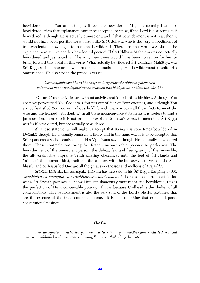bewildered', and 'You are acting as if you are bewildering Me, but actually I am not bewildered', then that explanation cannot be accepted, because, if the Lord is just acting as if bewildered, although He is actually omniscient, and if that bewilderment is not real, then it would not have been possible for a person like Sri Uddhava, who is the very embodiment of transcendental knowledge, to become bewildered. Therefore the word *iva* should be explained here as 'like another bewildered person'. If Śrī Uddhava Mahāśaya was not actually bewildered and just acted as if he was, then there would have been no reason for him to bring forward this point in this verse. What actually bewildered Śrī Uddhava Mahāśaya was Śrī Krsna's simultaneous bewilderment and omniscience, His bewilderment despite His omniscience. He also said in the previous verse:

## *karmäëyanéhasya bhavo'bhavasya te durgäçrayo'thäribhayät paläyanam kälätmano yat pramadäyutäçramaù svätman rate khidyati dhér vidäm iha* (3.4.16)

"O Lord! Your activities are without activity, and Your birth is birthless. Although You are time personified You flee into a fortress out of fear of Your enemies, and although You are Self-satisfied You remain in householdlife with many wives - all these facts torment the wise and the learned with doubts." In all these inconceivable statements it is useless to find a juxtaposition, therefore it is not proper to explain Uddhava's words to mean that Sri Krsna was 'as if bewildered, but not actually bewildered'.

All these statements will make us accept that Krsna was sometimes bewildered in Dvärakä, though He is usually omniscient there, and in the same way it is to be accepted that Śrī Krsna can also be omniscient in His Vrndāvana-*līlā*, although He is usually bewildered there. These contradictions bring Sri Krsna's inconceivable potency to perfection. The bewilderment of the omniscient person, the defeat, fear and fleeing away of the invincible, the all-worshipable Supreme Truth offering obeisances unto the feet of Sri Nanda and Yasomati, the hunger, thirst, theft and the adultery with the housewives of Vraja of the Selfblissful and Self-satisfied One are all the great sweetnesses and mellows of Vraja-*lélä*.

Śrīpāda Līlāśuka Bilvamangala Thākura has also said in his Śrī Krsna Karnāmrta (83): *sarvajïatve ca maugdhe ca särvabhaumam idaà mahaù* "There is no doubt about it that when S<sub>r</sub> Krsna's pastimes all show Him simultaneously omniscient and bewildered, this is the perfection of His inconceivable potency. That is because Godhead is the shelter of all contradictions. This bewilderment is also the very soul of the Lord's blissful pastimes, that are the essence of the transcendental potency. It is not something that exceeds Krsna's constitutional position.

#### *TEXT 2:*

*atra sarvajïatvaà mahaiçvaryam eva na tu mädhuryaà mädhuryaà khalu tad eva yad aiçvarya vinäbhüta kevala naralélätvena maugdhyam iti sthüla dhiyo bruvate.*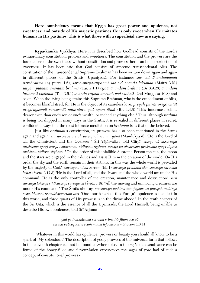Here omnisciency means that Krsna has great power and opulence, not **sweetness; and outside of His majestic pastimes He is only sweet when He imitates humans in His pastimes. This is what those with a superficial view are saying.**

Krpā-kanikā Vyākhyā: Here it is described how Godhead consists of the Lord's extraordinary constitution, prowess and sweetness. The constitution and the prowess are the foundations of the sweetness; without constitution and prowess there can be no perfection of sweetness. It has been said that God consists of supreme transcendental bliss. The constitution of the transcendental Supreme Brahman has been written down again and again in different places of the Srutis (Upaniṣads). For instance: sac cid ānandamayam *parabrahma* (nr pūrva 1.6), *sarva-pūrna-rūpo'smi sac cid ānanda laksanah* (Maitrī 3.21) *satyam jïänam anantaà brahma* (Tai. 2.1.1) *vijïänänandaà brahma* (Bå 3.9.28) *änandaà brahmeti vyajanāt* (Tai. 3.6.1) *ānanda rūpam amrtam yad vibhāti* (2nd Mundaka 40.8) and so on. When the living being attains this Supreme Brahman, who is the embodiment of bliss, it becomes blissful itself, for He is the object of its causeless love. *preyaù puträt preyo vittät preyo'nyasmāt sarvasmāt antaratara yad ayam ātmā* (Br. 1.4.8) "This innermost self is dearer even than one's son or one's wealth, or indeed anything else." Thus, although *brahma* is being worshipped in many ways in the Srutis, it is revealed in different places in secret, confidential ways that the most intimate meditation on *brahman* is as that of the beloved.

Just like *brahman*'s constitution, its prowess has also been mentioned in the Srutis again and again. *eșa sarvesvara eșah sarvajñah eșo'ntaryāmī* (Māndukya -6) "He is the Lord of all, the Omniscient and the Overseer." Śrī Yājñavalkya told Gārgī: *etasya vā aksarasya praçäsane gärgi sürya candramau vidhåtau tiñöhata, etasya vä akñarasya praçäsane gärgi dyävä prthivau vidhrte tisthata* "On the order of this infallible Supreme Person the sun, the moon and the stars are engaged in their duties and assist Him in the creation of the world. On His order the sky and the earth remain in their stations. In this way the whole world is pervaded by the majesty of God." *isāvāsyam idam sarvam* (Īsa 1) *sarvasya prabhum īsān sarvasya saranam brhat* (Sveta. 3.17.3) "He is the Lord of all, and the  $\overline{I}$  svara and the whole world act under His command. He is the only controller of the creation, maintenance and destruction". *vaçé sarvasya lokasya sthävarasya carasya ca* (Çveta 3.18) "All the moving and unmoving creatures are under His command." The Śrutis also say: *etāvānasya mahimā tato jāyāms ca puruṣaḥ pādo'sya visva-bhūtāni tripāde'syāmrtam divi* "One fourth part of this Purusa's opulence is manifest in this world, and three quarts of His prowess is in the divine abode." In the tenth chapter of the Sri Gita, which is the essence of all the Upanisads, the Lord Himself, being unable to describe His own opulences, told Śrī Arjuna:

> *yad yad vibhütimat sattvaà çrémad ürjitam eva vä tat tad evävagaccha tvaà mama tejo'àça-sambhavam* (10.41)

"Whatever in this world has opulence, prowess or beauty you should all know to be a spark of My splendour." The description of godly prowess of the universal form that follows in the eleventh chapter can not be found anywhere else. In the ¬g Veda a semblance can be found of the honey-filled and flavour-laden experiences the sages of yore had of such a concept of constitutional prowess -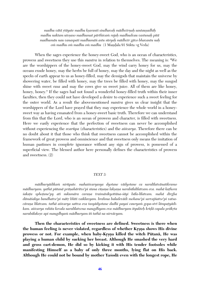*madhu vätä åtäyate madhu kñaranti sindhavaù mädhvérëaù santauñadhéù madhu naktam utoñaso madhumat pärthivaà rajaù madhudvau vastunaù pitä madhumän nau vanaspati madhumäì astu süryaù mädhvér gävo bhavantu naù om madhu om madhu om madhu* (1 Mandala 91 Sūkta ¬g Veda)

When the sages experience the honey-sweet God, who is an ocean of characteristics, prowess and sweetness they use this *mantra* in relation to themselves. The meaning is: "We are the worshippers of the honey-sweet God, may the wind carry honey for us, may the oceans exude honey, may the herbs be full of honey, may the day and the night as well as the specks of earth appear to us as honey-filled, may the demigods that maintain the universe by showering water, be filled with honey, may the trees be filled with honey, may the sungod shine with sweet *rasa* and may the cows give us sweet juice. All of them are like honey, honey, honey." If the sages had not found a wonderful honey-filled truth within their inner faculties, then they could not have developed a desire to experience such a sweet feeling for the outer world. As a result the abovementioned *mantra* gives us clear insight that the worshippers of the Lord have prayed that they may experience the whole world in a honeysweet way as having emanated from a honey-sweet basic truth. Therefore we can understand from this that the Lord, who is an ocean of prowess and character, is filled with sweetness. Here we easily experience that the perfection of sweetness can never be accomplished without experiencing the *svarüpa* (characteristics) and the *aiçvarya*. Therefore there can be no doubt about it that those who think that sweetness cannot be accomplished within the framework of great prowess and omniscience and that sweetness only means the imitation of human pastimes in complete ignorance without any sign of prowess, is possessed of a superficial view. The blessed author here personally defines the characteristics of prowess and sweetness. (2)

#### *TEXT 3:*

*mädhuryädikaà nirüpate. mahaiçvaryasya dyotane vädyotane ca naralélatvänatikramo mādhuryam. yathā pūtanā prāņahāritve'pi stana cūṣaṇa lakṣaṇa narabālalīlatvam eva. mahā kaṭhora çakaöa sphoöane'py ati sukumära caraëa traimäsikyottäna-çäyi bäla-lélatvam. mahä dérgha*  dāmāśakya bandhatve'pi mātr bhīti vaiklavyam. brahma baladevādi mohane'pi sarvajñatve'pi vatsacāraņa līlatvam. tathā aiśvarya sattva eva tasyādyotane dadhi payaś cauryam gopa-strī lāmpațyādi*kam. aiçvarya rahita kevala naralélatvena maugdhyam eva mädhuryam ityukteù kréòä capala präkåta narabälakeñv api maugdhyaà mädhuryam iti tathä na nirväcyam.*

**Then the characteristics of sweetness are defined. Sweetness is there when**  the human feeling is never violated, regardless of whether Krsna shows His divine prowess or not. For example, when baby-Krsna killed the witch Pūtanā, He was **playing a human child by sucking her breast. Although He smashed the very hard and gross cart-demon, He did so by kicking it with His tender footsoles while manifesting Himself as a baby of only three months, lying flat on His back. Although He could not be bound by mother Yaçodä even with the longest rope, He**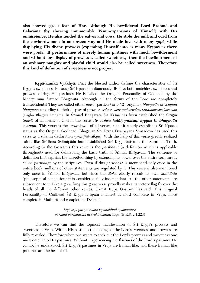**also showed great fear of Her. Although He bewildered Lord Brahmä and**  Balarāma (by showing innumerable Viṣṇu-expansions of Himself) with His **omniscience, He also tended the calves and cows. He stole the milk and curd from the cowherdwomen in an unseen way and He made love with many** *gopés* **while**  displaying His divine prowess (expanding Himself into as many Krsnas as there **were** *gopés***). If performance of merely human pastimes with much bewilderment and without any display of prowess is called sweetness, then the bewilderment of an ordinary naughty and playful child would also be called sweetness. Therefore this kind of definition of sweetness is not proper.**

**Krpā-kanikā Vyākhyā:** First the blessed author defines the characteristics of Srī Krsna's sweetness. Because Śrī Krsņa simultaneously displays both matchless sweetness and prowess during His pastimes He is called the Original Personality of Godhead by the Mahāpurāņa Śrīmad Bhāgavata. Although all the forms of the Lord are completely transcendental They are called either *amsa* (particle) or *amsa* (original), *bhagavān* or *svayam bhagavān* according to their display of prowess. *sakter vaktis tathāvyaktis tāratamyasya kāraņam* (Laghu Bhāgavatām; tam). In Śrīmad Bhāgavata Śrī Krsna has been established the Origin (*amsi*) of all forms of God in the verse *ete camsa kalāh pumsah krsnas tu bhagavān* **svayam.** This verse is the crownjewel of all verses, since it clearly establishes Srī Krsna's status as the Original Godhead. Bhagavān Śrī Krsna Dvaipāyana Vyāsadeva has used this verse as a solemn declaration (*pratijïä-väkya*). With the help of this verse greatly realized saints like Śrīdhara Svāmīpāda have established Śrī Krsna-tattva as the Supreme Truth. According to the Gosvamis this verse is the *paribhasa* (a definition which is applicable throughout) used for delineating the basic truth of Srimad Bhagavata. The sentence or definition that explains the targetted thing by extending its power over the entire scripture is called *paribhāṣā* by the scriptures. Even if this *paribhāṣā* is mentioned only once in the entire book, millions of other statements are regulated by it. This verse is also mentioned only once in Çrémad Bhägavata, but since this *çloka* clearly reveals its own *siddhänta* (philosophical conclusion) it is considered fully independent. All the other statements are subservient to it. Like a great king this great verse proudly makes its victory flag fly over the heads of all the different other verses. Srimat Rūpa Gosvāmi has said: This Original Personality of Godhead Śrī Krsna is again manifest as most complete in Vraja, more complete in Mathurä and complete in Dvärakä.

> *kåñëasya pürëatamatä vyaktäbhüd gokuläntare pürëatä pürëataratä dvärakä mathurädiñu* (B.R.S. 2.1.223)

Therefore we can find the topmost manifestation of Srī Krsna's prowess and sweetness in Vraja. Within His pastimes the feelings of the Lord's sweetness and prowess are fully revealed. Therefore when one wants to seek out the Lord's prowess and sweetness one must enter into His pastimes. Without experiencing the flavours of the Lord's pastimes He cannot be understood. Šrī Krsna's pastimes in Vraja are human-like, and these human like pastimes are the best of all.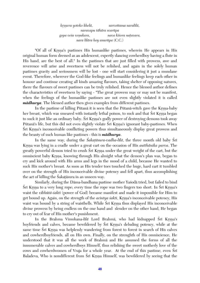*kåñëera yoteko khelä, sarvottama naralélä, naravapu tähära svarüpa gopa veça veëukara, nava kiçora naöavara, nara lélära hoy anurüpa* (C.C.)

"Of all of Krsna's pastimes His humanlike pastimes, wherein He appears in His original human form dressed as an adolescent, expertly dancing cowherdboy having a flute in His hand, are the best of all." In the pastimes that are just filled with prowess, awe and reverence will arise and sweetness will not be relished, and again in the solely human pastimes gravity and seriousness will be lost - one will start considering it just a mundane event. Therefore, wherever the God-like feelings and humanlike feelings keep each other in honour and continue creating all kinds amazing flavours, taking shelter of opposing natures, there the flavours of sweet pastimes can be truly relished. Hence the blessed author defines the characteristics of sweetness by saying - "The great prowess may or may not be manifest, when the feelings of the humanlike pastimes are not even slightly violated it is called *mädhurya*. The blessed author then gives examples from different pastimes.

In the pastime of killing Pūtanā it is seen that the Pūtanā-witch gave the Krsna-baby her breast, which was smeared with instantly lethal poison, to suck and that Srī Krsna began to suck it just like an ordinary baby. Śrī Krṣṇa's godly power of destroying demons took away Pūtanā's life, but this did not even slightly violate Śrī Krsna's ignorant baby-pastimes. When Srī Krsna's inconceivable conflicting powers thus simultaneously display great prowess and the beauty of such human like pastimes - this is *mädhurya*.

In the same way, during the *Śakatāsura-vadha-līlā*, the three month old baby Śrī Krsna was lying in a cradle under a great cart on the occasion of His *autthānika parva*. The greatly powerful demon tried to crush Sri Krsna under the great weight of the cart, but the omniscient baby Krsna, knowing through His almight what the demon's plan was, began to cry and kick around with His arms and legs in the mood of a child, because He wanted to suck His mother's breast. As soon as His tender toes touched the huge, hard cart it tumbled over on the strength of His inconceivable divine potency and fell apart, thus accomplishing the act of killing the Sakatasura in an unseen way.

Similarly, during the Däma-bandhana pastime mother Yaçodä tried, but failed to bind Srī Krsna to a very long rope; every time the rope was two fingers too short. In Śrī Krsna's waist the *vibhütä-çakti* (power of God) became manifest and made it impossible for Him to get bound up. Again, on the strength of the *acintya sakti*, Krsna's inconceivable potency, His waist was bound by a string of waistbells. While Srī Krsna thus displayed His inconceivable divine prowess by being endless on the one hand and slender on the other hand, He began to cry out of fear of His mother's punishment.

In the Brahma Vimohana-*līlā* Lord Brahmā, who had kidnapped Śrī Krsna's boyfriends and calves, became bewildered by Sri Krsna's deluding potency, while at the same time Srī Krsna was helplessly wandering from forest to forest in search of His calves and cowherdboyfriends, all on His own. Finally, on the strenghth of His omniscience, He understood that it was all the work of Brahmä and He assumed the forms of all the innumerable calves and cowherdboys Himself, thus relishing the sweet motherly love of the cows and cowherdwomen of Vraja for a whole year. At the end of this pastime, even Sri Baladeva, Who is nondifferent from Sri Krsna Himself, was bewildered by seeing that the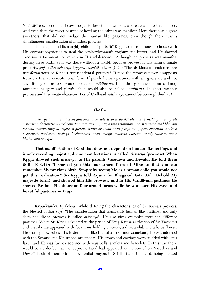Vrajavāsī cowherders and cows began to love their own sons and calves more than before. And even then the sweet pastime of herding the calves was manifest. Here there was a great sweetness, that did not violate the human like pastimes, even though there was a simultaneous manifestation of limitless prowess.

Then again, in His naughty childhoodsports Śrī Krsna went from house to house with His cowherdboyfriends to steal the cowherdwomen's yoghurt and butter, and He showed excessive attachment to women in His adolescence. Although no prowess was manifest during these pastimes it was there without a doubt, because prowess is His natural innate property. *sad-vidha aiśvarya krsnera ciccakti vikāra* (C.C.) "The six kinds of opulences are transformations of Krsna's transcendental potency." Hence the prowess never disappears from Sri Krsna's constitutional form. If purely human pastimes with all ignorance and not any display of prowess would be called *mädhurya*, then the ignorance of an ordinary mundane naughty and playful child would also be called *mädhurya*. In short, without prowess and the innate characteristics of Godhead *mädhurya* cannot be accomplished. (3)

#### *TEXT 4:*

*aiçvaryaà tu naralélatvasyänapekñitatve sati éçvaratväviñkäraù. yathä mätä pitarau prati aiçvaryaà darçayitvä - etad väà darçitaà rüpaà präg janma smaraëäya me. nänyathä mad bhavaà jïänaà martya liìgena jäyate. ityuktam. yathä arjunaà prati paçya me yogam aiçvaram ityuktvä aiçvaryaà darçitam. vraje'pi brahmäëaà prati maïju mahima darçane paraù sahasra catur bhujatvädikam apéti.*

**That manifestation of God that does not depend on human-like feelings and is only revealing majestic, divine manifestations, is called** *aiçvarya* **(prowess). When**  Krsna showed such *aisvarya* to His parents Vasudeva and Devaki, He told them **(S.B. 10.3.44): "I showed you this four-armed form of Mine so that you can remember My previous birth. Simply by seeing Me as a human child you would not**  get this realization." Srī Krsna told Arjuna (in Bhagavad Gītā 9.5): "Behold My majestic form!" and showed him His prowess, and in His Vrndāvana-pastimes He **showed Brahmä His thousand four-armed forms while he witnessed His sweet and beautiful pastimes in Vraja.**

**Krpā-kanikā Vyākhyā:** While defining the characteristics of Śrī Krsna's prowess, the blessed author says: "The manifestation that transcends human like pastimes and only show the divine prowess is called *aisvarya*". He also gives examples from the different pastimes. When Srī Krsna advented in the prison of King Kamsa as the son of Srī Vasudeva and Devaki He appeared with four arms holding a conch, a disc, a club and a lotus flower, He wore yellow robes, His luster shone like that of a fresh monsooncloud, He was adorned with the Srivatsa and Kaustubha-ornaments, His crown and earrings were studded with lapis lazuli and He was further adorned with waistbells, armlets and bracelets. In this way there would be no doubt that the Supreme Lord had appeared as the son of Sri Vasudeva and Devaki. Both of them offered reverential prayers to  $\overline{\text{Sri}}$  Hari and the Lord, being pleased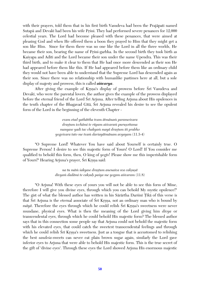with their prayers, told them that in his first birth Vasudeva had been the Prajäpati named Sutapā and Devakī had been his wife Prśni. They had performed severe penances for 12,000 celestial years. The Lord had become pleased with these penances, that were aimed at pleasing God and when He offered them a boon they prayed to Him that they might get a son like Him. Since for them there was no one like the Lord in all the three worlds, He became their son, bearing the name of Prsni-garbha. In the second birth they took birth as Kaçyapa and Aditi and the Lord became their son under the name Upendra. This was their third birth, and to make it clear to them that He had once more descended as their son He had appeared before them like this. If He had appeared before them like an ordinary child they would not have been able to understand that the Supreme Lord has descended again as their son. Since there was no relationship with humanlike pastimes here at all, but a sole display of majesty and prowess, this is called *aiçvarya*.

After giving the example of Krsna's display of prowess before Sri Vasudeva and Devaki, who were the parental lovers, the author gives the example of the prowess displayed before the eternal friend of the Lord Sri Arjuna. After telling Arjuna about His opulences in the tenth chapter of the Bhagavad Gītā, Śrī Arjuna revealed his desire to see the opulent form of the Lord in the beginning of the eleventh Chapter -

> *evam etad yathättha tvam ätmänaà parameçvara drañöum icchämi te rüpam aiçvaraà puruñottama manyase yadi tac chakyaà mayä drañöum iti prabho yogeçvara tato me tvaà darçayätmänam avyayam* (11.3-4)

"O Supreme Lord! Whatever You have said about Yourself is certainly true. O Supreme Person! I desire to see this majestic form of Yours! O Lord! If You consider me qualified to behold this form, then, O king of *yogés*! Please show me this imperishable form of Yours!" Hearing Arjuna's prayer, Śrī Krsna said:

> *na tu mäà çakyase drañöum anenaiva sva cakñuñä divyaà dadämi te cakñuù paçya me yogam aiçvaram* (11.8)

"O Arjuna! With these eyes of yours you will not be able to see this form of Mine, therefore I will give you divine eyes, through which you can behold My mystic opulence!" The gist of what the blessed author has written in his Sārārtha Darsinī Țīkā of this verse is that Sri Arjuna is the eternal associate of Sri Krsna, not an ordinary man who is bound by *māyā*. Therefore the eyes through which he could relish Srī Krsna's sweetness were never mundane, physical eyes. What is then the meaning of the Lord giving him *divya* or transcendental eyes, through which he could behold His majestic form? The blessed author says that in this connection some people say that Arjuna could not behold the majestic form with his elevated eyes, that could catch the sweetest transcendental feelings and through which he could relish Srī Krsna's sweetness. Just as a tongue that is accustomed to relishing the best *sandeça*-sweets can never eat plain brown sugar again, similarly the Lord gave inferior eyes to Arjuna that were able to behold His majestic form. This is the true secret of the gift of 'divine eyes'. Through these eyes the Lord showed Arjuna His enormous majestic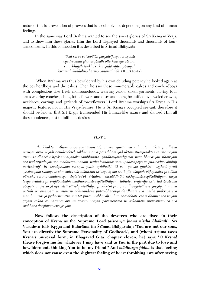nature - this is a revelation of prowess that is absolutely not depending on any kind of human feelings.

In the same way Lord Brahma wanted to see the sweet glories of Śrī Krsna in Vraja, and to show him these glories Him the Lord displayed thousands and thousands of fourarmed forms. In this connection it is described in Śrīmad Bhāgavata -

> *tävat sarve vatsapäläù paçyato'jasya tat kñaëät vyadåçyanta ghanaçyämäù péta kauñeya väsasaù caturbhujäù çaìkha cakra gadä räjéva päëayaù kiréöinaù kuëòalino häriëo vanamälinaù* (10.13.46-47)

"When Brahmä was thus bewildered by his own deluding potency he looked again at the cowherdboys and the calves. Then he saw these innumerable calves and cowherdboys with complexions like fresh monsoonclouds, wearing yellow silken garments, having four arms wearing conches, clubs, lotus flowers and discs and being beautified by jeweled crowns, necklaces, earrings and garlands of forestflowers." Lord Brahma worships Śrī Krsna in His majestic feature, not in His Vraja-feature. He is Śrī Krsna's occupied servant, therefore it should be known that Śrī Krsna transcended His human-like nature and showed Him all these opulences, just to fulfill his desires.

## *TEXT 5:*

*atha bhakta niñöham aiçvarya-jïänam (1). ataeva 'yuväà na naù sutau säkñät pradhäna puruñeçvarau' ityädi vasudevokteù sakheti matvä prasabhaà yad uktam ityarjunokteç ca éçvaro'yam*  ityanusandhāne'pi hrt-kampa-janaka sambhrama gandhasyānudgamāt svīya bhāvasyāti sthairyam *eva yad utpädayati tan mädhurya-jïänam. yathä 'vandinas tam üpadevagaëä ye géta-vädyavalibhiù* parivabruh'. iti 'vandyamāna caraṇaḥ pathi vṛddhaiḥ'. iti ca yugala gītokteḥ goṣṭhaṁ prati *gavänayana samaye brahmendra näradädibhiù kåtasya kåñëa stuti géta vädyaà püjopahära pradäna*  pūrvaka caraņa-vandanasya drstatve'pi śrīdāma subalādīnām sakhyabhāvasyāśaithilyam. tasya tasya śrutatve'pi vrajābalānām madhura-bhāvasyāśaithilyam. tathaiva vrajarāja krta tad āśvāsana *väkyair vrajeçvaryä api nästi vätsalya-çaithilya gandho'pi pratyuta dhanyaivähaà yasyäyaà mama*  putrah paramesvara iti manasy abhinandane putra-bhāvasya dārdhyam eva. yathā prākrtyā eva *mätuù putrasya påthvéçvaratve sati tat putra prabhävaù sphéta evävabhäti. evaà dhanyä eva vayaà yeñäà sakhä ca parameçvara iti yäsäà preyän parameçvara iti sakhänäà preyasénäà ca sva*   $s$ vabhāva dārdhyam eva jseyam.

**Now follows the description of the devotees who are fixed in their conception of Krsna as the Supreme Lord (***aisvarya jñāna nisthā bhaktāh***). Šrī** Vasudeva tells Krsna and Balarāma (in Śrīmad Bhāgavata): "You are not our sons, **You are directly the Supreme Personality of Godhead.", and (when) Arjuna (sees**  Krsna's universal form, in Bhagavad Gītā, chapter eleven, he) says: "O Krsna! **Please forgive me for whatever I may have said to You in the past due to love and bewilderment, thinking You to be my friend!" And** *mädhurya jïäna* **is that feeling which does not cause even the slightest feeling of heart throbbing awe after seeing**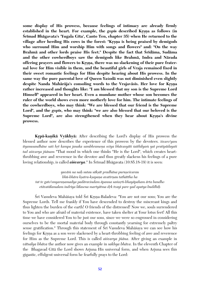**some display of His prowess, because feelings of intimacy are already firmly**  established in the heart. For example, the *gopis* described Krsna as follows (in **Śrīmad Bhāgavata's 'Yugala Gīta', Canto Ten, chapter 35) when He returned to the** village after herding His cows in the forest: "Krsna is being praised by demigods **who surround Him and worship Him with songs and flowers" and: "On the way**  Brahmā and other lords praise His feet." Despite the fact that Śrīdāma, Sudāma **and the other cowherdboys saw the demigods like Brahmä, Indra and Närada**  offering prayers and flowers to Krsna, there was no slackening of their pure frater**nal love for Him visible in them, and the beautiful girls of Vraja remained fixed in their sweet romantic feelings for Him despite hearing about His prowess. In the same way the pure parental love of Queen Yaçodä was not diminished even slightly**  despite Nanda Mahārāja's consoling words to the Vrajavāsīs. Her love for Krsna **rather increased and thoughts like: "I am blessed that my son is the Supreme Lord Himself" appeared in her heart. Even a mundane mother whose son becomes the ruler of the world shows even more motherly love for him. The intimate feelings of the cowherdboys, who may think: "We are blessed that our friend is the Supreme**  Lord", and the *gopis*, who may think: "we are also blessed that our beloved is the Supreme Lord", are also strengthened when they hear about Krsna's divine **prowess.** 

**Krpā-kanikā Vyākhyā:** After describing the Lord's display of His prowess the blessed author now describes the experience of this prowess by the devotees. *éçvaro'yam*  ityanusandhāne sati hrt kampa janaka sambhramena svīya bhāvasyāti śaithilyam yat pratipādayati *tad aiçvarya jïänam* "That mood in which one thinks "He is the Lord", which creates heartthrobbing awe and reverence in the devotee and thus greatly slackens his feelings of a pure loving relationship, is called *aisvarya*." In Śrīmad Bhāgavata (10.85.18-19) it is seen:

*yuväà na naù sutau säkñät pradhäna puruñeçvarau bhü-bhära kñatra-kñapaëa avatérëau tathättha ha tat te gato'smyaraëamadya padäravindam äpanna saàsåti-bhayäpaham ärta bandho etävatälamalam indriya lälasena martyätma dåk tvayi pare yad apatya buddhiù*

Śrī Vasudeva Mahāśaya told Śrī Krsna-Baladeva: "You are not our sons; You are the Supreme Lords. Tell me frankly if You have descended to destroy the miscreant kings and thus lighten the burden of the earth! O friends of the distressed! Now we, souls surrendered to You and who are afraid of material existence, have taken shelter at Your lotus feet! All this time we have considered You to be just our sons, since we were so engrossed in considering ourselves to be the mortal material body through constantly yearning for extremely paltry sense gratification." Through this statement of Śrī Vasudeva Mahāśaya we can see how his feelings for Krsna as a son were slackened by a heart-throbbing feeling of awe and reverence for Him as the Supreme Lord. This is called *aiçvarya jïäna*. After giving an example in *vätsalya bhäva* the author now gives an example in *sakhya bhäva*. In the eleventh Chapter of the Bhagavad Gītā the Lord shows Arjuna His universal form, and when Arjuna sees this gigantic, effulgent universal form he fearfully prays to the Lord: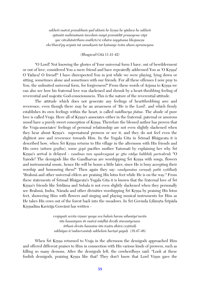*sakheti matvä prasabhaà yad uktaà he kåñëa he yädava he sakheti ajänatä mahimänaà tavedaà mayä pramädät praëayena väpi yac cävahäsärtham asatkåto'si vihära çayyäsana bhojaneñu eko'thavä'py acyuta tat samakñaà tat kñämaye tväm aham aprameyam*

## (Bhagavad Gītā 11.41-42)

"O Lord! Not knowing the glories of Your universal form I have, out of bewilderment or out of love, considered You a mere friend and have repeatedly addressed You as 'O Krsna! O Yädava! O friend!" I have disrespected You in jest while we were playing, lying down or sitting, sometimes alone and sometimes with our friends. For all these offenses I now pray to You, the unlimited universal form, for forgiveness!" From these words of Arjuna to Krsna we can also see how his fraternal love was slackened and shrunk by a heart-throbbing feeling of reverential and majestic God-consciousness. This is the nature of the reverential attitude.

The attitude which does not generate any feelings of heartthrobbing awe and reverence, even though there may be an awareness of 'He is the Lord', and which firmly establishes its own feelings within the heart, is called *mädhurya jïäna*. The abode of pure love is called Vraja. Here all of Krsna's associates either in the fraternal, paternal or amorous mood have a purely sweet conception of Krsna. Therefore the blessed author has proven that the Vraja-associates' feelings of personal relationship are not even slightly slackened when they hear about Krsna's supernatural prowess or see it, and they do not feel even the slightest awe and reverence towards Him. In the Yugala Gīta in Śrīmad Bhāgavata it is described how, when Sri Krsna returns to His village in the afternoon with His friends and His cows *(uttara gostha)*, some *gop*<sup>†</sup> pacifies mother Yasomati by explaining her why Sr<sup>†</sup> Kåñëa's arrival is delayed - *vandinas tam upadevagaëä ye géta vädya balibhiù parivabruù* "O Yasode! The demigods like the Gandharvas are worshipping Srī Krsna with songs, flowers and instrumental music, hence He will be home a little later, since He is busy accepting their worship and honouring them!" Then again they say: *vandyamāna caranah pathi vrddhaih* "Brahmä and other universal elders are praising His lotus feet while He is on the way." From these statements of Srimad Bhāgavata's Yugala Gita it is known that the fraternal love of Sri Krsna's friends like Srīdāma and Subala is not even slightly slackened when they personally see Brahmā, Indra, Nārada and other divinities worshipping Śrī Krsna by praising His lotus feet, showering Him with flowers and singing and playing musical instruments for Him as He takes His cows out of the forest back into the meadows. In Śrī Govinda Līlāmrta Śrīpāda Krsnadāsa Kavirāja Gosvāmī has written -

> *vrajapati sevita viñëur yasya sva balaà harau nihantya'surän tän hasantyam iti matvä müòhä deväù stuvantyenam itthaà devän hasantas tän teñäm äkära ceñöitaiù sakhäyas te'nukurvantaù sakhelaà hariëä yayuù* (19.47-48)

When Sri Krsna returned to Vraja in the afternoon the demigods approached Him and offered different praises to Him in connection with His various kinds of prowess, such as killing so many demons. After the demigods left, the cowherdboys said: "Look at these foolish demigods, praising Krsna like that! They don't know that Lord Visnu gave the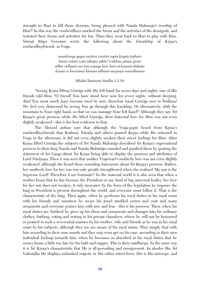strength to Hari to kill those demons, being pleased with Nanda Maharaja's worship of Him!" In this way the cowherdboys mocked the forms and the activities of the demigods, and imitated their forms and activities for fun. Then they went back to Hari to play with Him. Srimat Rüpa Gosvämi wrote the following about the friendship of Krsna's cowherdboyfriends in Vraja:

> *unnidrasya yayus tavätra viratià sapta kñapäs tiñöhato hanta çränta iväsi nikñipa sakhe! çrédäma päëau girim ädhir vidhyati nas tam arpaya kare kià vä kñaëaà dakñiëe doñëas te karaväma kämam adhunä savyasya samvähanam*

> > (Bhakti Rasāmrta Sindhu 3.3.18)

"Seeing Krsna lifting Girirāja with His left hand for seven days and nights, one of His friends told Him: "O friend! You have stood here now for seven nights, without sleeping, Aho! You must surely have become tired by now, therefore hand Giriraja over to Śrīdāma! We feel very distressed by seeing You go through this hardship. Or alternatively, shift the mountain to Your right hand, so that we can massage Your left hand!" Although they saw Sri Krsna's great prowess while He lifted Giriraja, their fraternal love for Him was not even slightly weakened - this is the best evidence to that.

The blessed author says that although the Vraja-*gopés* heard from Kåñëa's cowherdboyfriends that Brahmā, Nārada and others praised Krsna while He returned to Vraja in the afternoon, it did not even slightly weaken their sweet feelings for Him. After Krsna lifted Girirāja the subjects of Śrī Nanda Mahārāja described Śrī Krsna's supernatural prowess to their king Nanda and Nanda Mahäräja consoled and pacified them by quoting the statement of Śrī Garga about Śrī Krsna being able to display the prowess and attributes of Lord Nārāyaṇa. Then it was seen that mother Vrajesvarī's motherly love was not even slightly weakened, although she heard these consoling statements about Śrī Krsna's prowess. Rather, her motherly love for her son was only greatly strengthened when she realized 'My son is the Supreme Lord! Therefore I am fortunate!' In the material world it is also seen that when a mother hears that he has become the President or any kind of big universal leader, her love for her son does not weaken, it only increases. In the form of the legislation he imposes the king or President is present throughout the world, and everyone must follow it. That is the characteristic of the king. Then again, when he performs his royal duties in his royal court with his friends and ministers he wears his jewel studded crown and coat and many ornaments and everyone praises him with awe and fear - this is his prowess. Then, when his royal duties are finished he gives up his dress and ornaments and changes into his ordinary clothes, bathing, eating and resting in his private chambers, where he will not be honoured or praised in such a reverential manner by his mother, wife and friends as he was in his royal court by his subjects, although they too are aware of his royal status. They simply deal with him according to their own moods and they may even get on his case, according to their own individual feelings towards him, when he becomes so absorbed in his royal duties that he comes home a little too late for his bath and supper. This is their *mädhurya*. In the same way it is Śrī Krsna's characteristic that He is all-pervading and omnipresent. In abodes like Śrī Vaikuntha He displays unlimited majesty in His *vilāsa mūrti*-form, this is His *aisvarya*, and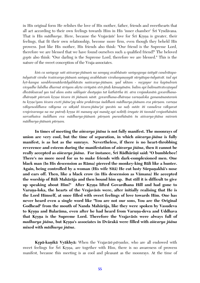in His original form He relishes the love of His mother, father, friends and sweethearts that all act according to their own feelings towards Him in His 'inner chamber' Śrī Vrndāvana. That is His *mādhurya*. Here, because the Vrajavāsīs' love for Śrī Krsna is greater, their feelings, that fit their own relationship, become more firm, even though they beheld His prowess. Just like His mother, His friends also think: "Our friend is the Supreme Lord, therefore we are blessed that we have found ourselves such a qualified friend!" The beloved *gopés* also think: "Our darling is the Supreme Lord, therefore we are blessed." This is the nature of the sweet conception of the Vraja-associates.

*kià ca saàyoge sati aiçvarya-jïänaà na samyag avabhäsate saàyogasya çaityät candrätapatulyatvät virahe tvaiçvarya-jïänaà saàyag avabhäsate virahasyauñëyät süryätapa-tulyatvät. tad api*  hrt-kampa sambhramādarādyabhāvān naiśvarya-jñānam. yad uktam - *mrgayur iva kapīndra*m  $viyadhe lubdha dharma striyam akrta virūpām strī-jitah kāmayānām. balim api balimattvāvestayad$ *dhväìksavad yas tad alam asita sakhyair dustyajas tat kathärtha iti. atra vrajaukasäà govardhanadhāraṇāt pūrvaṁ kṛṣṇa īśvara iti jñānaṁ nāsīt. govardhana-dhāraṇa varuṇaloka gamanānantaraṁ* tu krsno'yam īśvara eveti jñāne'py ukta prakārena śuddhaṁ mādhurya-jñānam eva pūrnam. varuna vākyenoddhava vākyena ca sākṣād īśvara-jñāne'pi yuvām na naḥ sutāv iti vasudeva vākyavat *vrajeçvarasya na me putraù kåñëa iti manasy api manäg api noktiù çruyate iti tasmäd vrajasthänäà sarvathaiva çuddham eva mädhurya-jïänaà pürëaà purasthänäà tu aiçvarya-jïäna miçraà mādhurya-jñānam pūrnam.* 

**In times of meeting the** *aiçvarya jïäna* **is not fully manifest. The moonrays of**  union are very cool, but the time of separation, in which *aisvarya-jñāna* is fully **manifest, is as hot as the sunrays. Nevertheless, if there is no heart-throbbing**  reverence and esteem during the manifestation of *aisvarya jñāna*, then it cannot be really accepted as *aisvarya jñāna*. For instance, Śrī Rādhārānī said: "O bumblebee! **There's no more need for us to make friends with dark-complexioned men. One black man (In His descension as Räma) pierced the monkey-king Bäli like a hunter.**  Again, being controlled by a woman (His wife Sītā) He cut lusty Sūrpanakhā's nose **and ears off. Then, like a black crow (in His descension as Vämana) He accepted the worship of Bäli Mahäräja and then bound him up. But still it is difficult to give**  up speaking about Him!" After Krsna lifted Govardhana Hill and had gone to Varuna-loka, the hearts of the Vrajavāsīs were, after initially realising that He is **the Lord Himself, at once filled with sweet feelings of love towards Him. One has never heard even a single word like "You are not our sons, You are the Original Godhead" from the mouth of Nanda Mahäräja, like they were spoken by Vasudeva**  to Krsna and Balarāma, even after he had heard from Varuna-deva and Uddhava that Krsna is the Supreme Lord. Therefore the Vrajaväsis were always full of *madhurya jïäna***, but Kåñëa's associates in Dvärakä were filled with** *aiçvarya jïäna* **mixed with** *mädhurya jïäna***.**

**Krpā-kanikā Vyākhyā:** When the Vrajavāsī-*pārṣadas*, who are all endowed with sweet feelings for Sri Krsna, are together with Him, there is no awareness of prowess manifest, because this meeting is as cool and pleasant as the moonrays. At the time of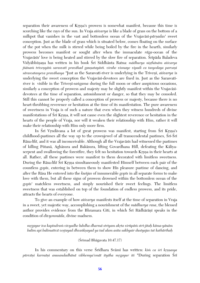separation their awareness of Krsna's prowess is somewhat manifest, because this time is scorching like the rays of the sun. In Vraja *aiçvarya* is like a blade of grass on the bottom of a milkpot that vanishes in the vast and bottomless ocean of the Vrajavasi-*parsadas'* sweet conception. Just as the blade of grass which is situated below, comes floating on the surface of the pot when the milk is stirred while being boiled by the fire in the hearth, similarly prowess becomes manifest or sought after when the immaculate *räga*-ocean of the Vrajavāsīs' love is being heated and stirred by the slow fire of separation. Śrīpāda Baladeva Vidyābhūsana has written in his book Śrī Siddhānta Ratna: *mādhurya nisthānām aiśvarya jñānam triveņyām sarasvatī pravāhad gauņatayāsti. virahe vismaye vipadi ca tasyodaya parvaņi sārasvatasyeva pravāhasya* "Just as the Sarasvatī-river is underlying in the Triveni, *aiśvarya* is underlying the sweet conception the Vrajaväsi-devotees are fixed in. Just as the Sarasvatiriver is visible in the Triven<sup>-</sup>sangama during the full moon or other auspicious occasions, similarly a conception of prowess and majesty may be slightly manifest within the Vrajavasidevotees at the time of separation, astonishment or danger, so that they may be consoled. Still this cannot be properly called a conception of prowess or majesty, because there is no heart-throbbing reverence or hesitation at the time of its manifestation. The pure awareness of sweetness in Vraja is of such a nature that even when they witness hundreds of divine manifestations of Srī Krsna, it will not cause even the slightest reverence or hesitation in the hearts of the people of Vraja, nor will it weaken their relationship with Him, rather it will make their relationship with Him only more firm.

In Śrī Vrndāvana a lot of great prowess was manifest, starting from Śrī Krsna's childhood-pastimes all the way up to the crownjewel of all transcendental pastimes, Srī-Srī Rāsa-*līlā*, and it was all inconceivable. Although all the Vrajavāsīs had witnessed the pastimes of killing Pütanä, Aghäsura and Bakäsura, lifting Govardhana Hill, defeating the Käliyaserpent and swallowing the forestfire, they felt no hesitation towards Krsna in their hearts at all. Rather, all these pastimes were manifest to them decorated with limitless sweetness. During the Rāsa-*līlā* Srī Krsņa simultaneously manifested Himself between each pair of the countless *gopés*, entering in between them to show His pleasure pastime of dancing, and after the Räsa He entered into the *kuïjas* of innumerable *gopés* in all separate forms to make love with them, but all these signs of prowess drowned within the bottomless ocean of the *gopés*' matchless sweetness, and simply nourished their sweet feelings. The limitless sweetness that was established on top of the foundation of endless prowess, and its pride, attracts the hearts of everyone.

To give an example of how *aiçvarya* manifests itself at the time of separation in Vraja in a sweet, yet majestic way, accomplishing a nourishment of the *mädhurya rasa*, the blessed author provides evidence from the Bhramara Giti, in which Sri Rädhäräni speaks in the condition of *divyonmäda*, divine madness.

*mågayur iva kapéndraà vivyadhe lubdha dharmä striyam akåta virüpäà stré-jitaù käma-yänäm balim api balimattvä veñöayad dhvaìkñayad ya tad alam asita sakhyair dustyajas tat kathärthaù*

 $(Sr<sub>Imad</sub> Bhāgavata 10.47.17)$ 

In his commentary on this verse Sridhara Svami has written: *kim ca sri krsnasya* pūrvāņi karmāņi anusandadhānā vibhemya'smāt ityāha mrgayur iti "During separation Śrī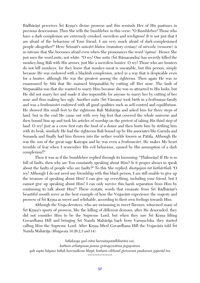Rādhārānī perceives Śrī Krsna's divine prowess and this reminds Her of His pastimes in previous descensions. Thus She tells the bumblebee in this verse: "O Bumblebee! Those who have a dark complexion are extremely crooked, merciless and irreligious! It is not just that I am afraid of the behaviour of Your friend, I am very much afraid of dark-complexioned people altogether!" Here Srimati's *sañcāri bhāva* (transitory ecstasy) of *nirveda* (remorse) is so intense that She becomes afraid even when She pronounces the word '*çyäma*'. Hence She just uses the word *asita*, not white. "O rey! One *asita* (Srī Rāmacandra) has secretly killed the monkey-king Bäli with His arrows, just like a merciless hunter. O rey! Those who are hunters do not kill monkeys, for they know that monkey-meat is uneatable, but this person, simply because He was endowed with a blackish complexion, acted in a way that is despicable even for a hunter, although He was the greatest among the righteous. Then again He was so enamoured by Sita that He maimed Sürpanakha by cutting off Her nose. The fault of Sürpanakhä was that she wanted to marry Him because she was so attracted to His looks, but He did not marry her and made it also impossible for anyone to marry her by cutting of her nose and thus making her ugly. Another *asita* (Srī Vāmana) took birth in a *brāhmana*-family and was a *brahmacäré* endowed with all good qualities such as self-control and equilibrium. He showed His small feet to the righteous Bali Mahäräja and asked him for three steps of land, but in the end He came out with very big feet that covered the whole universe and then bound him up and took his articles of worship on the pretext of taking His third step of land. O rey! Just as a crow first eats the food of a donor and then hurts him by striking him with its beak, similarly He had the righteous Bali bound up by His associates like Garuda and Sunanda and finally had him thrown into the nether worlds known as Pätäla. Although He was the son of the great sage Kaçyapa and he was even a *brahmacäré*, He makes My heart tremble of fear when I remember His evil behaviour, caused by His assumption of a dark complexion!!"

Then it was as if the bumblebee replied through its humming: "Thakurani! If He is so full of faults, then why are You constantly speaking about Him? Is it proper always to speak about the faults of people who are faulty?" To this She replied: *dustyajam tat kathārthah* "O rey! Although I do not need any friendship with this black person, I am still unable to give up the treasure of speaking about Him! I can give up everything, including your friend, but I cannot give up speaking about Him! I can only survive this harsh separation from Him by continuing to talk about Him!" These ecstatic words that emanate from Srī Rādhārāņī's beautiful mouth serve as the best example of how the Vrajaväsis experience the majesty and prowess of Çré Kåñëa as sweet and relishable, according to their own feelings towards Him.

Although the Vraja-devotees, who are swimming in sweet flavours, witnessed many of Srī Krsna's sports of prowess, like the killing of different demons, after He descended, they did not consider Him to be the Supreme Lord, but when they saw Sri Krsna lifting Govardhana Hill and bringing Srī Nanda Mahārāja back from Varuna-loka, they started calling Him the Supreme Lord. After Krsna lifted Govardhana Hill the Vrajaväsis told Śrī Nanda Mahäräja (Bhägavata 10.26.2,3 and 14):

*bälakasya yad etäni karmäëyatädbhutäni vai; katham arhatyasau janma grämyeñvätma jugupsitam yaù sapta häyano bälaù kareëaikena lélayä; kathaà vibhrad girivaraà puñkaraà gajaräò iva \*\*\*\*\*\*\*\*\*\*\*\*\*\*\**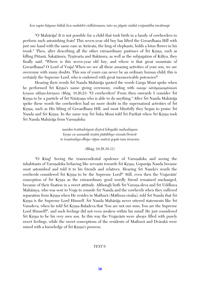*kva sapta häyano bälaù kva mahädri vidhäraëam; tato no jäyate çaìkä vrajanätha tavätmaje*

"O Mahäräja! It is not possible for a child that took birth in a family of cowherders to perform such astonishing feats! This seven-year old boy has lifted the Govardhana Hill with just one hand with the same ease as Airävata, the king of elephants, holds a lotus flower in his trunk." Then, after describing all the other extraordinary pastimes of Śrī Krsna, such as killing Pūtanā, Śakatāsura, Trnāvarta and Bakāsura, as well as the subjugation of Kāliya, they finally said: "Where is this seven-year old boy, and where is that great mountain of Govardhana? O Lord of Vraja! When we see all these amazing activities of your son, we are overcome with many doubts. This son of yours can never be an ordinary human child; this is certainly the Supreme Lord, who is endowed with great inconceivable potencies!"

Hearing their words Śrī Nanda Mahārāja quoted the words Garga Muni spoke when he performed Srī Krsna's name giving ceremony, ending with *manye nārāyanasyāmsam krsnam aklista-kārinam* (Bhāg. 10.26.23) "O cowherders! From then onwards I consider Śrī Krsna to be a particle of Śrī Nārāyaṇa who is able to do anything." After Śrī Nanda Mahārāja spoke these words the cowherders had no more doubt in the supernatural activities of Sri Krsna, such as His lifting of Govardhana Hill, and most blissfully they began to praise Śrī Nanda and Śrī Krsna. In the same way Śrī Śuka Muni told Śrī Parīkṣit when Śrī Krsna took Śrī Nanda Mahārāja from Varunaloka:

> *nandas tvaténdriyaà dåñövä lokapäla mahodayam kåñëe ca sannatiù teñäà jïätibhyo vismito'bravét te tvautsukya-dhiyo räjan matvä gopäs tam éçvaram*

> > (Bhäg. 10.28.10-11)

"O King! Seeing the transcendental opulence of Varunaloka and seeing the inhabitants of Varunaloka behaving like servants towards Śrī Krsna, Goparāja Nanda became most astonished and told it to his friends and relatives. Hearing Sri Nanda's words the cowherds considered Śrī Krsna to be the Supreme Lord!" Still, even then the Vrajavāsīs' conception of S<sub>ri</sub> Krsna as the extraordinary good wordly friend remained unchanged, because of their fixation in a sweet attitude. Although both Srī Varuņa-deva and Srī Uddhava Mahāšaya, who was sent to Vraja to console Śrī Nanda and the cowherds when they suffered separation from Krsna when He resides in Mathurā (Māthura-viraha), told Śrī Nanda that Śrī Krsna is the Supreme Lord Himself, Śrī Nanda Mahārāja never uttered statements like Śrī Vasudeva, when he told Śrī Krsna-Baladeva that 'You are not our sons; You are the Supreme Lord Himself!", and such feelings did not even awaken within his mind! He just considered Śrī Krsna to be his very own son. In this way the Vrajavāsīs were always filled with purely sweet feelings, while the sweet conceptions of the residents of Mathurä and Dvärakä were mixed with a knowledge of Sri Krsna's prowess.

## *TEXT 6:*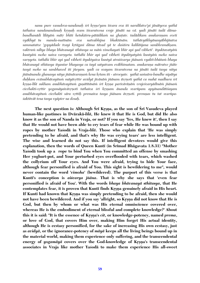*nanu pure vasudeva-nandanaù çré kåñëo'yam éçvara eva iti naralélatve'pi jänätyeva yathä* tathaiva nandanandanah krsnah svam īśvaratvena vraje jānāti na vā. yadi jānāti tadā dāma*bandhanādi līlāyām mātr bhīti hetukāśru-pātādikam na ghaṭate. tadādikam anukaraṇam eveti vyäkhyä tu manda-maténäm eva natvabhijna bhaktänäm. tathävyäkhyänasyäbhijïatva*  sammatatve 'gopyādade tvayi krtāgasi dāma tāvad yā te daśāśru kalilāñjana sambhramāksam. *vaktraà niléya bhaya bhävanayä sthitasya sa mäà vimohayati bhér api yad vibheti'. ityuktavatyäà kuntyäà moho naiva varëyeta. tathähi bhér api yad vibheti ityuktyatyäà kuntyäà moho naiva varëyeta. tathähi bhér api yad vibheti ityuktyaiva kuntyä atraiçvarya jïänaà vyakté-bhütaà bhaya bhävanayä sthitasya ityantar bhayasya ca tayä satyatvam eväbhimatam. anukaraëa mätratve jïäte tasyä moho na sambhaved iti jïeyam. yadi ca svayam éçvaratvena na jänäti tadä tasya nitya jñānānanda ghanasya nitya jñānāvaraṇaṁ kena kṛtam iti - atrocyate. yathā saṁsāra-bandhe nipātya duùkam evänubhävayituà mäyävåttir avidyä jévänäà jïänam ävåëoti yathä ca mahä madhura çré kåñëa-lélä sukham anubhävayituà guëätétänäà çré kåñëa pariväräëäà vrajeçvaryädénäà jïänaà cicchakti-våttir yogamäyaivävåëoti tathaiva çré kåñëam änanda svarüpam apyänandätiçayam*  anubhāvayitum cicchakti sāra vrttih premaiva tasya jñānam āvrnoti. premnas tu tat svarūpa*çaktitvät tena tasya vyäpter na dosaù.*

**The next question is: Although Sri Krsna, as the son of Sri Vasudeva played human-like pastimes in Dvärakä-***lélä,* **He knew it that He is God, but did He also know it as the son of Nanda in Vraja, or not? If you say 'Yes, He knew it', then I say that He would not have been able to cry tears of fear while He was bound up with ropes by mother Yaçodä in Vraja-***lélä***. Those who explain that 'He was simply pretending to be afraid, and that's why He was crying tears' are less intelligent. The wise and learned do not say this. If intelligent devotees would give this explanation, then the words of Queen Kunti (in Śrīmad Bhāgavata 1.8.31) "Mother Yaçodä took up a rope to bind You when You committed an offense by smashing Her yoghurt-pot, and Your perturbed eyes overflooded with tears, which washed the collyrium off Your eyes. And You were afraid, trying to hide Your face, although fear personified is afraid of You. This sight is bewildering to me", would never contain the word '***vimoha***' (bewildered). The purport of this verse is that**  Kunti's conception is *aisvarya jñāna*. That is why she says that 'even fear **personified is afraid of You'. With the words** *bhaya bhävanayä sthitasya***, that He**  contemplates fear, it is proven that Kunti finds Krsna genuinely afraid in His heart. If Kunti had known that Krsna was simply pretending to be afraid, then she would not have been bewildered. And if you say 'allright, so Krsna did not know that He is **God, but then by whom or what was His eternal omniscience covered over, whereas He is the embodiment of eternal blissful and complete knowledge?' About**  this it is said: "It is the essence of Krsna's *cit*, or knowledge-potency, named *prema*, **or love of God, that covers Him over, making Him forget His actual identity, although He is ecstasy personified, for the sake of increasing His own ecstasy, just as** *avidyä***, or the ignorance-potency of** *mäyä* **keeps all the living beings bound up in the material world, making them experience only suffering, and the transcendental**  energy of *yogamāyā* covers over the God-knowledge of Krsna's transcendental **associates in Vraja like mother Yaçodä to make them experience His all-sweet**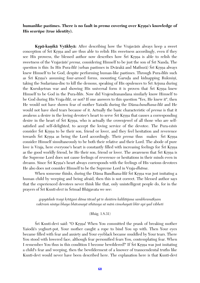# **humanlike pastimes. There is no fault in** *prema* **covering over Krsna's knowledge of His** *svarüpa* **(true identity).**

**Krpā-kanikā Vyākhyā:** After describing how the Vrajavāsīs always keep a sweet conception of S<sub>r</sub> K<sub>rsna</sub> and are thus able to relish His sweetness accordingly, even if they see His prowess, the blessed author now describes how Sri Krsna is able to relish the sweetness of the Vrajavāsīs' *prema*, considering Himself to be just the son of Śrī Nanda. The question is this: In His Pura-*līlā* (urban pastimes in Dvārakā and Mathurā) Šrī Krsna always knew Himself to be God, despite performing human-like pastimes. Through Pura-*léläs* such as Śrī Krsna's assuming four-armed forms, mounting Garuda and kidnapping Rukminī, taking the Sudarsana-disc to kill the demons, speaking of His opulences to Sri Arjuna during the Kuruksetran war and showing His universal form it is proven that Sri Krsna knew Himself to be God in the Pura-*léläs*. Now did Vrajendranandana similarly know Himself to be God during His Vraja-*lélä*, or not? If one answers to this question "Yes, He knew it", then He would not have shown fear of mother Yaçodä during the Däma-*bandhana-lélä* and He would not have shed tears because of it. Actually the basic characteristic of *prema* is that it awakens a desire in the loving devotee's heart to serve Srī Krsna that causes a corresponding desire in the heart of Sri Krsna, who is actually the crownjewel of all those who are selfsatisfied and self-delighted, to accept the loving service of the devotee. The Pura-*väsés* consider Sri Krsna to be their son, friend or lover, and they feel hesitation and reverence towards Śrī Krsna as being the Lord accordingly. Their *prema* thus makes Śrī Krsna consider Himself simultaneously to be both their relative and their Lord. The abode of pure love is Vraja, here everyone's heart is constantly filled with increasing feelings for Srī Krsna as the good worldly friend, be He their son, friend or lover. The awareness that Srī Krsna is the Supreme Lord does not cause feelings of reverence or hesitations in their minds even in dreams. Since Sri Krsna's heart always corresponds with the feelings of His various devotees He also does not consider Himself to be the Supreme Lord in Vraja-*dhäma*.

When someone thinks, during the Dāma Bandhana-*līlā* Srī Krsna was just imitating a human child by weeping and being afraid, then this is not correct. The blessed author says that the experienced devotees never think like that, only unintelligent people do, for in the prayers of Śrī Kuntī-*devī* in Śrīmad Bhāgavata we see:

*gopyädade tvayi kåtägasi däma tävad yä te daçäçru kaliläïjana sambhramäkñam vaktraà ninéya bhaya bhävanayä sthitasya sä mäà vimohayati bhér api yad vibheti*

#### (Bhäg. 1.8.31)

Srī Kuntī-devī said: "O Krsna! When You committed the prank of breaking mother Yasoda's yoghurt-pot, Your mother caught a rope to bind You up with. Then Your eyes became filled with fear and anxiety and Your eyeblack became muddled by Your tears. There You stood with lowered face, although fear personified fears You, contemplating fear. When I remember You thus in this condition I become bewildered!" If Sri Krsna was just imitating a child's fear and weeping, then the bewilderment of a knower of transcendental truths like Kunti-devi would never have been described here. The explanation here is that Kunti-devi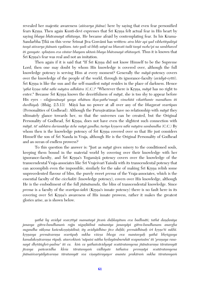revealed her majestic awareness (*aiçvarya jïäna*) here by saying that even fear personified fears Krsna. Then again Kunti-devi expresses that Sri Krsna felt actual fear in His heart by saying *bhaya bhävanayä sthitasya*, He became afraid by contemplating fear. In his Krama-Sandarbha Tīkā on this verse Śrīmat Jīva Gosvāmī has written: *atra bhīr api yad vibhetītyuktyā tasyä aiçvarya jïänaà vyaktam. tato yadi sä bhéù satyä na bhavati tadä tasyä moho'pi na sambhaved iti gamyate. sphuöam eva cäntar bhayam uktaà bhaya bhävanayä sthitasyeti*. Thus it is known that Śrī Krsna's fear was real and not an imitation.

Then again if it is said that "If Śrī Krsna did not know Himself to be the Supreme Lord, then one may doubt by whom His knowledge is covered over, although the full knowledge potency is serving Him at every moment? Generally the *mäyä*-potency covers over the knowledge of the people of the world, through its ignorance-faculty *(avidyā-vrtti)*. Srī Krsna is like the sun and the self-manifest  $m\bar{a}y\bar{a}$  resides in the place of darkness. Hence '*yāhā krsna tāhā nāhi māyāra adhikāra* (C.C.)" "Wherever there is Krsna, *māyā* has no right to enter." Because Śrī Krsna knows the deceitfulness of  $m\bar{a}y\bar{a}$ , she is too shy to appear before His eyes - *vilajjamänayä yasya sthätum ékña-pathe'muyä. vimohitä vikatthante mamäham iti durdhiyaù* (Bhäg. 2.5.13) Mäyä has no power at all over any of the *bhagavat svarüpas* (Personalities of Godhead). Although the Purusāvatāras have no relationship with *māyā* they ultimately glance towards her, so that the universes can be created, but the Original Personality of Godhead, Śrī Krsna, does not have even the slightest such connection with *mäyä*. *tä' sabhära darçanädye äche mäyä gandha; turéya kåñëera nähi mäyära sambandha* (C.C.) By whom then is the knowledge potency of  $\overline{S}r\overline{i}$  Kisna covered over so that He just considers Himself the son of Sri Nanda in Vraja, although He is the Original Personality of Godhead and an ocean of endless prowess?

To this question the answer is: "Just as *mäyä* gives misery to the conditioned souls, keeping them bound in the material world by covering over their knowledge with her ignorance-faculty, and Śrī Krsna's Yogamāyā potency covers over the knowledge of the transcendental Vraja-associates like Śrī Vrajeśvarī Yaśodā with its transcendental potency that can accomplish even the impossible, similarly for the sake of making S<sub>ri</sub> Krsna relish some unprecedented flavour of bliss, the purely sweet *prema* of the Vraja-associates, which is the essential faculty of the *cicchakti* (knowledge potency), covers over His knowledge, although He is the embodiment of the full *jïänänanda*, the bliss of transcendental knowledge. Since *prema* is a faculty of the *svarūpa-sakti* (Krsna's innate potency) there is no fault here in its covering over Sri Krsna's awareness of His innate prowess, rather it makes the greatest glories arise, as is shown below.

*yathä hy avidyä svavåttyä mamatayä jévaà duùkayitum eva badhnäti; tathä daëòanéya janasya gätra-bandhanaà rajju nigaòädinä mänanéya janasyäpi gätra-bandhanam anargha*  sugandha sūksma kañcukosnīsādinā; ity avidyādhīno jīvo duhkī; premādhīnah *śrī krsno'ti sukhī*. krsnasya premāvaraņa svarūpah sukha viśesa bhoga eva mantavyah yathā bhrngasya kamalakosāvaraņa rūpaļī. ataevoktam 'nāpaisi nātha hydayāmburuhāt svapumsām' iti 'praņaya rasanayā dhŗtāṅghri-padme' iti ca. kim ca yathaivāvidyayā svatāratamyena jñānāvaraṇa tāratamyāt *jévasya païcavidha kleça täratamyaà vidhiyate tathaiva premëäpi svatäratamyena jïänaiçvaryädyävaraëa täratamyät sva viñayäçrayayor ananta prakäraà sukha täratamyaà*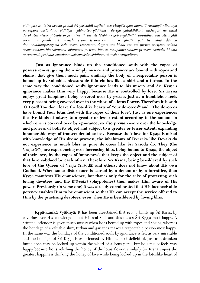*vidhiyate iti. tatra kevala premä çré yaçodädi niñöhaù sva viñayäçrayau mamatä rasanayä nibadhya paraspara vaçébhütau vidhäya jïänaiçvaryädikam ävåtya yathädhikaà sukhayati na tathä devakyädi niñöho jïänaiçvarya miçra iti. tasmät täsäà vrajeçvaryädénäà sannidhau tad vätsalyädi prema mugdhaù çré kåñëaù svam éçvaratvena naiva jänäti. yat tu nänä dänava dävÄnalädyutpätägama käle tasya särvajïaà dåñöaà tat khalu tat tat prema parijana pälana prayojanikayä lélä-çaktyaiva sphuritaà jïeyam. kià ca maugdhya samaye'pi tasya sädhaka bhakta*  paricaryādi grahane sārvajñam acintya śakti siddham iti prāk pratipāditam.

**Just as ignorance binds up the conditioned souls with the ropes of possessiveness, giving them simply misery and prisoners are bound with ropes and chains, that give them much pain, similarly the body of a respectable person is bound up by valuable, pleasurable thin clothes like a shirt and a turban. In the**  same way the conditioned soul's ignorance leads to his misery and Sri Krsna's **ignorance makes Him very happy, because He is controlled by love. Sri Krsna enjoys great happiness being covered over by** *prema***, just as a bumblebee feels very pleasant being covered over in the whorl of a lotus flower. Therefore it is said: "O Lord! You don't leave the lotuslike hearts of Your devotees!" and: "The devotees have bound Your lotus feet with the ropes of their love". Just as one experiences the five kinds of misery to a greater or lesser extent according to the amount in which one is covered over by ignorance, so also** *prema* **covers over the knowledge and prowess of both its object and subject to a greater or lesser extent, expanding**  innumerable ways of transcendental ecstasy. Because their love for Krsna is mixed **with knowledge of His divine prowess, the inhabitants of Dvärakä like Devaké do not experience as much bliss as pure devotees like Çré Yaçodä do. They (the**  Vrajavāsīs) are experiencing ever-increasing bliss, being bound to Krsna, the object **of their love, by the ropes of 'mine-ness', that keeps the object and the subject of**  that love subdued by each other. Therefore Srī Krsna, being bewildered by such **love of the Queen of Vraja (Yaçodä) and others, does not know about His own Godhood. When some disturbance is caused by a demon or by a forestfire, then**  Krsna manifests His omniscience, but that is only for the sake of protecting such loving devotees and the *lilā-sakti* (playpotency) then makes Him aware of His **power. Previously (in verse one) it was already corroborated that His inconceivable potency enables Him to be omniscient so that He can accept the service offered to Him by the practising devotees, even when He is bewildered by loving bliss.** 

**Krpā-kanikā Vyākhyā:** It has been ascertained that *prema* binds up Śrī Krsna by covering over His knowledge about His real Self, and this makes Sri Krsna most happy. A criminal offender is given much misery when he is bound up with ropes and chains, whereas the bondage of a valuable shirt, turban and garlands makes a respectable person most happy. In the same way the bondage of the conditioned souls by ignorance is felt as very miserable and the bondage of Srī Krsņa is experienced by Him as most delightful. Just as a drunken bumblebee may be locked up within the whorl of a lotus petal, but he actually feels very happy because he is relishing the honey of the lotus flower, similarly Sri Krsna enjoys the greatest happiness drinking the honey of love while being locked up in the lotuslike heart of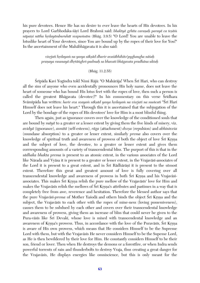his pure devotees. Hence He has no desire to ever leave the hearts of His devotees. In his prayers to Lord Garbhodaka-śāyī Lord Brahmā said: *bhaktyā grhīta caraņah parayā ca teṣām* nāpaiși nātha hrdayāmburuhāt svapumsām (Bhāg. 3.9.5) "O Lord! You are unable to leave the lotuslike heart of Your devotees, since You are bound up by the ropes of their love for You!" In the ascertainment of the Mahäbhägavata it is also said:

> *visåjati hådayaà na yasya säkñäd dharir avaçäbhihito'pyghaugha näçaù praëaya rasanayä dhåtäìghri-padmaù sa bhavati bhägavata pradhäna uktaù*

#### (Bhäg. 11.2.55)

Śrīpāda Kavi Yogīndra told Nimi Rājā: "O Mahārāja! When Śrī Hari, who can destroy all the sins of anyone who even accidentally pronounces His holy name, does not leave the heart of someone who has bound His lotus feet with the ropes of love, then such a person is called the greatest Bhagavata (devotee)!" In his commentary on this verse Sridhara Svāmīpāda has written: *harir eva svayam sāksād yasya hrdayam na visrjati na muñcati* "Śrī Hari Himself does not leave his heart." Through this it is ascertained that the subjugation of the Lord by the bondage of the ropes of His devotees' love for Him is a most blissful thing.

Then again, just as ignorance covers over the knowledge of the conditioned souls that are bound by *mäyä* to a greater or a lesser extent by giving them the five kinds of misery, viz. *avidyä* (ignorance), *asmitä* (self-esteem), *räga* (attachment) *dveña* (repulsion) and *abhiniveça* (mundane absorption) to a greater or lesser extent, similarly *prema* also covers over the knowledge of spiritual truth and awareness of prowess of both the object of love Sri Krsna and the subject of love, the devotee, to a greater or lesser extent and gives them corrresponding amounts of a variety of transcendental bliss. The purport of this is that in the *sädhaka bhakta prema* is present to an atomic extent, in the various associates of the Lord like Nārada and Vyāsa it is present to a greater or lesser extent, in the Vrajavāsī-associates of the Lord it is present to a great extent, and in Śrī Rādhārānī it is present to the utmost extent. Therefore this great and greatest amount of love is fully covering over all transcendental knowledge and awareness of prowess in both Śrī Krsna and his Vrajavāsīassociates. This makes Srī Krsna relish the pure mellow of the Vrajavāsīs' love for Him and makes the Vrajaväsis relish the mellows of Śrī Krsna's attributes and pastimes in a way that is completely free from awe, reverence and hesitation. Therefore the blessed author says that the pure Vrajav<del>äsi-*prema*</del> of Mother Yasod<del>a</del> and others binds the object Sri Krsna and the subject, the Vrajaväsis to each other with the ropes of mine-ness (loving possessiveness), causes them to be subdued by each other and covers over their transcendental knowledge and awareness of prowess, giving them an increase of bliss that could never be given to the Pura-väsis like Sri Devaki, whose love is mixed with transcendental knowledge and an awareness of Krsna's prowess. Thus, in accordance with the love of the Puraväsis, Šri Krsna is aware of His own prowess, which means that He considers Himself to be the Supreme Lord with them, but with the Vrajaväsis He never considers Himself to be the Supeme Lord, as He is then bewildered by their love for Him. He constantly considers Himself to be their son, friend or lover. Then when He destroys the demons or a forestfire, or when Indra sends powerful torrents of rain and thunderbolts to destroy Vraja, thus creating a great danger for the Vrajavāsīs, He displays energies like omniscience, but this is only meant for the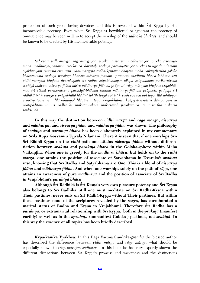protection of such great loving devotees and this is revealed within Sri Krsna by His inconceivable potency. Even when Sri Krsna is bewildered or ignorant the potency of omniscience may be seen in Him to accept the worship of the *sädhaka bhaktas*, and should be known to be created by His inconceivable potency.

tad evam vidhi-mārga rāga-mārgayor viveka aiśvarya mādhuryayor viveka aiśvarya*jïäna mädhurya-jïänayor vivekaç ca darçitaù. svakéyä parakéyätvayor vivekas tu ujjvala nélamaëi vyākhyāyām vistārita eva. atra vidhi-mārgeņa rādhā-krsņayor bhajane mahā vaikuņthastha goloke khalvavivikta svakéyä parakéyä-bhävam aiçvarya-jïänaà präpnoti. madhura bhäva lobhitve sati vidhi-märgeëa bhajane dvärakäyäà çré rädhä satyabhämayor aikyät satyabhämä parikaratvena*  svakīyā-bhāvam aiśvarya jñāna miśra mādhurya-jñānam prāpnoti. rāga-mārgeņa bhajane vrajabhū*mau çré rädhä parikaratvena parakéyä-bhävaà çuddha mädhurya-jïänaà präpnoti. yadyapi çré rädhikä çré kåñëasya svarüpabhütä hlädiné çaktiù tasyä api çré kåñëaù eva tad api tayor lélä sahitayor evopäsyatvaà na tu lélä rahitayoù léläyäà tu tayor vraja-bhümau kväpy ärña-çästre dämpatyaà na*  pratipāditam iti śrī rādhā hi prakatāprakata prakāśayoh parakīyaiva iti sarvārtha niṣkarṣa *saìkñepaù.*

**In this way the distinction between** *vidhi märga* **and** *räga märga***,** *aiçvarya* **and** *mädhurya***, and** *aiçvarya jïäna* **and** *mädhurya jïäna* **was shown. The philosophy of** *svakéyä* **and** *parakéyä bhäva* **has been elaborately explained in my commentary**  on Śrīla Rūpa Gosvāmī's Ujjvala Nīlamaņi. There it is seen that if one worships Śrī- $\oint$ rī Rādhā-Krsna on the *vidhi*-path one attains *aisvarya jñāna* without differen**tiation between** *svakéyä* **and** *parakéyä bhäva* **in the Goloka-sphere within Mahä** Vaikuntha. When one is greedy for the *madhura bhāva*, but holds on to the *vidhi märga***, one attains the position of associate of Satyabhämä in Dvärakä's** *svakéyä rasa***, knowing that Çré Rädhä and Satyabhämä are One. This is a blend of** *aiçvarya jïäna* **and** *mädhurya jïäna***. And when one worships solely on the path of** *räga***, one attains an awareness of pure** *mädhurya* **and the position of associate of Çré Rädhä in Vrajabhümi's** *parakéyä bhäva***.** 

**Although Çré Rädhikä is Çré Kåñëa's very own pleasure potency and Çré Kåñëa**  also belongs to Śrī Rādhikā, still one must meditate on Śrī Rādhā-Krsna within Their pastimes, never only on Śrī Rādhā-Krsna without Their pastimes. But within **these pastimes none of the scriptures revealed by the sages, has corroborated a marital status of Rädhä and Krsna in Vrajabhūmi. Therefore Śrī Rādhā has a** *parakiya***, or extramarital relationship with Śrī Krsna, both in the** *prakata* **(manifest** earthly) as well as in the *aprakata* (unmanifest Goloka-) pastimes, not *svakiyā*. In **this way the essence of all topics has been briefly described.**

**Kåpä-kaëikä Vyäkhyä:** In this Räga Vartma Candrikä-*grantha* the blessed author has described the difference between *vidhi märga* and *räga märga,* what should be especially known to *räga-märgéya sädhakas*. In this book he has very expertly shown the different distinctions between Sri Krsna's prowess and sweetness and the distinctions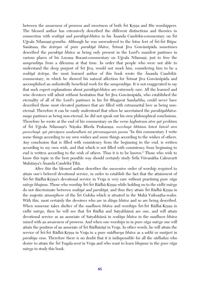between the awareness of prowess and sweetness of both Sri Krsna and His worshippers. The blessed author has extensively described the different distinctions and theories in connection with *svakīyā* and *parakīyā-bhāva* in his Ānanda Candrikā-commentary on Śrī Ujjvala Nīlamani-*grantha*. Although he was surrendered to the lotus feet of Srī-Srī Rūpa-Sanātana, the *ācāryas* of pure *parakīyā bhāva*, Śrīmat Jīva Gosvāmīpāda sometimes described the *parakéyä bhäva* as being only present in the Lord's manifest pastimes in various places of his Locana Rocani-commentary on Ujjvala Nilamani, just to free the *sampradäya* from a dilemma at that time. In order that people who were not able to understand the deep purport of Sri Jiva, would not mock him, considering him to be a *svakéyä äcärya*, the most learned author of this book wrote the Änanda Candrikäcommentary, in which he showed his natural affection for Srimat Jiva Gosvämipäda and accomplished an unlimitedly beneficial work for the *sampradäya*. It is not exaggerated to say that such expert explanations about *parakéyä-bhäva* are extremely rare. All the learned and wise devotees will admit without hesitation that Śrī Jīva Gosvāmīpāda, who established the eternality of all of the Lord's pastimes in his Sri Bhagavat Sandarbha, could never have described those most elevated pastimes that are filled with extramarital love as being noneternal. Therefore it can be easily understood that when he ascertained the *parakiyabhāvamaya* pastimes as being non-eternal, he did not speak out his own philosophical conclusions. Therefore he wrote at the end of his commentary on the verse *laghutvam atra yat proktam* of Śrī Ujjvala Nīlamani's Nāyaka Bheda Prakarana: *svecchayā likhitam kiñcit kiñcid atra parecchayä. yat pürväpara sambandhaà tat pürvamaparaà param* "In this commentary I write some things according to my own wishes and some things according to the wishes of others. Any conclusion that is filled with consistency from the beginning to the end, is written according to my own wish, and that which is not filled with consistency from beginning to end is written according to the wish of others. Thus it is to be known." Those who wish to know this topic in the best possible way should certainly study Srila Visvanatha Cakravarti Mahāśaya's Ānanda Candrikā Tīkā.

After this the blessed author describes the successive order of worship required to attain one's beloved devotional service, in order to establish the fact that the attainment of Śrī-Śrī Rādhā-Krsna's devotional service in Vraja is very rare without practising pure *rāga märga bhajana*. Those who worship Çré-Çré Rädhä-Kåñëa while holding on to the *vidhi märga* do not discriminate between *svakīyā* and *parakīyā*, and thus they attain Śrī Rādhā Krsna in the majestic atmosphere of the Sri Goloka which is situated in the Maha Vaikuntha-realm. With this, most certainly the devotees who are in *däsya bhäva* and so are being described. When someone takes shelter of the *madhura bhāva* and worships Śrī-Śrī Rādhā-Krsna in *vidhi mārga*, then he will see that Srī Rādhā and Satyabhāmā are one, and will attain devotional service as an associate of Satyabhämä in *svakéya bhäva* in the *madhura bhäva* mixed with an awareness of prowess. And when one worships in in pure *räga märga* one will attain the position of an associate of Śrī Rādhārāṇī in Vraja. In other words, he will attain the service of Śrī-Śrī Rādhā-Krsņa in Vraja in a pure *mādhurya bhāva* as a *sakhī* or *mañjarī* in *parakéya rasa*. Therefore there is no doubt that it is indispensible for all the *sädhakas* who desire to attain the Çré Yugala-*sevä* in Vraja and who want to learn *bhajana* in the pure *räga märga* to study this book.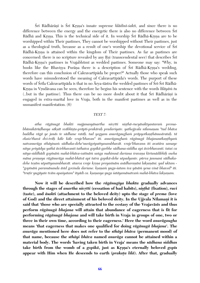Śrī Rādhārānī is Śrī Krsna's innate supreme *hlādinī-śakti*, and since there is no difference between the energy and the energetic there is also no difference between  $\overline{\text{Sri}}$ Rādhā and Krsna. This is the technical side of it. In worship Śrī Rādhā-Krsna are to be worshipped within Their pastimes, They cannot be worshipped without Their pastimes, just as a theological truth, because as a result of one's worship the devotional service of  $\overline{S}$ ri Rādhā-Krsna is attained within the kingdom of Their pastimes. As far as pastimes are concerned: there is no scripture revealed by any Rsi (transcendental seer) that describes Sri Rādhā-Krsna's pastimes in Vrajabhūmī as wedded pastimes. Someone may say: "Why, in books like the Bhavisya Purāna there is a description of Śrī Rādhā-Krsna's wedding, therefore can this conclusion of Cakravartipada be proper?" Actually those who speak such words have misunderstood the meaning of Cakravartipada's words. The purport of these words of Śrīla Cakravartīpāda is that in no Ārya-śāstra the wedded pastimes of Śrī-Śrī Rādhā-Krsna in Vrndävana can be seen, therefore he begins his sentence with the words *lilāyām tu* (..but in the pastime). Thus there can be no more doubt about it that  $\overline{S}$ rī Rādhārānī is engaged in extra-marital love in Vraja, both in the manifest pastimes as well as in the unmanifest manifestation. (6)

#### *TEXT 7:*

atha rāgānugā bhakti majjanasyānartha nivrtti nisthā-rucyāsaktyantaram premabhūmikārūḍhasya sākṣāt svābhīṣṭa-prāpti-prakāraḥ pradarśyate. yathojjvala nīlamaṇau "tad bhāva baddha rāgā ye janās te sādhane ratāh. tad yogyam anurāgaugham prāpyotkaṇṭhānusārataḥ. tā ekaśo'thavā dvi-trāh kāle kāle vraje'bhavan" iti. anurāgaugham rāgānugā bhajanautkanthyam *natvanuräga sthäyinaà sädhaka-dehe'nurägotpattyasambhavät. vraje'bhavann iti avatära samaye nitya priyädya yathä ävirbhavanti tathaiva gopikä-garbhe sädhana-siddha api ävirbhavanti. tataç ca nitya-siddhädi gopénäà mahä-bhäva-vaténäà saìga mahimnä darçana çravaëa kértanädibhiù sneha mäna praëaya rägänuräga mahä-bhävä api tatra gopikä-dehe utpadyante. pürva janmani sädhaka*dehe teşām utpattyasambhavāt. ataeva vraje krsņa preyasīnām asādharaņāni lakṣaṇāni. yad uktam -"gopīnām paramānanda āsīd govinda darśane. kṣaṇam yuga-śatam iva yāsām yena vinā bhaved" iti. *"truöir yugäyate tväm apaçyatam" ityädi ca. kñaëasya yuga çatäyamänatvaà mahä-bhäva lakñaëam.*

**Now it will be described how the** *rägänugéya bhakta* **gradually advances through the stages of** *anartha nivrtti* (cessation of bad habits), *nisthā* (fixation), *ruci* **(taste), and** *äsakti* **(attachment to the beloved deity) upto the stage of** *prema* **(love**  of God) and the direct attainment of his beloved deity. In the Ujjvala Nīlamaņi it is **said that 'those who are specially attracted to the ecstasy of the Vrajaväsés and thus perform** *rägänugä bhajana* **will attain that abundance of eagerness that is fit for performing** *rägänugä bhajana* **and will take birth in Vraja in groups of one, two or three in their own time, according to their eagerness.' Here the word** *anurägaugha* **means 'that eagerness that makes one qualified for doing** *rägänugä bhajana***'. The** *anuräga* **mentioned here does not refer to the** *sthäyi bhäva* **(permanent mood) of that name, because the** *sthäyi bhäva* **named** *anuräga* **cannot be attained within a material body. The words 'having taken birth in Vraja' means the** *sädhana siddhas* take birth from the womb of a *gopika*, just as Krsna's eternally beloved *gopis* appear with Him when He descends to earth (*prakata lila*). After that, gradually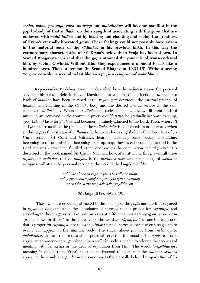*sneha, mäna, praëaya, räga, anuräga* **and** *mahäbhäva* **will become manifest in the**  *gopikä***-body of that** *sädhaka* **on the strength of associating with the** *gopés* **that are endowed with** *mahä-bhäva* **and by hearing and chanting and seeing the greatness of Kåñëa's eternally liberated** *gopés***. These feelings could not possibly have arisen in the material body of the** *sädhaka***, in his previous birth. In this way the extraordinary characteristics of Sri Krsna's beloveds in Vraja has been shown. In Srimad Bhāgavata it is said that the** *gopis* **attained the pinnacle of transcendental bliss by seeing Govinda. Without Him, they experienced a moment to last like a**  hundred ages. Their statement (in Srīmad Bhāgavata 10.31.15) 'Without seeing **You, we consider a second to last like an age', is a symptom of** *mahäbhäva***.**

**Krpā-kanikā Vyākhyā:** Now it is described how the *sādhaka* attains the personal service of his beloved deity in His *lélä*-kingdom, after attaining the perfection of *prema*. Two kinds of *sädhana* have been desribed of the *rägänugéya* devotees - the external practice of hearing and chanting in the *sädhaka*-body and the desired mental service in the selfconceived *siddha* body. When the *sädhaka*'s obstacles, such as *anarthas* (different kinds of mischief) are removed by the continued practice of *bhajana*, he gradually becomes fixed up, gets (lasting) taste for *bhajana* and becomes genuinely attached to the Lord. Then, when *rati* and *prema* are attained the practice in the *sädhaka deha* is completed. In other words, when all the stages of the stream of *sādhanā* - faith, surrender, taking shelter of the lotus feet of Srī Guru, serving Srī Guru and Vaisnava, hearing, chanting, remembering, meditating, becoming free from mischief, becoming fixed up, acquiring taste, becoming attached to the Lord and *rati* - have been fulfilled - then one reaches the culmination named *prema*. It is described in the book named Sri Ujjvala Nilamani how, after attaining this *prema*, all these *rägänugéya sädhakas* that do *bhajana* in the *madhura rasa* with the feelings of *sakhés* or *mañjarīs*, will attain the personal service of the Lord in the kingdom of *līlā*:

> *tad bhäva baddha rägä ye janäs te sädhane ratäù tad yogyam anurägaughaà präpyotkaëöhänusärataù tä eko'thavä dvi-träù käle käle vraje'bhavan*

> > $(S_{\rm I}$  Haripriya Pra. - 49 and 50)

"Those who are especially attracted to the feelings of the *gopés* and are thus engaged in *rägänugä bhajana*, attain the abundance of *anuräga* that is proper for *rägänugä*, and according to their eagerness, take birth in Vraja at different times as Vraja-*gopés* alone or in groups of two or three." In the above verse the word *anurägaughaà* means the eagerness that is proper for *rägänugä*, not the *sthäyi bhäva* named *anuräga*, because only stages up to *prema* can appear in the *sädhaka* body. The stages above *prema*, from *sneha* up to *mahābhāva*, that are required to attain personal service in the mood of the *gopts*, can only appear in a transcendental *gopé*-body, for a *sädhaka* body is unable to tolerate the coolness of meeting with Srī Krsna or the heat of separation from Him. The words *'vraje'bhavan'*, meaning "taking birth in Vraja", must be understood to mean that the *sädhana siddhas* appear in the womb of a *gopika* in the same way as the eternally beloved Vraja-vadhūs of Śrī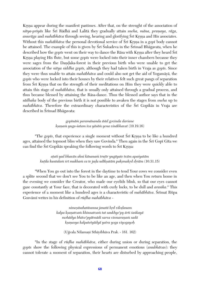Krsna appear during the manifest pastimes. After that, on the strenght of the association of nitya-priyās like Śrī Rādhā and Lalitā they gradually attain *sneha, māna, praņaya, rāga, anurāga* and *mahābhāva* through seeing, hearing and glorifying Śrī Krsna and His associates. Without this *mahābhāva* the personal devotional service of Śrī Krsna in a *gopī* body cannot be attained. The example of this is given by Sri Sukadeva in the Srimad Bhāgavata, when he described how the *gop is* went on their way to dance the Rasa with Krsna after they heard Sri Krsna playing His flute, but some *gopis* were locked into their inner chambers because they were sages from the Dandaka-forest in their previous birth who were unable to get the association of the *nitya siddha gopés,* although they had taken birth in Vraja as *gopés*. Since they were thus unable to attain *mahäbhäva* and could also not get the aid of Yogamäyä, the *gopés* who were locked into their houses by their relatives felt such great pangs of separation from Sri Krsna that on the strength of their meditations on Him they were quickly able to attain this stage of *mahäbhäva*, that is usually only attained through a gradual process, and thus became blessed by attaining the Räsa-dance. Thus the blessed author says that in the *sädhaka* body of the previous birth it is not possible to awaken the stages from *sneha* up to *mahābhāva*. Therefore the extraordinary characteristics of the Śrī Gopikās in Vraja are described in Śrīmad Bhāgavata:

> *gopénäà paramänanda äséd govinda darçane kñaëaà yuga-çatam iva yäsäà yena vinäbhavat* (10.19.16)

"The *gopts*, that experience a single moment without Sri Krsna to be like a hundred ages, attained the topmost bliss when they saw Govinda." Then again in the Sri Gopi Gita we can find the Śrī Gopikās speaking the following words to Śrī Krsna:

> *aöati yad bhavän ahni känanaà truöér yugäyate tväm apaçyatäm kuöila kuntalaà çré mukhaà ca te jaòa udékñatäà pakñmakåd dåçäm* (10.31.15)

"When You go out into the forest in the daytime to tend Your cows we consider even a splite second that we don't see You to be like an age, and then when You return home in the evening we consider the Creator, who made our eyelids blink, so that our eyes cannot gaze constantly at Your face, that is decorated with curly locks, to be dull and *arasika*." This experience of a moment like a hundred ages is a characteristic of *mahābhāva*. Śrīmat Rūpa Gosvāmī writes in his definition of *rūdha mahābhāva* -

> *nimeñäsahatäsanna janatä håd viloòanam kalpa kñaëatvaà khinnatvaà tat saukhye'py ärti çaìkayä mohädya bhäve'pyätmädi sarva vismaraëaà sadä kñaëasya kalpatetyädyä yatra yoga viyogayoù*

(Ujjvala Nīlamani Sthāyibhāva Prak. - 161. 162)

"In the stage of *rūdha mahābhāva*, either during union or during separation, the *gopés* show the following physical expressions of permanent emotions (*anubhävas*): they cannot tolerate a moment of separation, their hearts are disturbed by approaching people,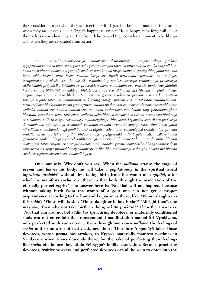they consider an age (when they are together with Krsna) to be like a moment, they suffer when they are anxious about Krsna's happiness, even if He is happy, they forget all about themselves even when they are free from delusion and they consider a moment to be like an age (when they are separated from Krsna)."

*nanu prema-bhümikärüòhasya sädhakasya deha-bhaìge satyeväprakaöa prakäçe gopégarbhäj janmanä vinä eva gopikä-deha präptau satyäà tatraiva nitya-siddha gopikä saìgodbhütänäà snehädénäà bhävänäà präptiù syäd ityevaà kià na brüñe. maivam. gopégarbhäj janmanä vinä iyaà sakhé kasyäù putré kasya vadhüù kasya stré ityädi nara-lélatä vyavahäro na sidhyet. tarhyaprakaöa prakäça eva janmästéti cennaivaà prapaïcägocarasya våndävanéya prakäçasya sädhakänäà präpaïcika lokänäà ca praveçädarçanena siddhänäm eva praveça darçanena jïäpität*  kevala siddha bhūmitvāt snehādayo bhāvās tatra sva sva sādhanair api tūrnam na phalanti, ato *yogamäyayä jäta premäëo bhaktäs te prapaïca gocare våndävana prakäçe eva çré kåñëävatära samaye néyante tatrotpattyanantaraà çré kåñëäìga-saìgät pürvam eva tat tat bhäva siddhyartham. tatra sädhaka bhaktänäà karmé prabhåtinäà siddha bhaktänäà ca praveça darçanenaivanubhüyate sädhaka bhümitvaà siddha bhümitvaà ca. nanu tarhyetävantaà kälaà taiù paramotkaëöhair bhaktaiù kva sthätavyam. tatrocyate sädhaka-deha-bhaìga-samaye eva tasmai premavate bhaktäya*  cira samaya vidhrta sāksāt sevābhilāsa mahotkanthāya bhagavatā *krpayaiva saparikarasya svasya darçanaà tad abhilañaëéya sevädikaà cälabdha snehädi prema-bhedäyäpi sakåd déyate eva yathä näradäyaiva. cidänandamayé gopikä tanuç ca déyate. saiva tanur yogamäyayä våndävanéya prakaöa*  prakāśe krsņa parivāra prādurbhāva-samaye gopīgarbhād udbhāvyate. nātra kāla-vilamba gandho'pi. prakata līlāyā api vicchedābhāvāt. yasminn eva brahmāņde tadānīm vrndāvanīya līlānām *präkaöyaà tatraiväsyäm eva vraja-bhümau ataù sädhaka premi-bhakta-deha-bhaìga-sama-kale'pi saparikara çré kåñëa prädurbhävaù sadaivästi iti bho bho mahänurägi sotkaëöha bhaktä mä bhaiñöa*  susthiras tisthata svasty evāsti bhavadbhya iti.

**One may ask: "Why don't you say: 'When the** *sädhaka* **attains the stage of** *prema* **and leaves his body, he will take a** *gopikä***-body in the spiritual world**  (*aprakata prakāśa*) without first taking birth from the womb of a *gopikā*, after **which he manifests** *sneha***, etc. there in that body through the association of the eternally perfect** *gopés***?" The answer here is: "No, that will not happen, because without taking birth from the womb of a** *gopé* **one can not get a proper acquaintance according to the human-like pastimes there, like: "Whose daughter is this** *sakhé***? Whose wife is she? Whose daughter-in-law is she?" "Allright then", one**  may say, "then why not take birth in the *aprakata prakāsa*?" Then the answer is: **"No, that can also not be!** *Sädhakas* **(practising devotees) or materially conditioned**  souls can not enter into the transcendental manifestation named Sri Vrndāvana, **only perfected souls can enter it. Even through one's own** *sädhana* **the feelings of**  *sneha* **and so on are not easily attained there. Therefore Yogamäyä takes those**  devotees, whose *prema* has awoken, to Krsna's materially manifest pastimes in Vrndāvana when Krsna descends there, for the sake of perfecting their feelings like *sneha* etc. before they attain Srī Krsna's bodily association. Because practising **devotees, fruitive workers and perfected devotees can all be seen to enter into the**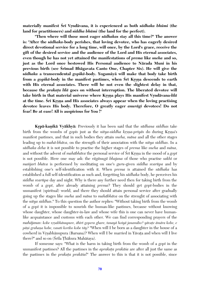materially manifest Srī Vrndāvana, it is experienced as both *sādhaka bhūmi* (the **land for practitioners) and** *siddha bhümi* **(the land for the perfect).** 

**"Then where will those most eager** *sädhakas* **stay all this time?" The answer is: "After the** *sädhaka-***body perishes, that loving devotee, who has eagerly desired direct devotional service for a long time, will once, by the Lord's grace, receive the gift of the desired service and the audience of the Lord and His eternal associates, even though he has not yet attained the manifestations of** *prema* **like** *sneha* **and so, just as the Lord once bestowed His Personal audience to Närada Muni in his previous birth (see Srimad Bhāgavata Canto One, Chapter Six). He will give the** *sädhaka* **a transcendental** *gopikä***-body. Yogamäyä will make that body take birth**  from a *gopikā*-body in the manifest pastimes, when Srī Krsna descends to earth **with His eternal associates. There will be not even the slightest delay in that,**  because the *prakata lila* goes on without interruption. The liberated devotee will take birth in that material universe where Krsna plays His manifest Vrndāvana-*līlā* at the time. Srī Krsņa and His associates always appear when the loving practising **devotee leaves His body. Therefore, O greatly eager** *anurägé* **devotees! Do not fear! Be at ease! All is auspicious for You !"**

**Kåpä-kaëikä Vyäkhyä:** Previously it has been said that the *sädhana siddhas* take birth from the wombs of *gopts* just as the *nitya-siddha krsna-priyas* do during Krsna's manifest pastimes, and that in such bodies they attain *sneha, mäna* and all the other stages leading up to *mahä-bhäva*, on the strength of their association with the *nitya siddhas*. In a *sädhaka deha* it is not possible to practise the higher stages of *prema* like *sneha* and *mäna*, and without the advent of *mahābhāva* the personal service of Sri Krsna in the mood of a *gop* is not possible. Here one may ask: the *rägänugä bhajana* of those who practise *sakhé* or *maïjaré bhäva* is performed by meditating on one's *guru*-given *siddha svarüpa* and by establishing one's self-identification with it. When *prema* is attained the *sädhaka* has established a full self-identification as such and, forgetting his *sädhaka* body, he perceives his *siddha svarüpa* day and night. Why is there any further need then for taking birth from the womb of a *gopé*, after already attaining *prema*? They should get *gopé*-bodies in the unmanifest (spiritual) world, and there they should attain personal service after gradually going up the stages like *sneha* and *mäna* to *mahäbhäva* on the strenght of associating with the *nitya siddhas*." To this question the author replies: "Without taking birth from the womb of a *gopé* it is impossible to nourish the human-like pastimes, because without knowing whose daughter, whose daughter-in-law and whose wife this is one can never have humanlike acquaintance and customs with each other. We can find corresponding prayers of the *mahājanas: kobe vrsabhānupure, āhīrī gopera ghare, tanayā hoiyā janamibo? yāvate āmāra kobe, e* pāņi grahaņa hobe, vasati koribo kobe tāy? "When will I be born as a daughter in the house of a cowherd in Vrsabhänupura (Barsana)? When will I be married in Yävata and when will I live there?" and so on (Śrīla Thākura Mahāśaya).

If someone says: "What is the harm in taking birth from the womb of a *gopé* in the unmanifest pastimes? All the pastimes in the *aprakata prakāsa* are after all just the same as the pastimes in the *prakaöa prakäça*!" The answer to this is that it is not possible, since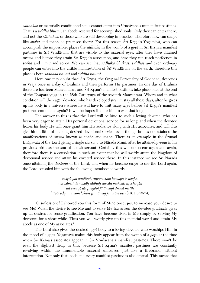s*ādhakas* or materially conditioned souls cannot enter into Vrndāvana's unmanifest pastimes. That is a *siddha bhümi*, an abode reserved for accomplished souls. Only they can enter there, and not the *sädhakas*, or those who are still developing in practice. Therefore how can stages like *sneha* and *māna* be practised there? For this reason Srī Krsna's Yogamāyā, who can accomplish the impossible, places the *sādhaka* in the womb of a *gop* in Srī Krsna's manifest pastimes in Srī Vrndāvana, that are visible to the material eyes, after they have attained *prema* and before they attain Srī Krsna's association, and here they can reach perfection in *sneha* and *mäna* and so on. We can see that *sädhaka bhaktas, siddhas* and even ordinary people can enter into the visible manifestation of Sri Vrndävana on the earth, therefore this place is both *sädhaka bhümi* and *siddha bhümi*.

Here one may doubt that: Sri Krsna, the Original Personality of Godhead, descends in Vraja once in a day of Brahmä and then performs His pastimes. In one day of Brahmä there are fourteen Manvantaras, and Sri Krsna's manifest pastimes take place once at the end of the Dväpara yuga in the 28th Caturyuga of the seventh Manvantara. Where and in what condition will the eager devotee, who has developed *prema*, stay all these days, after he gives up his body in a universe where he will have to wait many ages before Sri Krsna's manifest pastimes commence again? It will be impossible for him to wait that long!

The answer to this is that the Lord will be kind to such a loving devotee, who has been very eager to attain His personal devotional service for so long, and when the devotee leaves his body He will once grant him His audience along with His associates, and will also give him a little of his long-desired devotional service, even though he has not attained the manifestations of *prema* known as *sneha* and *māna*. There is an example in the Srimad Bhägavata of the Lord giving a single *darçana* to Närada Muni, after he attained *prema* in his previous birth as the son of a maidservant. Certainly this will not occur again and again, therefore there is a consolation in such an event that he will swiftly attain the kingdom of devotional service and attain his coveted service there. In this instance we see Srī Nārada once attaining the *darsana* of the Lord, and when he became eager to see the Lord again, the Lord consoled him with the following unembodied words -

> *sakåd yad darçitaà rüpam etaà kämäya te'nagha mat kämaù çanakaiù sädhuù sarvän muïcati håcchayän sat sevayä dérghayäpi jätä mayi dåòhä matiù hitvävadyam imaà lokaà gantä maj janatäm asi* (Ç.B. 1.6.23-24)

"O sinless one! I showed you this form of Mine once, just to increase your desire to see Me! When the desire to see Me and to serve Me has arisen the devotee gradually gives up all desires for sense gratification. You have become fixed in Me simply by serving My devotees for a short while. Thus you will swiftly give up this material world and attain My abode as one of My associates."

The Lord also gives the desired *gopé*-body to a loving devotee who worships Him in the mood of a *gopé*. Yogamäyä makes this body appear from the womb of a *gopé* at the time when Srī Krsna's associates appear in Srī Vrndāvana's manifest pastimes. There won't be even the slightest delay in this, because Sri Krsna's manifest pastimes are constantly revolving within the innumerable material universes, just like a firebrand, without interruption. Not only that, each and every manifest pastime is also eternal. This means that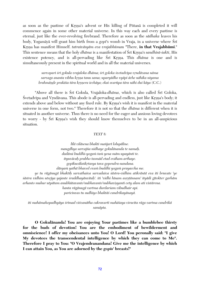as soon as the pastime of Krsna's advent or His killing of Pūtanā is completed it will commence again in some other material universe. In this way each and every pastime is eternal, just like the ever-revolving firebrand. Therefore as soon as the *sädhaka* leaves his body, Yogamāyā will grant him birth from a *gopī*'s womb in Vraja, in a universe where Śrī Kåñëa has manifest Himself. *tatraiväsyäm eva vrajabhümau* "There, **in that Vrajabhümi**." This sentence means that the holy *dhāma* is a manifestation of Srī Krsna's *sandhinī-śakti*, His existence potency, and is all-pervading like S<sub>r</sub>ī Krsna. This *dhāma* is one and is simultaneously present in the spiritual world and in all the material universes.

> *sarvopari çré gokula vrajaloka dhäma; çré goloka çvetadvépa våndävana näma* sarvaga ananta vibhu krsna tanu sama; uparyādho vyāpi āche nāhika niyama *brahmāņde prakāśa tāra krsņera icchāya; ekai svarūpa tāra nāhi dui kāya* (C.C.)

"Above all there is Śrī Gokula, Vrajaloka-*dhāma*, which is also called Śrī Goloka, Śvetadvīpa and Vrndāvana. This abode is all-pervading and endless, just like Krsna's body; it extends above and below without any fixed rule. By Krsna's wish it is manifest in the material universe in one form, not two." Therefore it is not so that the *dhäma* is different when it is situated in another universe. Thus there is no need for the eager and anxious loving devotees to worry - by Srī Krsna's wish they should know themselves to be in an all-auspicious situation.

## *TEXT 8:*

*lélä viläsena bhakti maïjaré lolupäline. maugdhya sarvajïa nidhaye gokulänanda te namaù. dadämi buddhi-yogaà taà yena mäm upayänti te. ityuväcaù prabho tasmäd etad eväham arthaye.* gopīkucālankrtasya tava gopendra-nandana. *däsyaà yathä bhaved evaà buddhi yogaà prayaccha me. ye tu rägänugä bhaktiù sarvathaiva sarvadaiva çästra-vidhim atikräntä eva iti bruvate 'ye*  śāstra vidhim utsrjya yajante śraddhayānvitah'. iti 'vidhi hīnam asrstānnam' ityādi gītokter garhām *arhanto muhur utpätam anubhütavanto'nubhavanto'nubhaviñyanti cety alam ati vistärena. hanta rägänugä vartma durdarçam vibudhair api. paricinvas tu sudhiyo bhaktäç candrikayänayä.*

*iti mahämahopadhyäya çrémad viçvanätha cakravarté mahäçaya viracita räga vartma candrikä samäpta.*

**O Gokulänanda! You are enjoying Your pastimes like a bumblebee thirsty for the buds of devotion! You are the embodiment of bewilderment and omniscience! I offer my obeisances unto You! O Lord! You peronally said: "I give My devotees the transcendental intelligence by which they can come to Me". Therefore I pray to You: "O Vrajendranandana! Give me the intelligence by which I can attain You, as You are adorned by the** *gopés***' breasts!"**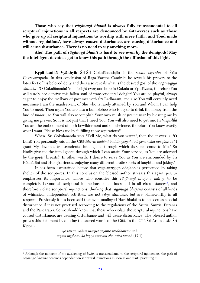**Those who say that** *rägänugä bhakti* **is always fully transcendental to all scriptural injunctions in all respects are denounced by Gétä-verses such as 'those who give up all scriptural injunctions to worship with mere faith', and 'food made without regulations', have always caused disturbance, are causing disturbance and will cause disturbance. There is no need to say anything more.** 

**Aho! The path of** *rägänugä bhakti* **is hard to see even by the demigods! May the intelligent devotees get to know this path through the diffusion of this light.**

**Krpā-kanikā Vyākhyā:** Śrī-Śrī Gokulānandajīu is the *sevita vigraha* of Śrīla Cakravartīpāda. In this conclusion of Rāga Vartma Candrikā he reveals his prayers to the lotus feet of his beloved deity and thus also reveals what is the desired goal of the *rägänugéya*  s*ādhaka*. "O Gokulānanda! You delight everyone here in Gokula or Vrndāvana, therefore You will surely not deprive this fallen soul of transcendental delight! You are so playful, always eager to enjoy the mellows of pastimes with Śrī Rādhārānī, and also You will certainly need me, since I am the maidservant of She who is rarely attained by You and Whom I can help You to meet. Then again You are also a bumblebee who is eager to drink the honey from the bud of *bhakti*, so You will also accomplish Your own relish of *prema rasa* by blessing me by giving me *prema*. So it is not just that I need You, You will also need to get me. In Vraja-*lélä* You are the embodiment of both bewilderment and omniscience, therefore You know exactly what I want. Please bless me by fulfilling those aspirations!"

When Srī Gokulānanda says: "Tell Me, what do you want?", then the answer is: "O Lord! You personally said in the Gītā-*śāstra: dadāmi buddhi yogam tam yena mām upayānti te* "I grant My devotees transcendental intelligence through which they can come to Me." So kindly give me the intelligence through which I can attain Your service, as You are adorned by the *gopts*' breasts!" In other words, I desire to serve You as You are surrounded by Sri Rādhārānī and Her girlfriends, enjoying many different erotic sports of laughter and joking."

It has been ascertained before that *räga-märgéya bhajana* is performed by taking shelter of the scriptures. In this conclusion the blessed author stresses this again, just to emphasises its importance. Those who consider this *rägänugä bhajana märga* to be completely beyond all scriptural injunctions at all times and in all circumstances<sup>3</sup>, and therefore violate scriptural injunctions, thinking that *rägänugä bhajana* consists of all kinds of whimsical, independent activities, are not *räga sädhakas*, but are blameworthy in all respects. Previously it has been said that even unalloyed Hari bhakti is to be seen as a social disturbance if it is not practised according to the regulations of the Srutis, Smrtis, Purānas and the Païcarätra. So we should know that those who violate the scriptural injunctions have caused disturbance, are causing disturbance and will cause disturbance. The blessed author proves this statement by quoting the sacred words of the Gītā. In the Gītā Śrī Arjuna asks Śrī Krsna -

> *ye çästra vidhim utsåjya yajante çraddhayänvitäù teñäà niñöhä tu kä kåñëa sattvam äho rajas tamaù* (17.1)

 $\overline{a}$ 

<sup>3</sup> Although the moment of the awakening of *lobha* is transcendental to the scriptural injunctions, the path of *rägänugä bhajana* becomes dependent on scriptural injunctions as soon as one starts practising it.